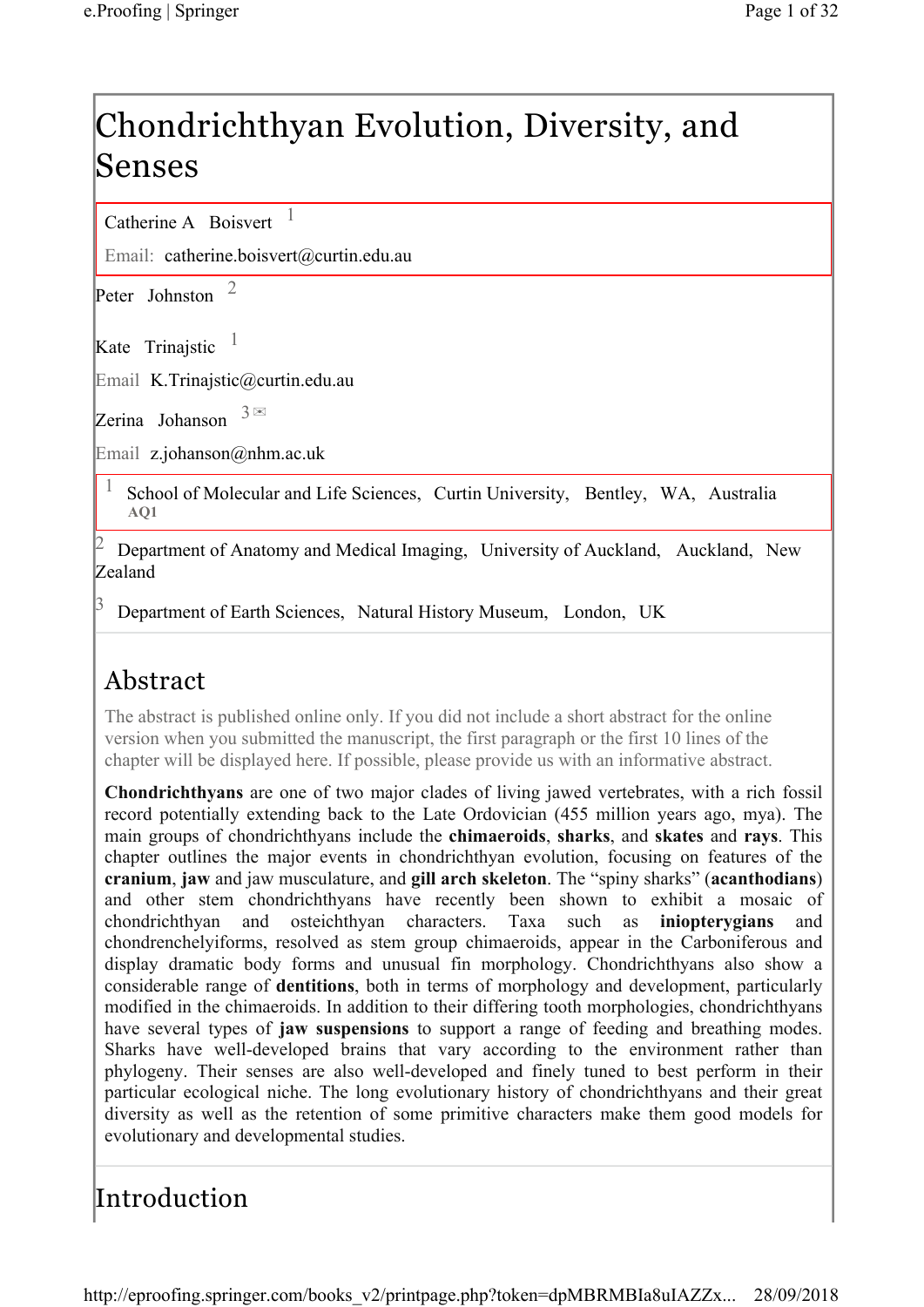# Chondrichthyan Evolution, Diversity, and Senses

Catherine A Boisvert 1

Email: catherine.boisvert@curtin.edu.au

Peter Johnston <sup>2</sup>

Kate Trinajstic 1

Email K.Trinajstic@curtin.edu.au

Zerina Johanson  $3^{\text{}}$ 

Email z.johanson@nhm.ac.uk

School of Molecular and Life Sciences, Curtin University, Bentley, WA, Australia **AQ1** 1

Department of Anatomy and Medical Imaging, University of Auckland, Auckland, New Zealand 2

Department of Earth Sciences, Natural History Museum, London, UK 3

## Abstract

The abstract is published online only. If you did not include a short abstract for the online version when you submitted the manuscript, the first paragraph or the first 10 lines of the chapter will be displayed here. If possible, please provide us with an informative abstract.

**Chondrichthyans** are one of two major clades of living jawed vertebrates, with a rich fossil record potentially extending back to the Late Ordovician (455 million years ago, mya). The main groups of chondrichthyans include the **chimaeroids**, **sharks**, and **skates** and **rays**. This chapter outlines the major events in chondrichthyan evolution, focusing on features of the **cranium**, **jaw** and jaw musculature, and **gill arch skeleton**. The "spiny sharks" (**acanthodians**) and other stem chondrichthyans have recently been shown to exhibit a mosaic of chondrichthyan and osteichthyan characters. Taxa such as **iniopterygians** and chondrenchelyiforms, resolved as stem group chimaeroids, appear in the Carboniferous and display dramatic body forms and unusual fin morphology. Chondrichthyans also show a considerable range of **dentitions**, both in terms of morphology and development, particularly modified in the chimaeroids. In addition to their differing tooth morphologies, chondrichthyans have several types of **jaw suspensions** to support a range of feeding and breathing modes. Sharks have well-developed brains that vary according to the environment rather than phylogeny. Their senses are also well-developed and finely tuned to best perform in their particular ecological niche. The long evolutionary history of chondrichthyans and their great diversity as well as the retention of some primitive characters make them good models for evolutionary and developmental studies.

## Introduction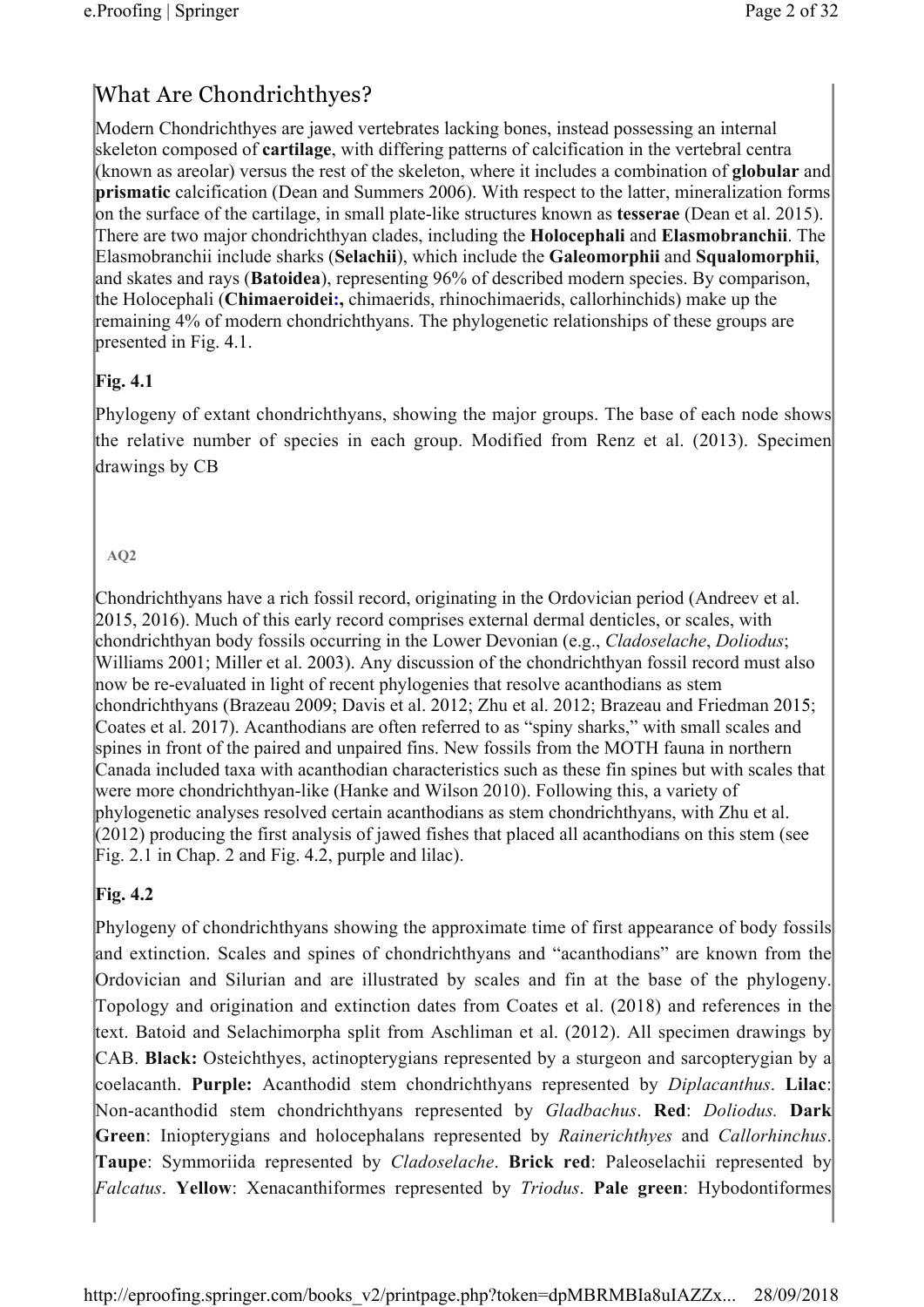### What Are Chondrichthyes?

Modern Chondrichthyes are jawed vertebrates lacking bones, instead possessing an internal skeleton composed of **cartilage**, with differing patterns of calcification in the vertebral centra (known as areolar) versus the rest of the skeleton, where it includes a combination of **globular** and **prismatic** calcification (Dean and Summers 2006). With respect to the latter, mineralization forms on the surface of the cartilage, in small plate-like structures known as **tesserae** (Dean et al. 2015). There are two major chondrichthyan clades, including the **Holocephali** and **Elasmobranchii**. The Elasmobranchii include sharks (**Selachii**), which include the **Galeomorphii** and **Squalomorphii**, and skates and rays (**Batoidea**), representing 96% of described modern species. By comparison, the Holocephali (**Chimaeroidei:,** chimaerids, rhinochimaerids, callorhinchids) make up the remaining 4% of modern chondrichthyans. The phylogenetic relationships of these groups are presented in Fig. 4.1.

#### **Fig. 4.1**

Phylogeny of extant chondrichthyans, showing the major groups. The base of each node shows the relative number of species in each group. Modified from Renz et al. (2013). Specimen drawings by CB

#### **AQ2**

Chondrichthyans have a rich fossil record, originating in the Ordovician period (Andreev et al. 2015, 2016). Much of this early record comprises external dermal denticles, or scales, with chondrichthyan body fossils occurring in the Lower Devonian (e.g., *Cladoselache*, *Doliodus*; Williams 2001; Miller et al. 2003). Any discussion of the chondrichthyan fossil record must also now be re-evaluated in light of recent phylogenies that resolve acanthodians as stem chondrichthyans (Brazeau 2009; Davis et al. 2012; Zhu et al. 2012; Brazeau and Friedman 2015; Coates et al. 2017). Acanthodians are often referred to as "spiny sharks," with small scales and spines in front of the paired and unpaired fins. New fossils from the MOTH fauna in northern Canada included taxa with acanthodian characteristics such as these fin spines but with scales that were more chondrichthyan-like (Hanke and Wilson 2010). Following this, a variety of phylogenetic analyses resolved certain acanthodians as stem chondrichthyans, with Zhu et al. (2012) producing the first analysis of jawed fishes that placed all acanthodians on this stem (see Fig. 2.1 in Chap. 2 and Fig. 4.2, purple and lilac).

#### **Fig. 4.2**

Phylogeny of chondrichthyans showing the approximate time of first appearance of body fossils and extinction. Scales and spines of chondrichthyans and "acanthodians" are known from the Ordovician and Silurian and are illustrated by scales and fin at the base of the phylogeny. Topology and origination and extinction dates from Coates et al. (2018) and references in the text. Batoid and Selachimorpha split from Aschliman et al. (2012). All specimen drawings by CAB. **Black:** Osteichthyes, actinopterygians represented by a sturgeon and sarcopterygian by a coelacanth. **Purple:** Acanthodid stem chondrichthyans represented by *Diplacanthus*. **Lilac**: Non-acanthodid stem chondrichthyans represented by *Gladbachus*. **Red**: *Doliodus.* **Dark Green**: Iniopterygians and holocephalans represented by *Rainerichthyes* and *Callorhinchus*. **Taupe**: Symmoriida represented by *Cladoselache*. **Brick red**: Paleoselachii represented by *Falcatus*. **Yellow**: Xenacanthiformes represented by *Triodus*. **Pale green**: Hybodontiformes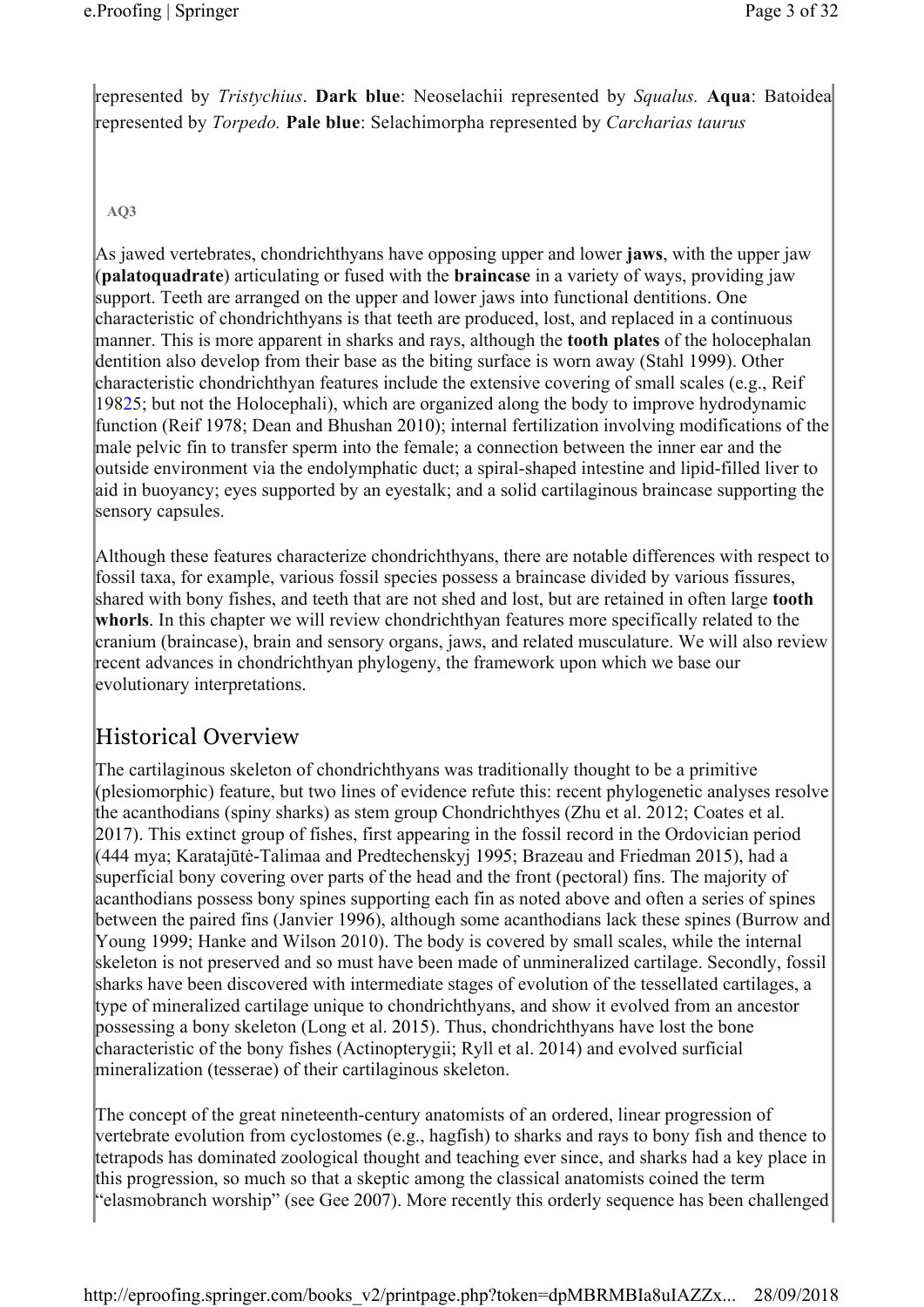represented by *Tristychius*. **Dark blue**: Neoselachii represented by *Squalus.* **Aqua**: Batoidea represented by *Torpedo.* **Pale blue**: Selachimorpha represented by *Carcharias taurus*

#### **AQ3**

As jawed vertebrates, chondrichthyans have opposing upper and lower **jaws**, with the upper jaw (**palatoquadrate**) articulating or fused with the **braincase** in a variety of ways, providing jaw support. Teeth are arranged on the upper and lower jaws into functional dentitions. One characteristic of chondrichthyans is that teeth are produced, lost, and replaced in a continuous manner. This is more apparent in sharks and rays, although the **tooth plates** of the holocephalan dentition also develop from their base as the biting surface is worn away (Stahl 1999). Other characteristic chondrichthyan features include the extensive covering of small scales (e.g., Reif 19825; but not the Holocephali), which are organized along the body to improve hydrodynamic function (Reif 1978; Dean and Bhushan 2010); internal fertilization involving modifications of the male pelvic fin to transfer sperm into the female; a connection between the inner ear and the outside environment via the endolymphatic duct; a spiral-shaped intestine and lipid-filled liver to aid in buoyancy; eyes supported by an eyestalk; and a solid cartilaginous braincase supporting the sensory capsules.

Although these features characterize chondrichthyans, there are notable differences with respect to fossil taxa, for example, various fossil species possess a braincase divided by various fissures, shared with bony fishes, and teeth that are not shed and lost, but are retained in often large **tooth whorls**. In this chapter we will review chondrichthyan features more specifically related to the cranium (braincase), brain and sensory organs, jaws, and related musculature. We will also review recent advances in chondrichthyan phylogeny, the framework upon which we base our evolutionary interpretations.

#### Historical Overview

The cartilaginous skeleton of chondrichthyans was traditionally thought to be a primitive (plesiomorphic) feature, but two lines of evidence refute this: recent phylogenetic analyses resolve the acanthodians (spiny sharks) as stem group Chondrichthyes (Zhu et al. 2012; Coates et al. 2017). This extinct group of fishes, first appearing in the fossil record in the Ordovician period (444 mya; Karatajūtė-Talimaa and Predtechenskyj 1995; Brazeau and Friedman 2015), had a superficial bony covering over parts of the head and the front (pectoral) fins. The majority of acanthodians possess bony spines supporting each fin as noted above and often a series of spines between the paired fins (Janvier 1996), although some acanthodians lack these spines (Burrow and Young 1999; Hanke and Wilson 2010). The body is covered by small scales, while the internal skeleton is not preserved and so must have been made of unmineralized cartilage. Secondly, fossil sharks have been discovered with intermediate stages of evolution of the tessellated cartilages, a type of mineralized cartilage unique to chondrichthyans, and show it evolved from an ancestor possessing a bony skeleton (Long et al. 2015). Thus, chondrichthyans have lost the bone characteristic of the bony fishes (Actinopterygii; Ryll et al. 2014) and evolved surficial mineralization (tesserae) of their cartilaginous skeleton.

The concept of the great nineteenth-century anatomists of an ordered, linear progression of vertebrate evolution from cyclostomes (e.g., hagfish) to sharks and rays to bony fish and thence to tetrapods has dominated zoological thought and teaching ever since, and sharks had a key place in this progression, so much so that a skeptic among the classical anatomists coined the term "elasmobranch worship" (see Gee 2007). More recently this orderly sequence has been challenged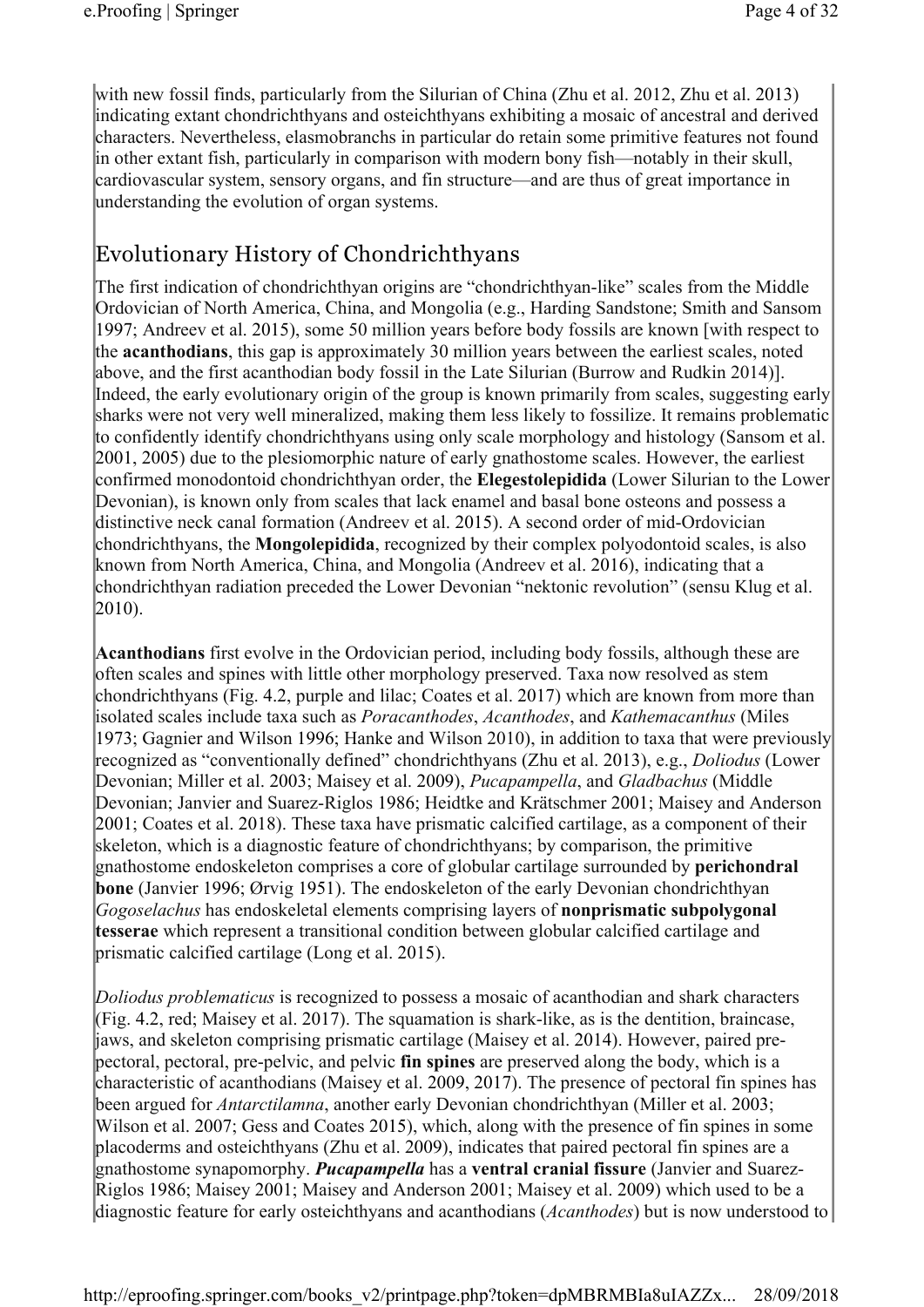with new fossil finds, particularly from the Silurian of China (Zhu et al. 2012, Zhu et al. 2013) indicating extant chondrichthyans and osteichthyans exhibiting a mosaic of ancestral and derived characters. Nevertheless, elasmobranchs in particular do retain some primitive features not found in other extant fish, particularly in comparison with modern bony fish—notably in their skull, cardiovascular system, sensory organs, and fin structure—and are thus of great importance in understanding the evolution of organ systems.

### Evolutionary History of Chondrichthyans

The first indication of chondrichthyan origins are "chondrichthyan-like" scales from the Middle Ordovician of North America, China, and Mongolia (e.g., Harding Sandstone; Smith and Sansom 1997; Andreev et al. 2015), some 50 million years before body fossils are known [with respect to the **acanthodians**, this gap is approximately 30 million years between the earliest scales, noted above, and the first acanthodian body fossil in the Late Silurian (Burrow and Rudkin 2014)]. Indeed, the early evolutionary origin of the group is known primarily from scales, suggesting early sharks were not very well mineralized, making them less likely to fossilize. It remains problematic to confidently identify chondrichthyans using only scale morphology and histology (Sansom et al. 2001, 2005) due to the plesiomorphic nature of early gnathostome scales. However, the earliest confirmed monodontoid chondrichthyan order, the **Elegestolepidida** (Lower Silurian to the Lower Devonian), is known only from scales that lack enamel and basal bone osteons and possess a distinctive neck canal formation (Andreev et al. 2015). A second order of mid-Ordovician chondrichthyans, the **Mongolepidida**, recognized by their complex polyodontoid scales, is also known from North America, China, and Mongolia (Andreev et al. 2016), indicating that a chondrichthyan radiation preceded the Lower Devonian "nektonic revolution" (sensu Klug et al. 2010).

**Acanthodians** first evolve in the Ordovician period, including body fossils, although these are often scales and spines with little other morphology preserved. Taxa now resolved as stem chondrichthyans (Fig. 4.2, purple and lilac; Coates et al. 2017) which are known from more than isolated scales include taxa such as *Poracanthodes*, *Acanthodes*, and *Kathemacanthus* (Miles 1973; Gagnier and Wilson 1996; Hanke and Wilson 2010), in addition to taxa that were previously recognized as "conventionally defined" chondrichthyans (Zhu et al. 2013), e.g., *Doliodus* (Lower Devonian; Miller et al. 2003; Maisey et al. 2009), *Pucapampella*, and *Gladbachus* (Middle Devonian; Janvier and Suarez-Riglos 1986; Heidtke and Krätschmer 2001; Maisey and Anderson 2001; Coates et al. 2018). These taxa have prismatic calcified cartilage, as a component of their skeleton, which is a diagnostic feature of chondrichthyans; by comparison, the primitive gnathostome endoskeleton comprises a core of globular cartilage surrounded by **perichondral bone** (Janvier 1996; Ørvig 1951). The endoskeleton of the early Devonian chondrichthyan *Gogoselachus* has endoskeletal elements comprising layers of **nonprismatic subpolygonal tesserae** which represent a transitional condition between globular calcified cartilage and prismatic calcified cartilage (Long et al. 2015).

*Doliodus problematicus* is recognized to possess a mosaic of acanthodian and shark characters (Fig. 4.2, red; Maisey et al. 2017). The squamation is shark-like, as is the dentition, braincase, jaws, and skeleton comprising prismatic cartilage (Maisey et al. 2014). However, paired prepectoral, pectoral, pre-pelvic, and pelvic **fin spines** are preserved along the body, which is a characteristic of acanthodians (Maisey et al. 2009, 2017). The presence of pectoral fin spines has been argued for *Antarctilamna*, another early Devonian chondrichthyan (Miller et al. 2003; Wilson et al. 2007; Gess and Coates 2015), which, along with the presence of fin spines in some placoderms and osteichthyans (Zhu et al. 2009), indicates that paired pectoral fin spines are a gnathostome synapomorphy. *Pucapampella* has a **ventral cranial fissure** (Janvier and Suarez-Riglos 1986; Maisey 2001; Maisey and Anderson 2001; Maisey et al. 2009) which used to be a diagnostic feature for early osteichthyans and acanthodians (*Acanthodes*) but is now understood to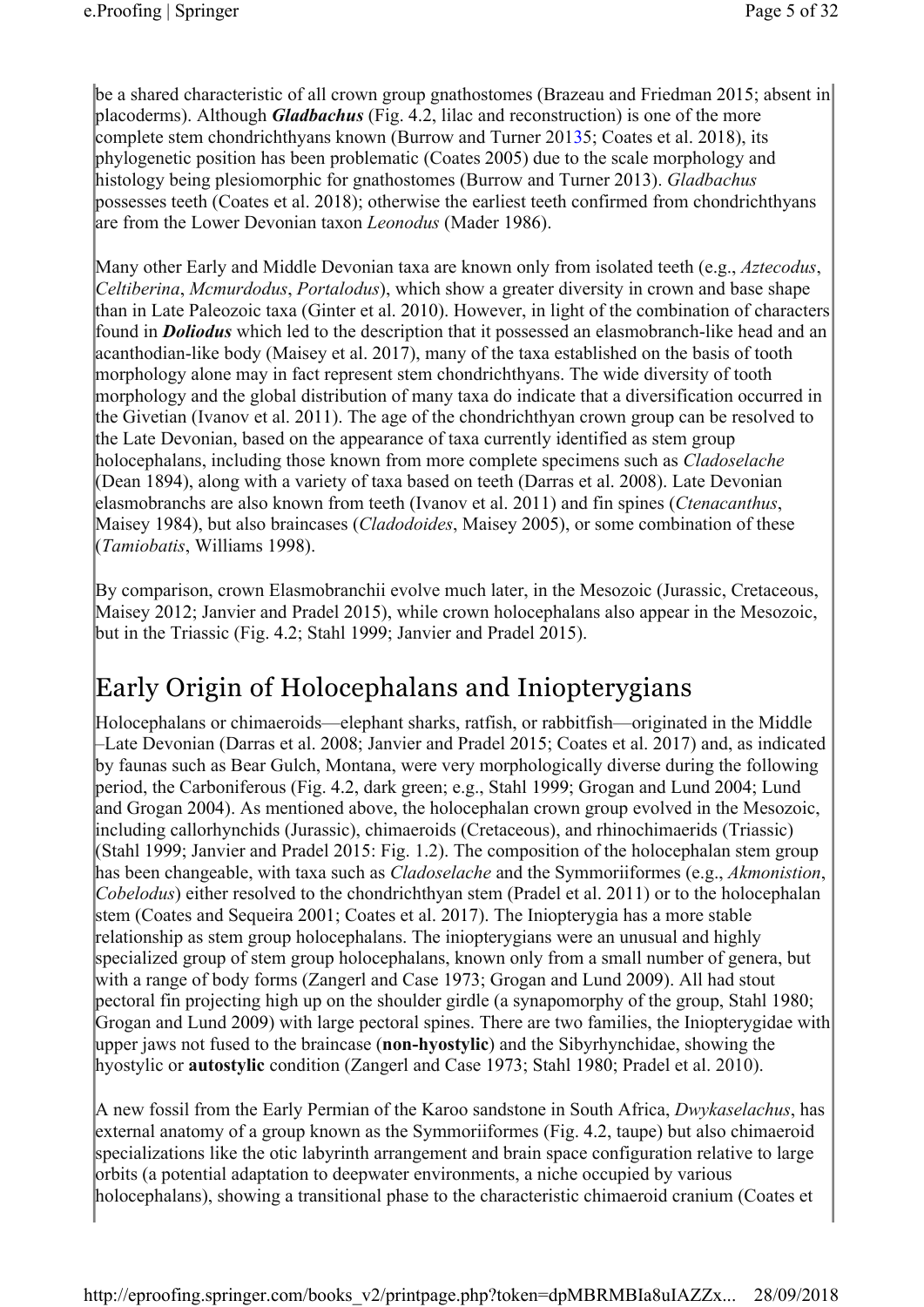be a shared characteristic of all crown group gnathostomes (Brazeau and Friedman 2015; absent in placoderms). Although *Gladbachus* (Fig. 4.2, lilac and reconstruction) is one of the more complete stem chondrichthyans known (Burrow and Turner 20135; Coates et al. 2018), its phylogenetic position has been problematic (Coates 2005) due to the scale morphology and histology being plesiomorphic for gnathostomes (Burrow and Turner 2013). *Gladbachus* possesses teeth (Coates et al. 2018); otherwise the earliest teeth confirmed from chondrichthyans are from the Lower Devonian taxon *Leonodus* (Mader 1986).

Many other Early and Middle Devonian taxa are known only from isolated teeth (e.g., *Aztecodus*, *Celtiberina*, *Mcmurdodus*, *Portalodus*), which show a greater diversity in crown and base shape than in Late Paleozoic taxa (Ginter et al. 2010). However, in light of the combination of characters found in *Doliodus* which led to the description that it possessed an elasmobranch-like head and an acanthodian-like body (Maisey et al. 2017), many of the taxa established on the basis of tooth morphology alone may in fact represent stem chondrichthyans. The wide diversity of tooth morphology and the global distribution of many taxa do indicate that a diversification occurred in the Givetian (Ivanov et al. 2011). The age of the chondrichthyan crown group can be resolved to the Late Devonian, based on the appearance of taxa currently identified as stem group holocephalans, including those known from more complete specimens such as *Cladoselache* (Dean 1894), along with a variety of taxa based on teeth (Darras et al. 2008). Late Devonian elasmobranchs are also known from teeth (Ivanov et al. 2011) and fin spines (*Ctenacanthus*, Maisey 1984), but also braincases (*Cladodoides*, Maisey 2005), or some combination of these (*Tamiobatis*, Williams 1998).

By comparison, crown Elasmobranchii evolve much later, in the Mesozoic (Jurassic, Cretaceous, Maisey 2012; Janvier and Pradel 2015), while crown holocephalans also appear in the Mesozoic, but in the Triassic (Fig. 4.2; Stahl 1999; Janvier and Pradel 2015).

## Early Origin of Holocephalans and Iniopterygians

Holocephalans or chimaeroids—elephant sharks, ratfish, or rabbitfish—originated in the Middle –Late Devonian (Darras et al. 2008; Janvier and Pradel 2015; Coates et al. 2017) and, as indicated by faunas such as Bear Gulch, Montana, were very morphologically diverse during the following period, the Carboniferous (Fig. 4.2, dark green; e.g., Stahl 1999; Grogan and Lund 2004; Lund and Grogan 2004). As mentioned above, the holocephalan crown group evolved in the Mesozoic, including callorhynchids (Jurassic), chimaeroids (Cretaceous), and rhinochimaerids (Triassic) (Stahl 1999; Janvier and Pradel 2015: Fig. 1.2). The composition of the holocephalan stem group has been changeable, with taxa such as *Cladoselache* and the Symmoriiformes (e.g., *Akmonistion*, *Cobelodus*) either resolved to the chondrichthyan stem (Pradel et al. 2011) or to the holocephalan stem (Coates and Sequeira 2001; Coates et al. 2017). The Iniopterygia has a more stable relationship as stem group holocephalans. The iniopterygians were an unusual and highly specialized group of stem group holocephalans, known only from a small number of genera, but with a range of body forms (Zangerl and Case 1973; Grogan and Lund 2009). All had stout pectoral fin projecting high up on the shoulder girdle (a synapomorphy of the group, Stahl 1980; Grogan and Lund 2009) with large pectoral spines. There are two families, the Iniopterygidae with upper jaws not fused to the braincase (**non-hyostylic**) and the Sibyrhynchidae, showing the hyostylic or **autostylic** condition (Zangerl and Case 1973; Stahl 1980; Pradel et al. 2010).

A new fossil from the Early Permian of the Karoo sandstone in South Africa, *Dwykaselachus*, has external anatomy of a group known as the Symmoriiformes (Fig. 4.2, taupe) but also chimaeroid specializations like the otic labyrinth arrangement and brain space configuration relative to large orbits (a potential adaptation to deepwater environments, a niche occupied by various holocephalans), showing a transitional phase to the characteristic chimaeroid cranium (Coates et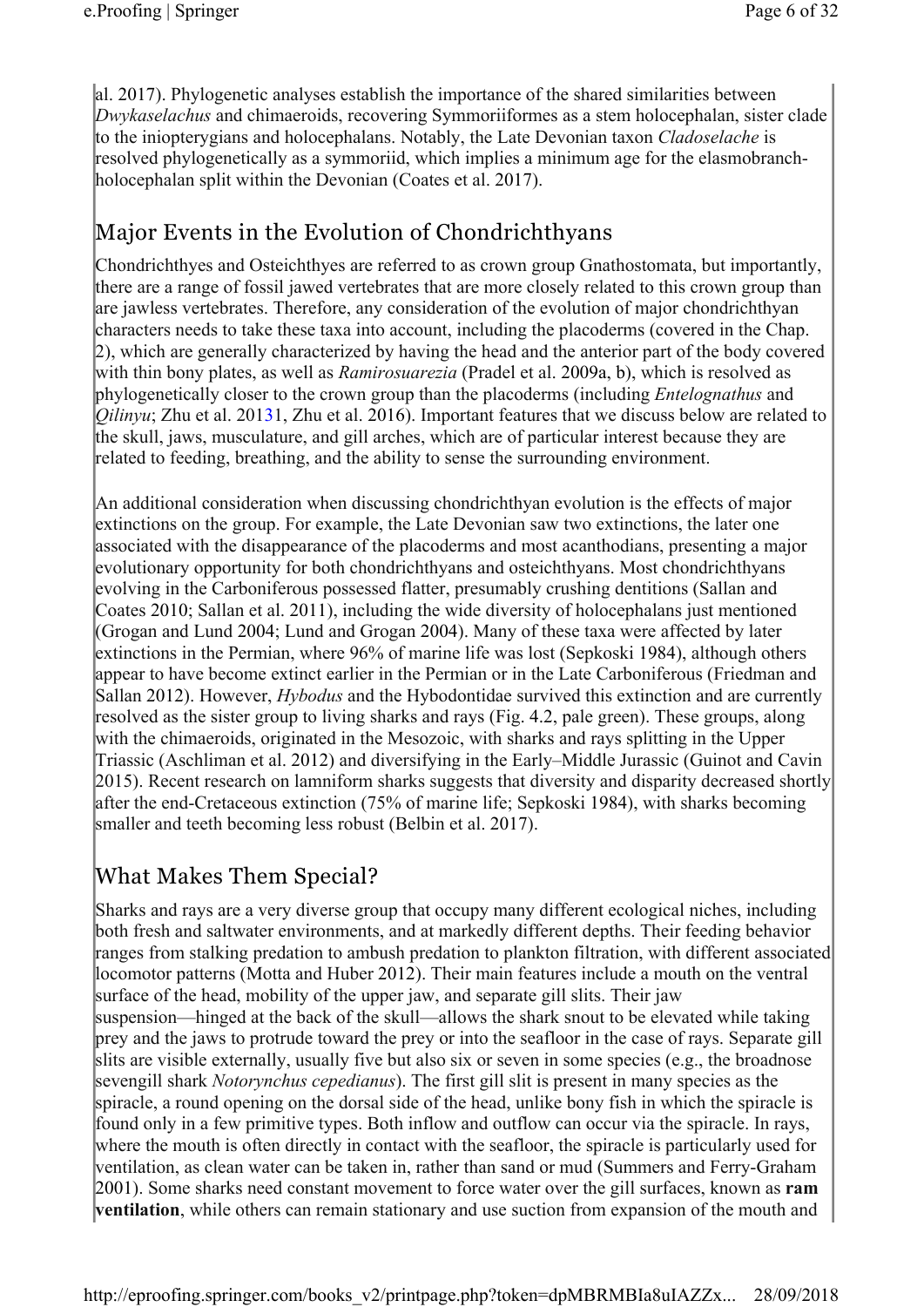al. 2017). Phylogenetic analyses establish the importance of the shared similarities between *Dwykaselachus* and chimaeroids, recovering Symmoriiformes as a stem holocephalan, sister clade to the iniopterygians and holocephalans. Notably, the Late Devonian taxon *Cladoselache* is resolved phylogenetically as a symmoriid, which implies a minimum age for the elasmobranchholocephalan split within the Devonian (Coates et al. 2017).

#### Major Events in the Evolution of Chondrichthyans

Chondrichthyes and Osteichthyes are referred to as crown group Gnathostomata, but importantly, there are a range of fossil jawed vertebrates that are more closely related to this crown group than are jawless vertebrates. Therefore, any consideration of the evolution of major chondrichthyan characters needs to take these taxa into account, including the placoderms (covered in the Chap. 2), which are generally characterized by having the head and the anterior part of the body covered with thin bony plates, as well as *Ramirosuarezia* (Pradel et al. 2009a, b), which is resolved as phylogenetically closer to the crown group than the placoderms (including *Entelognathus* and *Qilinyu*; Zhu et al. 20131, Zhu et al. 2016). Important features that we discuss below are related to the skull, jaws, musculature, and gill arches, which are of particular interest because they are related to feeding, breathing, and the ability to sense the surrounding environment.

An additional consideration when discussing chondrichthyan evolution is the effects of major extinctions on the group. For example, the Late Devonian saw two extinctions, the later one associated with the disappearance of the placoderms and most acanthodians, presenting a major evolutionary opportunity for both chondrichthyans and osteichthyans. Most chondrichthyans evolving in the Carboniferous possessed flatter, presumably crushing dentitions (Sallan and Coates 2010; Sallan et al. 2011), including the wide diversity of holocephalans just mentioned (Grogan and Lund 2004; Lund and Grogan 2004). Many of these taxa were affected by later extinctions in the Permian, where 96% of marine life was lost (Sepkoski 1984), although others appear to have become extinct earlier in the Permian or in the Late Carboniferous (Friedman and Sallan 2012). However, *Hybodus* and the Hybodontidae survived this extinction and are currently resolved as the sister group to living sharks and rays (Fig. 4.2, pale green). These groups, along with the chimaeroids, originated in the Mesozoic, with sharks and rays splitting in the Upper Triassic (Aschliman et al. 2012) and diversifying in the Early–Middle Jurassic (Guinot and Cavin 2015). Recent research on lamniform sharks suggests that diversity and disparity decreased shortly after the end-Cretaceous extinction (75% of marine life; Sepkoski 1984), with sharks becoming smaller and teeth becoming less robust (Belbin et al. 2017).

### What Makes Them Special?

Sharks and rays are a very diverse group that occupy many different ecological niches, including both fresh and saltwater environments, and at markedly different depths. Their feeding behavior ranges from stalking predation to ambush predation to plankton filtration, with different associated locomotor patterns (Motta and Huber 2012). Their main features include a mouth on the ventral surface of the head, mobility of the upper jaw, and separate gill slits. Their jaw suspension—hinged at the back of the skull—allows the shark snout to be elevated while taking prey and the jaws to protrude toward the prey or into the seafloor in the case of rays. Separate gill slits are visible externally, usually five but also six or seven in some species (e.g., the broadnose sevengill shark *Notorynchus cepedianus*). The first gill slit is present in many species as the spiracle, a round opening on the dorsal side of the head, unlike bony fish in which the spiracle is found only in a few primitive types. Both inflow and outflow can occur via the spiracle. In rays, where the mouth is often directly in contact with the seafloor, the spiracle is particularly used for ventilation, as clean water can be taken in, rather than sand or mud (Summers and Ferry-Graham 2001). Some sharks need constant movement to force water over the gill surfaces, known as **ram ventilation**, while others can remain stationary and use suction from expansion of the mouth and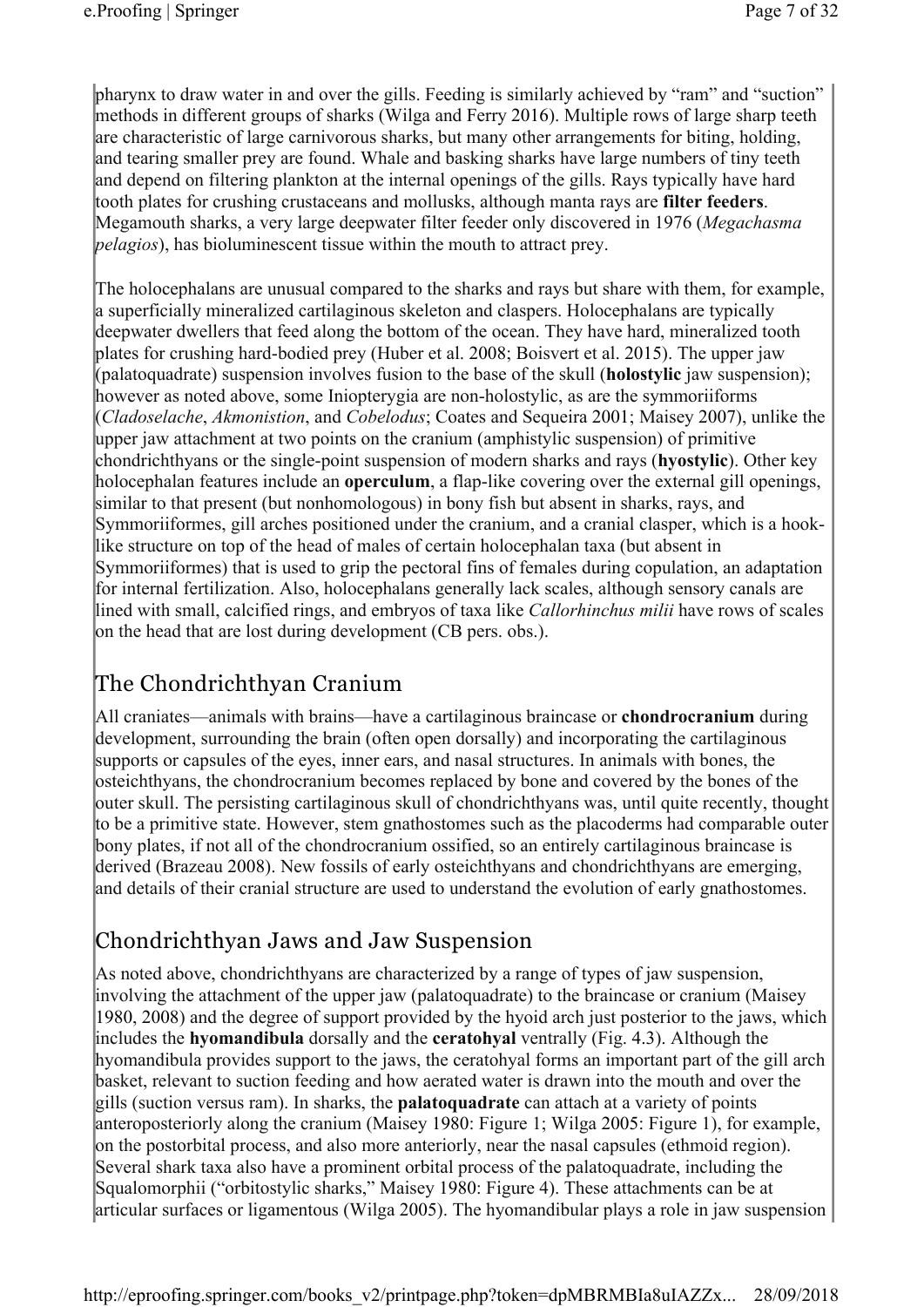pharynx to draw water in and over the gills. Feeding is similarly achieved by "ram" and "suction" methods in different groups of sharks (Wilga and Ferry 2016). Multiple rows of large sharp teeth are characteristic of large carnivorous sharks, but many other arrangements for biting, holding, and tearing smaller prey are found. Whale and basking sharks have large numbers of tiny teeth and depend on filtering plankton at the internal openings of the gills. Rays typically have hard tooth plates for crushing crustaceans and mollusks, although manta rays are **filter feeders**. Megamouth sharks, a very large deepwater filter feeder only discovered in 1976 (*Megachasma pelagios*), has bioluminescent tissue within the mouth to attract prey.

The holocephalans are unusual compared to the sharks and rays but share with them, for example, a superficially mineralized cartilaginous skeleton and claspers. Holocephalans are typically deepwater dwellers that feed along the bottom of the ocean. They have hard, mineralized tooth plates for crushing hard-bodied prey (Huber et al. 2008; Boisvert et al. 2015). The upper jaw (palatoquadrate) suspension involves fusion to the base of the skull (**holostylic** jaw suspension); however as noted above, some Iniopterygia are non-holostylic, as are the symmoriiforms (*Cladoselache*, *Akmonistion*, and *Cobelodus*; Coates and Sequeira 2001; Maisey 2007), unlike the upper jaw attachment at two points on the cranium (amphistylic suspension) of primitive chondrichthyans or the single-point suspension of modern sharks and rays (**hyostylic**). Other key holocephalan features include an **operculum**, a flap-like covering over the external gill openings, similar to that present (but nonhomologous) in bony fish but absent in sharks, rays, and Symmoriiformes, gill arches positioned under the cranium, and a cranial clasper, which is a hooklike structure on top of the head of males of certain holocephalan taxa (but absent in Symmoriiformes) that is used to grip the pectoral fins of females during copulation, an adaptation for internal fertilization. Also, holocephalans generally lack scales, although sensory canals are lined with small, calcified rings, and embryos of taxa like *Callorhinchus milii* have rows of scales on the head that are lost during development (CB pers. obs.).

#### The Chondrichthyan Cranium

All craniates—animals with brains—have a cartilaginous braincase or **chondrocranium** during development, surrounding the brain (often open dorsally) and incorporating the cartilaginous supports or capsules of the eyes, inner ears, and nasal structures. In animals with bones, the osteichthyans, the chondrocranium becomes replaced by bone and covered by the bones of the outer skull. The persisting cartilaginous skull of chondrichthyans was, until quite recently, thought to be a primitive state. However, stem gnathostomes such as the placoderms had comparable outer bony plates, if not all of the chondrocranium ossified, so an entirely cartilaginous braincase is derived (Brazeau 2008). New fossils of early osteichthyans and chondrichthyans are emerging, and details of their cranial structure are used to understand the evolution of early gnathostomes.

#### Chondrichthyan Jaws and Jaw Suspension

As noted above, chondrichthyans are characterized by a range of types of jaw suspension, involving the attachment of the upper jaw (palatoquadrate) to the braincase or cranium (Maisey 1980, 2008) and the degree of support provided by the hyoid arch just posterior to the jaws, which includes the **hyomandibula** dorsally and the **ceratohyal** ventrally (Fig. 4.3). Although the hyomandibula provides support to the jaws, the ceratohyal forms an important part of the gill arch basket, relevant to suction feeding and how aerated water is drawn into the mouth and over the gills (suction versus ram). In sharks, the **palatoquadrate** can attach at a variety of points anteroposteriorly along the cranium (Maisey 1980: Figure 1; Wilga 2005: Figure 1), for example, on the postorbital process, and also more anteriorly, near the nasal capsules (ethmoid region). Several shark taxa also have a prominent orbital process of the palatoquadrate, including the Squalomorphii ("orbitostylic sharks," Maisey 1980: Figure 4). These attachments can be at articular surfaces or ligamentous (Wilga 2005). The hyomandibular plays a role in jaw suspension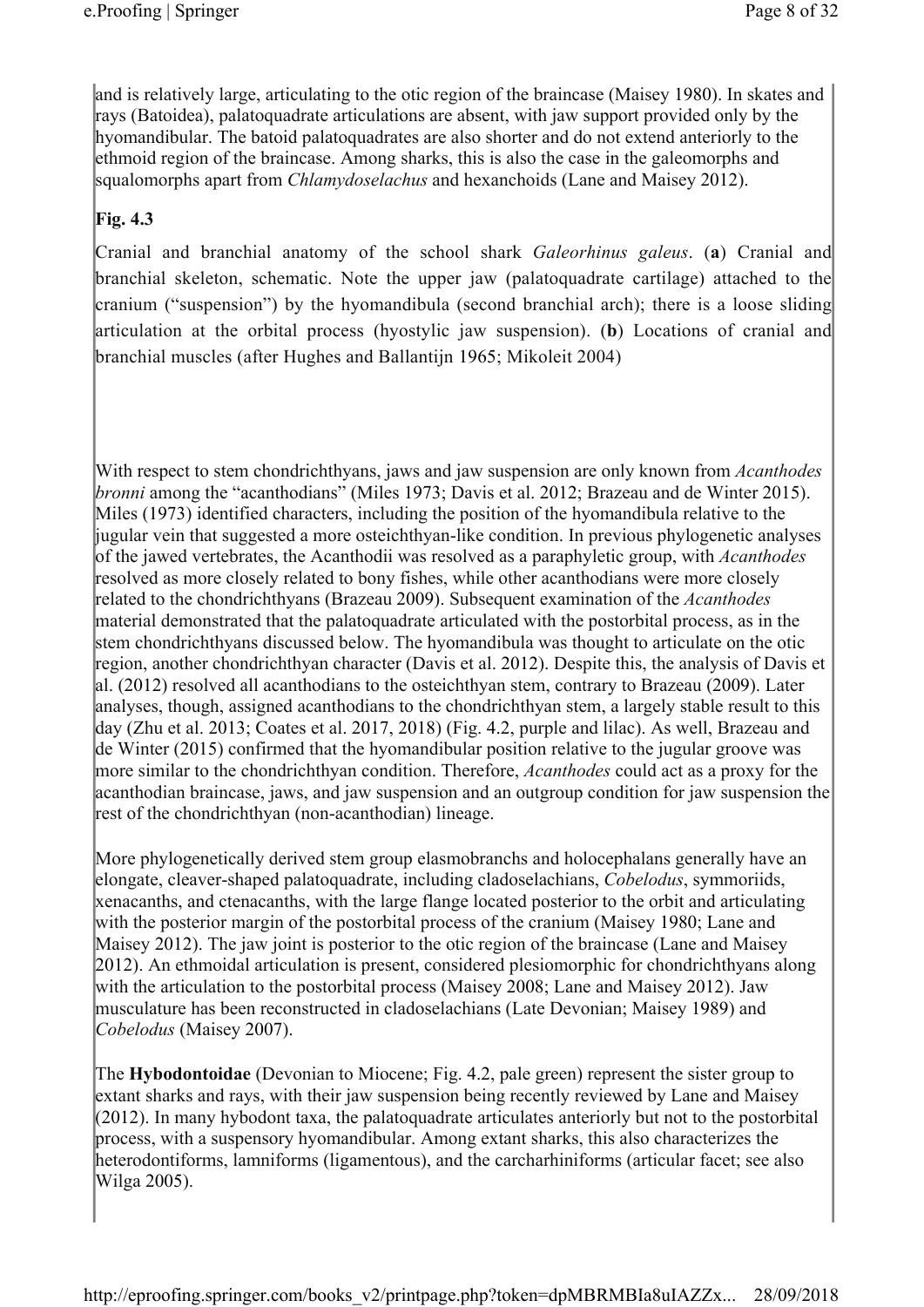and is relatively large, articulating to the otic region of the braincase (Maisey 1980). In skates and rays (Batoidea), palatoquadrate articulations are absent, with jaw support provided only by the hyomandibular. The batoid palatoquadrates are also shorter and do not extend anteriorly to the ethmoid region of the braincase. Among sharks, this is also the case in the galeomorphs and squalomorphs apart from *Chlamydoselachus* and hexanchoids (Lane and Maisey 2012).

#### **Fig. 4.3**

Cranial and branchial anatomy of the school shark *Galeorhinus galeus*. (**a**) Cranial and branchial skeleton, schematic. Note the upper jaw (palatoquadrate cartilage) attached to the cranium ("suspension") by the hyomandibula (second branchial arch); there is a loose sliding articulation at the orbital process (hyostylic jaw suspension). (**b**) Locations of cranial and branchial muscles (after Hughes and Ballantijn 1965; Mikoleit 2004)

With respect to stem chondrichthyans, jaws and jaw suspension are only known from *Acanthodes bronni* among the "acanthodians" (Miles 1973; Davis et al. 2012; Brazeau and de Winter 2015). Miles (1973) identified characters, including the position of the hyomandibula relative to the jugular vein that suggested a more osteichthyan-like condition. In previous phylogenetic analyses of the jawed vertebrates, the Acanthodii was resolved as a paraphyletic group, with *Acanthodes* resolved as more closely related to bony fishes, while other acanthodians were more closely related to the chondrichthyans (Brazeau 2009). Subsequent examination of the *Acanthodes* material demonstrated that the palatoquadrate articulated with the postorbital process, as in the stem chondrichthyans discussed below. The hyomandibula was thought to articulate on the otic region, another chondrichthyan character (Davis et al. 2012). Despite this, the analysis of Davis et al. (2012) resolved all acanthodians to the osteichthyan stem, contrary to Brazeau (2009). Later analyses, though, assigned acanthodians to the chondrichthyan stem, a largely stable result to this day (Zhu et al. 2013; Coates et al. 2017, 2018) (Fig. 4.2, purple and lilac). As well, Brazeau and de Winter (2015) confirmed that the hyomandibular position relative to the jugular groove was more similar to the chondrichthyan condition. Therefore, *Acanthodes* could act as a proxy for the acanthodian braincase, jaws, and jaw suspension and an outgroup condition for jaw suspension the rest of the chondrichthyan (non-acanthodian) lineage.

More phylogenetically derived stem group elasmobranchs and holocephalans generally have an elongate, cleaver-shaped palatoquadrate, including cladoselachians, *Cobelodus*, symmoriids, xenacanths, and ctenacanths, with the large flange located posterior to the orbit and articulating with the posterior margin of the postorbital process of the cranium (Maisey 1980; Lane and Maisey 2012). The jaw joint is posterior to the otic region of the braincase (Lane and Maisey 2012). An ethmoidal articulation is present, considered plesiomorphic for chondrichthyans along with the articulation to the postorbital process (Maisey 2008; Lane and Maisey 2012). Jaw musculature has been reconstructed in cladoselachians (Late Devonian; Maisey 1989) and *Cobelodus* (Maisey 2007).

The **Hybodontoidae** (Devonian to Miocene; Fig. 4.2, pale green) represent the sister group to extant sharks and rays, with their jaw suspension being recently reviewed by Lane and Maisey (2012). In many hybodont taxa, the palatoquadrate articulates anteriorly but not to the postorbital process, with a suspensory hyomandibular. Among extant sharks, this also characterizes the heterodontiforms, lamniforms (ligamentous), and the carcharhiniforms (articular facet; see also Wilga 2005).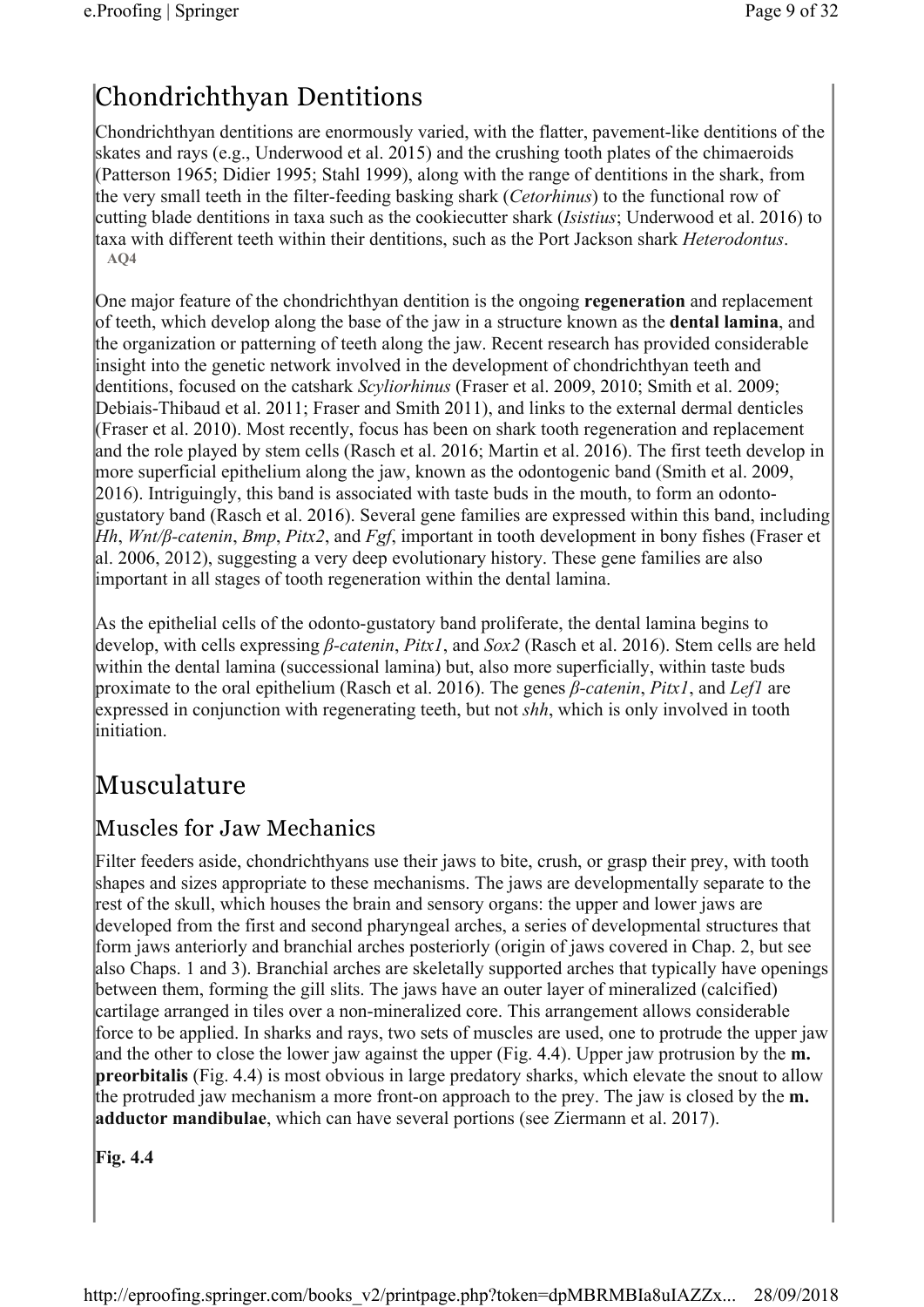## Chondrichthyan Dentitions

Chondrichthyan dentitions are enormously varied, with the flatter, pavement-like dentitions of the skates and rays (e.g., Underwood et al. 2015) and the crushing tooth plates of the chimaeroids (Patterson 1965; Didier 1995; Stahl 1999), along with the range of dentitions in the shark, from the very small teeth in the filter-feeding basking shark (*Cetorhinus*) to the functional row of cutting blade dentitions in taxa such as the cookiecutter shark (*Isistius*; Underwood et al. 2016) to taxa with different teeth within their dentitions, such as the Port Jackson shark *Heterodontus*. **AQ4**

One major feature of the chondrichthyan dentition is the ongoing **regeneration** and replacement of teeth, which develop along the base of the jaw in a structure known as the **dental lamina**, and the organization or patterning of teeth along the jaw. Recent research has provided considerable insight into the genetic network involved in the development of chondrichthyan teeth and dentitions, focused on the catshark *Scyliorhinus* (Fraser et al. 2009, 2010; Smith et al. 2009; Debiais-Thibaud et al. 2011; Fraser and Smith 2011), and links to the external dermal denticles (Fraser et al. 2010). Most recently, focus has been on shark tooth regeneration and replacement and the role played by stem cells (Rasch et al. 2016; Martin et al. 2016). The first teeth develop in more superficial epithelium along the jaw, known as the odontogenic band (Smith et al. 2009, 2016). Intriguingly, this band is associated with taste buds in the mouth, to form an odontogustatory band (Rasch et al. 2016). Several gene families are expressed within this band, including *Hh*, *Wnt/β-catenin*, *Bmp*, *Pitx2*, and *Fgf*, important in tooth development in bony fishes (Fraser et al. 2006, 2012), suggesting a very deep evolutionary history. These gene families are also important in all stages of tooth regeneration within the dental lamina.

As the epithelial cells of the odonto-gustatory band proliferate, the dental lamina begins to develop, with cells expressing *β-catenin*, *Pitx1*, and *Sox2* (Rasch et al. 2016). Stem cells are held within the dental lamina (successional lamina) but, also more superficially, within taste buds proximate to the oral epithelium (Rasch et al. 2016). The genes *β-catenin*, *Pitx1*, and *Lef1* are expressed in conjunction with regenerating teeth, but not *shh*, which is only involved in tooth initiation.

## Musculature

#### Muscles for Jaw Mechanics

Filter feeders aside, chondrichthyans use their jaws to bite, crush, or grasp their prey, with tooth shapes and sizes appropriate to these mechanisms. The jaws are developmentally separate to the rest of the skull, which houses the brain and sensory organs: the upper and lower jaws are developed from the first and second pharyngeal arches, a series of developmental structures that form jaws anteriorly and branchial arches posteriorly (origin of jaws covered in Chap. 2, but see also Chaps. 1 and 3). Branchial arches are skeletally supported arches that typically have openings between them, forming the gill slits. The jaws have an outer layer of mineralized (calcified) cartilage arranged in tiles over a non-mineralized core. This arrangement allows considerable force to be applied. In sharks and rays, two sets of muscles are used, one to protrude the upper jaw and the other to close the lower jaw against the upper (Fig. 4.4). Upper jaw protrusion by the **m. preorbitalis** (Fig. 4.4) is most obvious in large predatory sharks, which elevate the snout to allow the protruded jaw mechanism a more front-on approach to the prey. The jaw is closed by the **m. adductor mandibulae**, which can have several portions (see Ziermann et al. 2017).

**Fig. 4.4**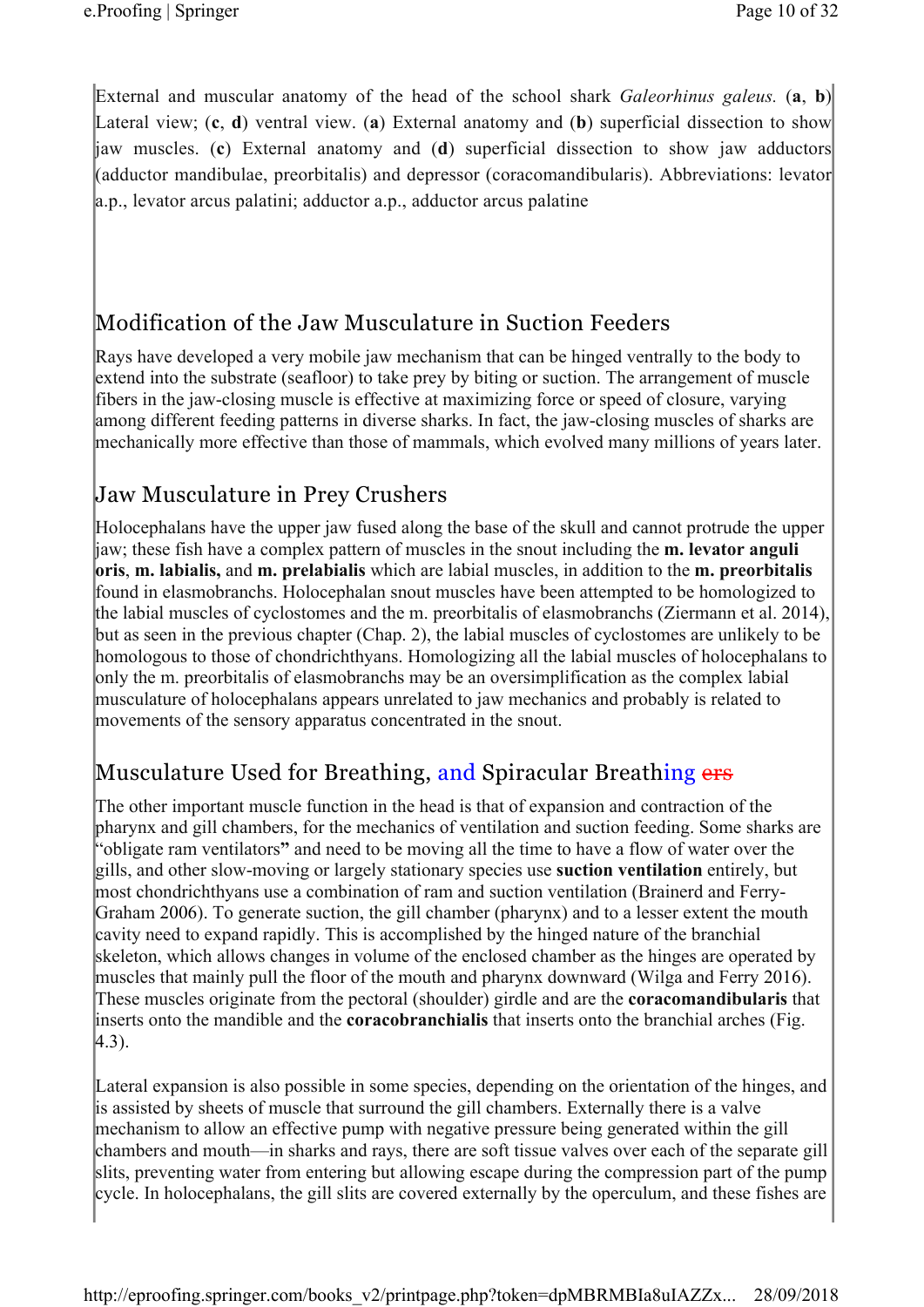External and muscular anatomy of the head of the school shark *Galeorhinus galeus.* (**a**, **b**) Lateral view; (**c**, **d**) ventral view. (**a**) External anatomy and (**b**) superficial dissection to show jaw muscles. (**c**) External anatomy and (**d**) superficial dissection to show jaw adductors (adductor mandibulae, preorbitalis) and depressor (coracomandibularis). Abbreviations: levator a.p., levator arcus palatini; adductor a.p., adductor arcus palatine

#### Modification of the Jaw Musculature in Suction Feeders

Rays have developed a very mobile jaw mechanism that can be hinged ventrally to the body to extend into the substrate (seafloor) to take prey by biting or suction. The arrangement of muscle fibers in the jaw-closing muscle is effective at maximizing force or speed of closure, varying among different feeding patterns in diverse sharks. In fact, the jaw-closing muscles of sharks are mechanically more effective than those of mammals, which evolved many millions of years later.

#### Jaw Musculature in Prey Crushers

Holocephalans have the upper jaw fused along the base of the skull and cannot protrude the upper jaw; these fish have a complex pattern of muscles in the snout including the **m. levator anguli oris**, **m. labialis,** and **m. prelabialis** which are labial muscles, in addition to the **m. preorbitalis** found in elasmobranchs. Holocephalan snout muscles have been attempted to be homologized to the labial muscles of cyclostomes and the m. preorbitalis of elasmobranchs (Ziermann et al. 2014), but as seen in the previous chapter (Chap. 2), the labial muscles of cyclostomes are unlikely to be homologous to those of chondrichthyans. Homologizing all the labial muscles of holocephalans to only the m. preorbitalis of elasmobranchs may be an oversimplification as the complex labial musculature of holocephalans appears unrelated to jaw mechanics and probably is related to movements of the sensory apparatus concentrated in the snout.

#### Musculature Used for Breathing, and Spiracular Breathing ers

The other important muscle function in the head is that of expansion and contraction of the pharynx and gill chambers, for the mechanics of ventilation and suction feeding. Some sharks are "obligate ram ventilators**"** and need to be moving all the time to have a flow of water over the gills, and other slow-moving or largely stationary species use **suction ventilation** entirely, but most chondrichthyans use a combination of ram and suction ventilation (Brainerd and Ferry-Graham 2006). To generate suction, the gill chamber (pharynx) and to a lesser extent the mouth cavity need to expand rapidly. This is accomplished by the hinged nature of the branchial skeleton, which allows changes in volume of the enclosed chamber as the hinges are operated by muscles that mainly pull the floor of the mouth and pharynx downward (Wilga and Ferry 2016). These muscles originate from the pectoral (shoulder) girdle and are the **coracomandibularis** that inserts onto the mandible and the **coracobranchialis** that inserts onto the branchial arches (Fig.  $|4.3)$ .

Lateral expansion is also possible in some species, depending on the orientation of the hinges, and is assisted by sheets of muscle that surround the gill chambers. Externally there is a valve mechanism to allow an effective pump with negative pressure being generated within the gill chambers and mouth—in sharks and rays, there are soft tissue valves over each of the separate gill slits, preventing water from entering but allowing escape during the compression part of the pump cycle. In holocephalans, the gill slits are covered externally by the operculum, and these fishes are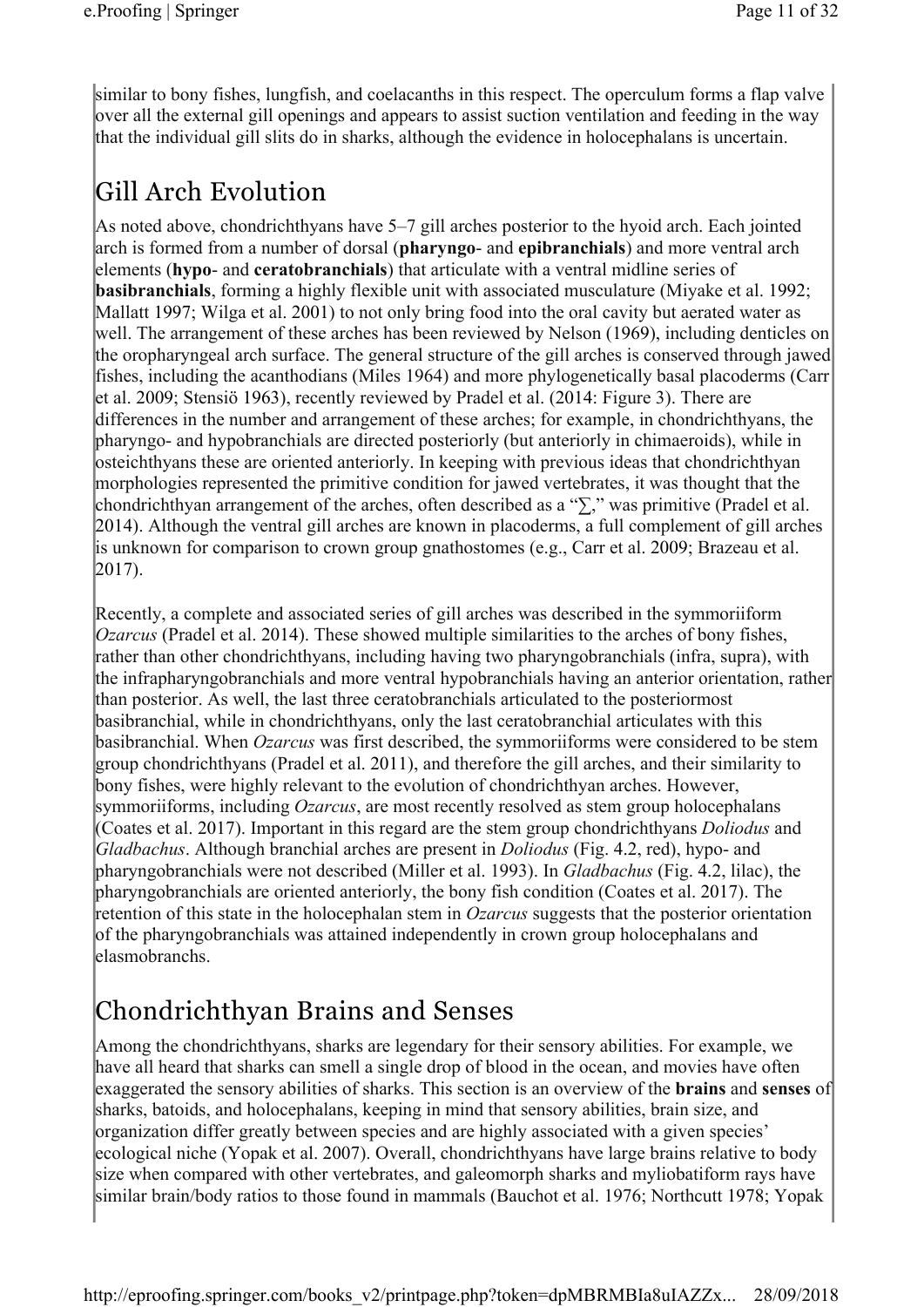similar to bony fishes, lungfish, and coelacanths in this respect. The operculum forms a flap valve over all the external gill openings and appears to assist suction ventilation and feeding in the way that the individual gill slits do in sharks, although the evidence in holocephalans is uncertain.

# Gill Arch Evolution

As noted above, chondrichthyans have 5–7 gill arches posterior to the hyoid arch. Each jointed arch is formed from a number of dorsal (**pharyngo**- and **epibranchials**) and more ventral arch elements (**hypo**- and **ceratobranchials**) that articulate with a ventral midline series of **basibranchials**, forming a highly flexible unit with associated musculature (Miyake et al. 1992; Mallatt 1997; Wilga et al. 2001) to not only bring food into the oral cavity but aerated water as well. The arrangement of these arches has been reviewed by Nelson (1969), including denticles on the oropharyngeal arch surface. The general structure of the gill arches is conserved through jawed fishes, including the acanthodians (Miles 1964) and more phylogenetically basal placoderms (Carr et al. 2009; Stensiö 1963), recently reviewed by Pradel et al. (2014: Figure 3). There are differences in the number and arrangement of these arches; for example, in chondrichthyans, the pharyngo- and hypobranchials are directed posteriorly (but anteriorly in chimaeroids), while in osteichthyans these are oriented anteriorly. In keeping with previous ideas that chondrichthyan morphologies represented the primitive condition for jawed vertebrates, it was thought that the chondrichthyan arrangement of the arches, often described as a "∑," was primitive (Pradel et al. 2014). Although the ventral gill arches are known in placoderms, a full complement of gill arches is unknown for comparison to crown group gnathostomes (e.g., Carr et al. 2009; Brazeau et al.  $|2017\rangle$ .

Recently, a complete and associated series of gill arches was described in the symmoriiform *Ozarcus* (Pradel et al. 2014). These showed multiple similarities to the arches of bony fishes, rather than other chondrichthyans, including having two pharyngobranchials (infra, supra), with the infrapharyngobranchials and more ventral hypobranchials having an anterior orientation, rather than posterior. As well, the last three ceratobranchials articulated to the posteriormost basibranchial, while in chondrichthyans, only the last ceratobranchial articulates with this basibranchial. When *Ozarcus* was first described, the symmoriiforms were considered to be stem group chondrichthyans (Pradel et al. 2011), and therefore the gill arches, and their similarity to bony fishes, were highly relevant to the evolution of chondrichthyan arches. However, symmoriiforms, including *Ozarcus*, are most recently resolved as stem group holocephalans (Coates et al. 2017). Important in this regard are the stem group chondrichthyans *Doliodus* and *Gladbachus*. Although branchial arches are present in *Doliodus* (Fig. 4.2, red), hypo- and pharyngobranchials were not described (Miller et al. 1993). In *Gladbachus* (Fig. 4.2, lilac), the pharyngobranchials are oriented anteriorly, the bony fish condition (Coates et al. 2017). The retention of this state in the holocephalan stem in *Ozarcus* suggests that the posterior orientation of the pharyngobranchials was attained independently in crown group holocephalans and elasmobranchs.

## Chondrichthyan Brains and Senses

Among the chondrichthyans, sharks are legendary for their sensory abilities. For example, we have all heard that sharks can smell a single drop of blood in the ocean, and movies have often exaggerated the sensory abilities of sharks. This section is an overview of the **brains** and **senses** of sharks, batoids, and holocephalans, keeping in mind that sensory abilities, brain size, and organization differ greatly between species and are highly associated with a given species' ecological niche (Yopak et al. 2007). Overall, chondrichthyans have large brains relative to body size when compared with other vertebrates, and galeomorph sharks and myliobatiform rays have similar brain/body ratios to those found in mammals (Bauchot et al. 1976; Northcutt 1978; Yopak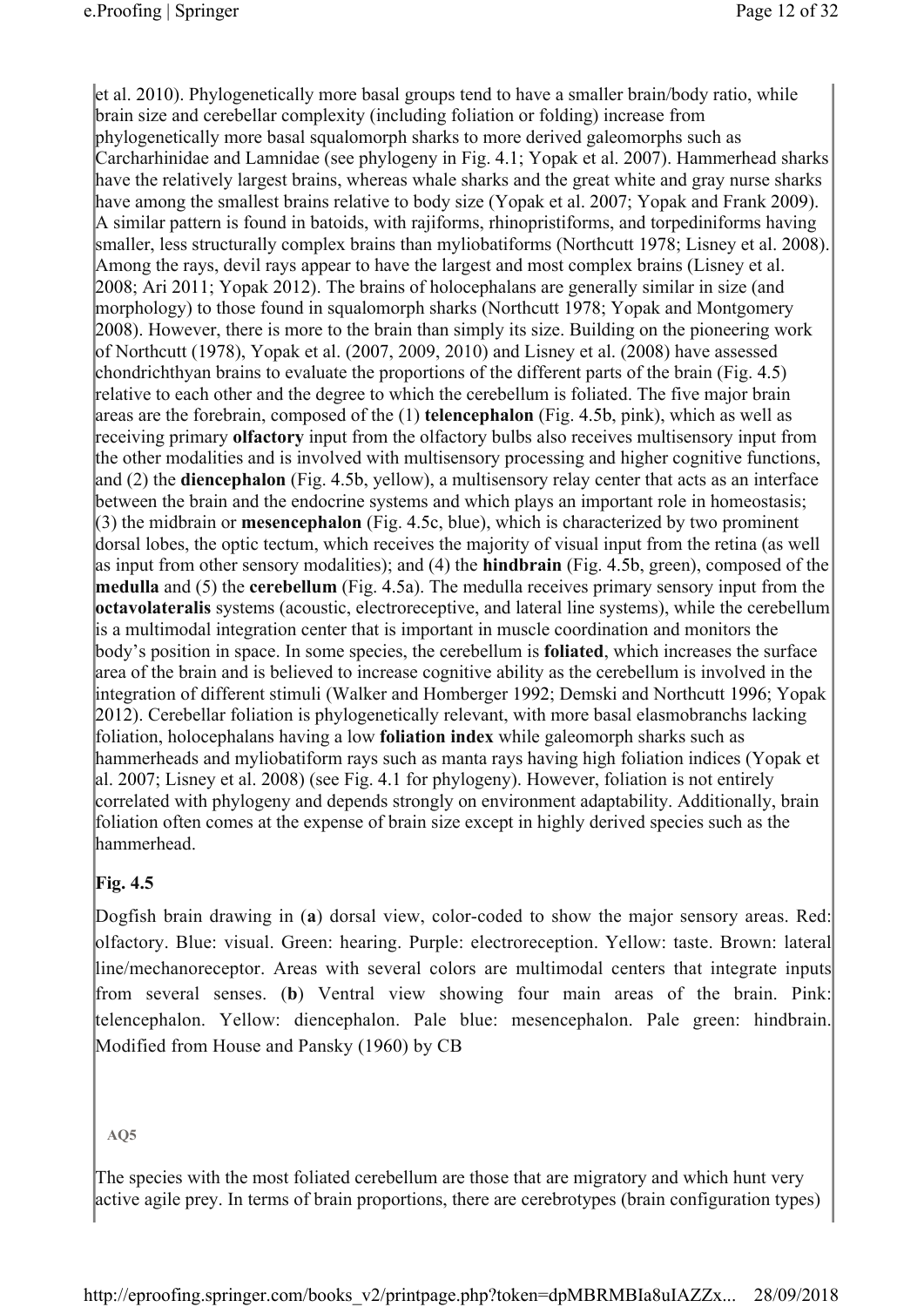et al. 2010). Phylogenetically more basal groups tend to have a smaller brain/body ratio, while brain size and cerebellar complexity (including foliation or folding) increase from phylogenetically more basal squalomorph sharks to more derived galeomorphs such as Carcharhinidae and Lamnidae (see phylogeny in Fig. 4.1; Yopak et al. 2007). Hammerhead sharks have the relatively largest brains, whereas whale sharks and the great white and gray nurse sharks have among the smallest brains relative to body size (Yopak et al. 2007; Yopak and Frank 2009). A similar pattern is found in batoids, with rajiforms, rhinopristiforms, and torpediniforms having smaller, less structurally complex brains than myliobatiforms (Northcutt 1978; Lisney et al. 2008). Among the rays, devil rays appear to have the largest and most complex brains (Lisney et al. 2008; Ari 2011; Yopak 2012). The brains of holocephalans are generally similar in size (and morphology) to those found in squalomorph sharks (Northcutt 1978; Yopak and Montgomery 2008). However, there is more to the brain than simply its size. Building on the pioneering work of Northcutt (1978), Yopak et al. (2007, 2009, 2010) and Lisney et al. (2008) have assessed chondrichthyan brains to evaluate the proportions of the different parts of the brain (Fig. 4.5) relative to each other and the degree to which the cerebellum is foliated. The five major brain areas are the forebrain, composed of the (1) **telencephalon** (Fig. 4.5b, pink), which as well as receiving primary **olfactory** input from the olfactory bulbs also receives multisensory input from the other modalities and is involved with multisensory processing and higher cognitive functions, and (2) the **diencephalon** (Fig. 4.5b, yellow), a multisensory relay center that acts as an interface between the brain and the endocrine systems and which plays an important role in homeostasis; (3) the midbrain or **mesencephalon** (Fig. 4.5c, blue), which is characterized by two prominent dorsal lobes, the optic tectum, which receives the majority of visual input from the retina (as well as input from other sensory modalities); and (4) the **hindbrain** (Fig. 4.5b, green), composed of the **medulla** and (5) the **cerebellum** (Fig. 4.5a). The medulla receives primary sensory input from the **octavolateralis** systems (acoustic, electroreceptive, and lateral line systems), while the cerebellum is a multimodal integration center that is important in muscle coordination and monitors the body's position in space. In some species, the cerebellum is **foliated**, which increases the surface area of the brain and is believed to increase cognitive ability as the cerebellum is involved in the integration of different stimuli (Walker and Homberger 1992; Demski and Northcutt 1996; Yopak 2012). Cerebellar foliation is phylogenetically relevant, with more basal elasmobranchs lacking foliation, holocephalans having a low **foliation index** while galeomorph sharks such as hammerheads and myliobatiform rays such as manta rays having high foliation indices (Yopak et al. 2007; Lisney et al. 2008) (see Fig. 4.1 for phylogeny). However, foliation is not entirely correlated with phylogeny and depends strongly on environment adaptability. Additionally, brain foliation often comes at the expense of brain size except in highly derived species such as the hammerhead.

#### **Fig. 4.5**

Dogfish brain drawing in (**a**) dorsal view, color-coded to show the major sensory areas. Red: olfactory. Blue: visual. Green: hearing. Purple: electroreception. Yellow: taste. Brown: lateral line/mechanoreceptor. Areas with several colors are multimodal centers that integrate inputs from several senses. (**b**) Ventral view showing four main areas of the brain. Pink: telencephalon. Yellow: diencephalon. Pale blue: mesencephalon. Pale green: hindbrain. Modified from House and Pansky (1960) by CB

**AQ5**

The species with the most foliated cerebellum are those that are migratory and which hunt very active agile prey. In terms of brain proportions, there are cerebrotypes (brain configuration types)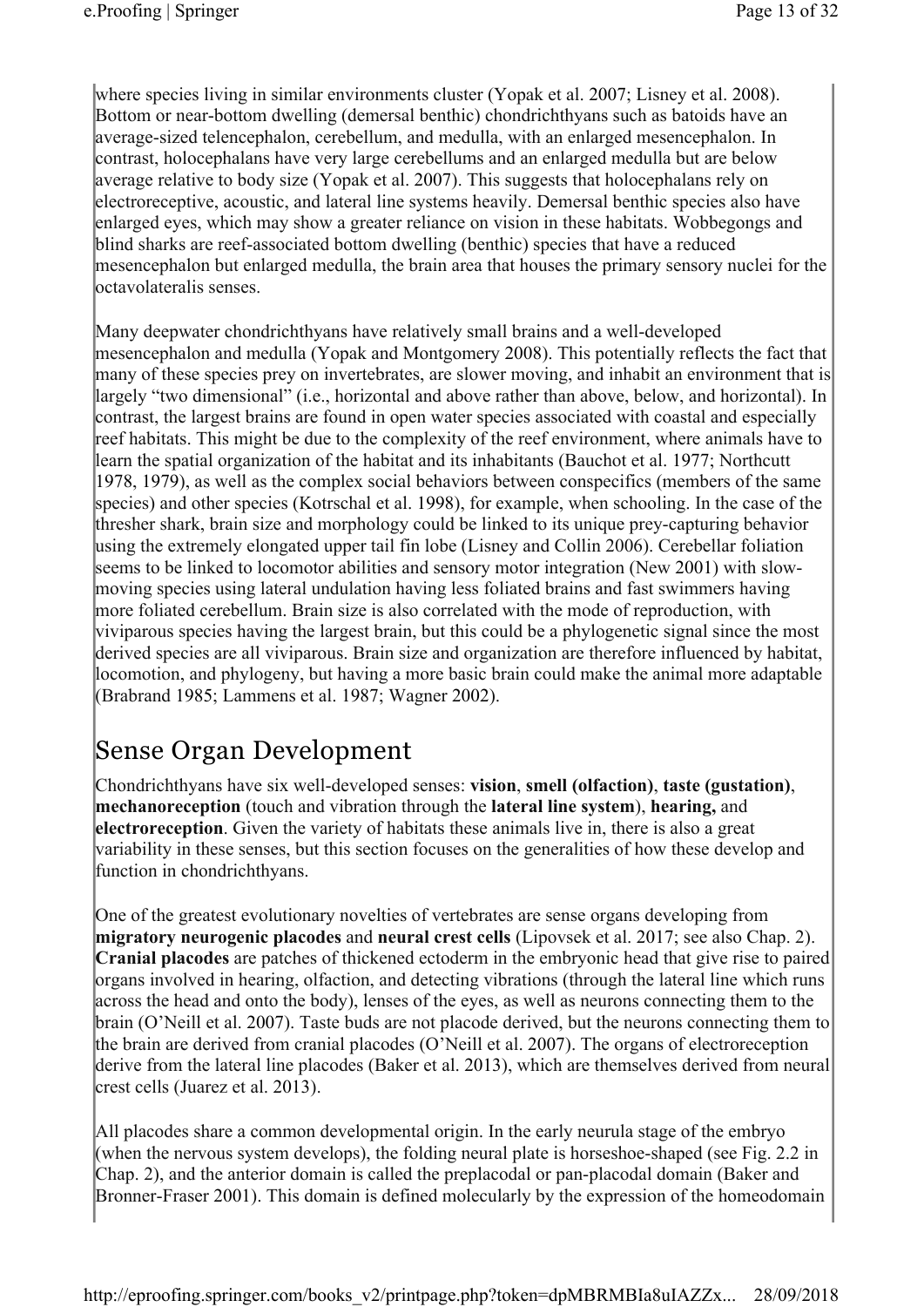where species living in similar environments cluster (Yopak et al. 2007; Lisney et al. 2008). Bottom or near-bottom dwelling (demersal benthic) chondrichthyans such as batoids have an average-sized telencephalon, cerebellum, and medulla, with an enlarged mesencephalon. In contrast, holocephalans have very large cerebellums and an enlarged medulla but are below average relative to body size (Yopak et al. 2007). This suggests that holocephalans rely on electroreceptive, acoustic, and lateral line systems heavily. Demersal benthic species also have enlarged eyes, which may show a greater reliance on vision in these habitats. Wobbegongs and blind sharks are reef-associated bottom dwelling (benthic) species that have a reduced mesencephalon but enlarged medulla, the brain area that houses the primary sensory nuclei for the octavolateralis senses.

Many deepwater chondrichthyans have relatively small brains and a well-developed mesencephalon and medulla (Yopak and Montgomery 2008). This potentially reflects the fact that many of these species prey on invertebrates, are slower moving, and inhabit an environment that is largely "two dimensional" (i.e., horizontal and above rather than above, below, and horizontal). In contrast, the largest brains are found in open water species associated with coastal and especially reef habitats. This might be due to the complexity of the reef environment, where animals have to learn the spatial organization of the habitat and its inhabitants (Bauchot et al. 1977; Northcutt 1978, 1979), as well as the complex social behaviors between conspecifics (members of the same species) and other species (Kotrschal et al. 1998), for example, when schooling. In the case of the thresher shark, brain size and morphology could be linked to its unique prey-capturing behavior using the extremely elongated upper tail fin lobe (Lisney and Collin 2006). Cerebellar foliation seems to be linked to locomotor abilities and sensory motor integration (New 2001) with slowmoving species using lateral undulation having less foliated brains and fast swimmers having more foliated cerebellum. Brain size is also correlated with the mode of reproduction, with viviparous species having the largest brain, but this could be a phylogenetic signal since the most derived species are all viviparous. Brain size and organization are therefore influenced by habitat, locomotion, and phylogeny, but having a more basic brain could make the animal more adaptable (Brabrand 1985; Lammens et al. 1987; Wagner 2002).

### Sense Organ Development

Chondrichthyans have six well-developed senses: **vision**, **smell (olfaction)**, **taste (gustation)**, **mechanoreception** (touch and vibration through the **lateral line system**), **hearing,** and **electroreception**. Given the variety of habitats these animals live in, there is also a great variability in these senses, but this section focuses on the generalities of how these develop and function in chondrichthyans.

One of the greatest evolutionary novelties of vertebrates are sense organs developing from **migratory neurogenic placodes** and **neural crest cells** (Lipovsek et al. 2017; see also Chap. 2). **Cranial placodes** are patches of thickened ectoderm in the embryonic head that give rise to paired organs involved in hearing, olfaction, and detecting vibrations (through the lateral line which runs across the head and onto the body), lenses of the eyes, as well as neurons connecting them to the brain (O'Neill et al. 2007). Taste buds are not placode derived, but the neurons connecting them to the brain are derived from cranial placodes (O'Neill et al. 2007). The organs of electroreception derive from the lateral line placodes (Baker et al. 2013), which are themselves derived from neural crest cells (Juarez et al. 2013).

All placodes share a common developmental origin. In the early neurula stage of the embryo (when the nervous system develops), the folding neural plate is horseshoe-shaped (see Fig. 2.2 in Chap. 2), and the anterior domain is called the preplacodal or pan-placodal domain (Baker and Bronner-Fraser 2001). This domain is defined molecularly by the expression of the homeodomain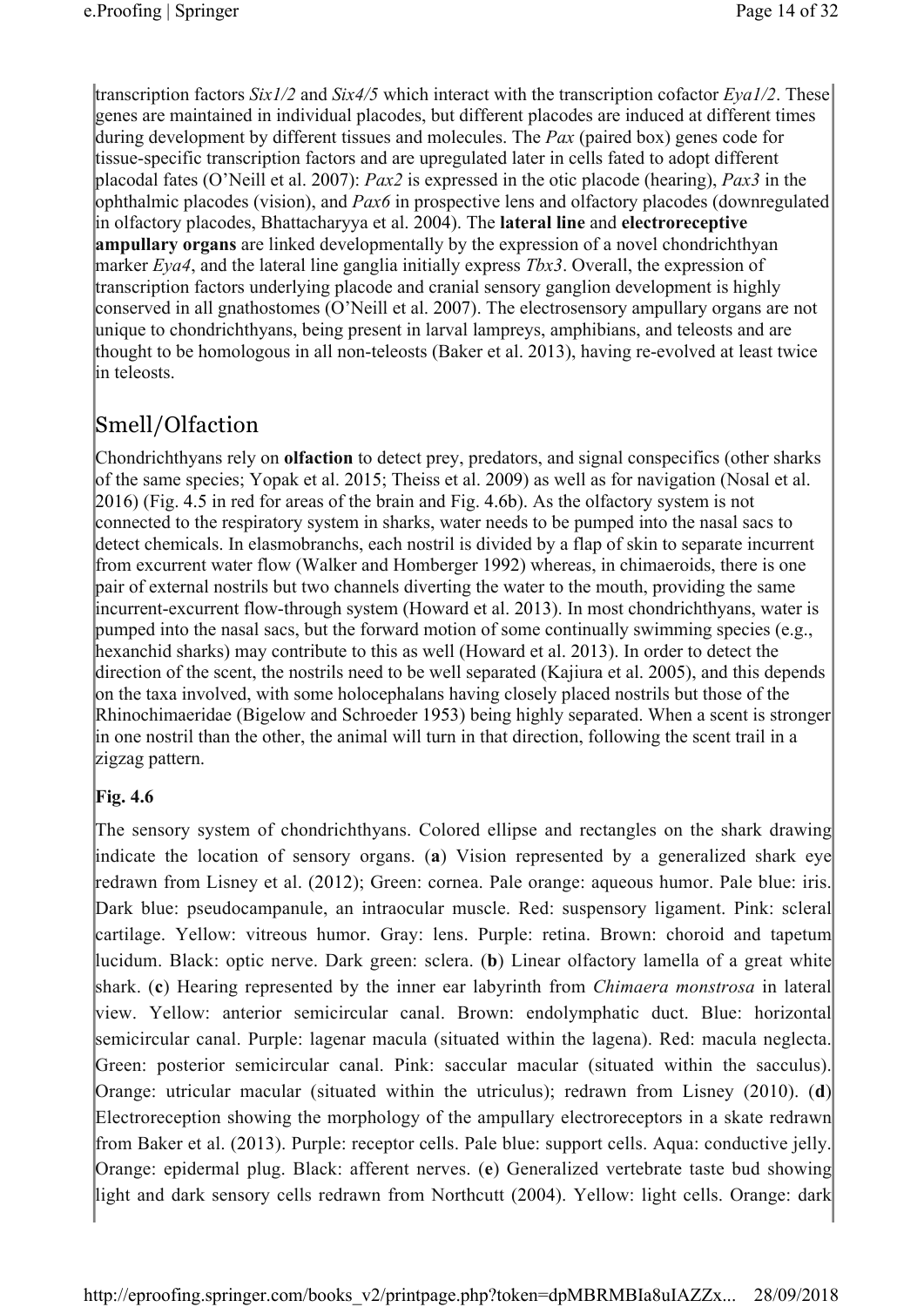transcription factors *Six1/2* and *Six4/5* which interact with the transcription cofactor *Eya1/2*. These genes are maintained in individual placodes, but different placodes are induced at different times during development by different tissues and molecules. The *Pax* (paired box) genes code for tissue-specific transcription factors and are upregulated later in cells fated to adopt different placodal fates (O'Neill et al. 2007): *Pax2* is expressed in the otic placode (hearing), *Pax3* in the ophthalmic placodes (vision), and *Pax6* in prospective lens and olfactory placodes (downregulated in olfactory placodes, Bhattacharyya et al. 2004). The **lateral line** and **electroreceptive ampullary organs** are linked developmentally by the expression of a novel chondrichthyan marker *Eya4*, and the lateral line ganglia initially express *Tbx3*. Overall, the expression of transcription factors underlying placode and cranial sensory ganglion development is highly conserved in all gnathostomes (O'Neill et al. 2007). The electrosensory ampullary organs are not unique to chondrichthyans, being present in larval lampreys, amphibians, and teleosts and are thought to be homologous in all non-teleosts (Baker et al. 2013), having re-evolved at least twice in teleosts.

### Smell/Olfaction

Chondrichthyans rely on **olfaction** to detect prey, predators, and signal conspecifics (other sharks of the same species; Yopak et al. 2015; Theiss et al. 2009) as well as for navigation (Nosal et al. 2016) (Fig. 4.5 in red for areas of the brain and Fig. 4.6b). As the olfactory system is not connected to the respiratory system in sharks, water needs to be pumped into the nasal sacs to detect chemicals. In elasmobranchs, each nostril is divided by a flap of skin to separate incurrent from excurrent water flow (Walker and Homberger 1992) whereas, in chimaeroids, there is one pair of external nostrils but two channels diverting the water to the mouth, providing the same incurrent-excurrent flow-through system (Howard et al. 2013). In most chondrichthyans, water is pumped into the nasal sacs, but the forward motion of some continually swimming species (e.g., hexanchid sharks) may contribute to this as well (Howard et al. 2013). In order to detect the direction of the scent, the nostrils need to be well separated (Kajiura et al. 2005), and this depends on the taxa involved, with some holocephalans having closely placed nostrils but those of the Rhinochimaeridae (Bigelow and Schroeder 1953) being highly separated. When a scent is stronger in one nostril than the other, the animal will turn in that direction, following the scent trail in a zigzag pattern.

#### **Fig. 4.6**

The sensory system of chondrichthyans. Colored ellipse and rectangles on the shark drawing indicate the location of sensory organs. (**a**) Vision represented by a generalized shark eye redrawn from Lisney et al. (2012); Green: cornea. Pale orange: aqueous humor. Pale blue: iris. Dark blue: pseudocampanule, an intraocular muscle. Red: suspensory ligament. Pink: scleral cartilage. Yellow: vitreous humor. Gray: lens. Purple: retina. Brown: choroid and tapetum lucidum. Black: optic nerve. Dark green: sclera. (**b**) Linear olfactory lamella of a great white shark. (**c**) Hearing represented by the inner ear labyrinth from *Chimaera monstrosa* in lateral view. Yellow: anterior semicircular canal. Brown: endolymphatic duct. Blue: horizontal semicircular canal. Purple: lagenar macula (situated within the lagena). Red: macula neglecta. Green: posterior semicircular canal. Pink: saccular macular (situated within the sacculus). Orange: utricular macular (situated within the utriculus); redrawn from Lisney (2010). (**d**) Electroreception showing the morphology of the ampullary electroreceptors in a skate redrawn from Baker et al. (2013). Purple: receptor cells. Pale blue: support cells. Aqua: conductive jelly. Orange: epidermal plug. Black: afferent nerves. (**e**) Generalized vertebrate taste bud showing light and dark sensory cells redrawn from Northcutt (2004). Yellow: light cells. Orange: dark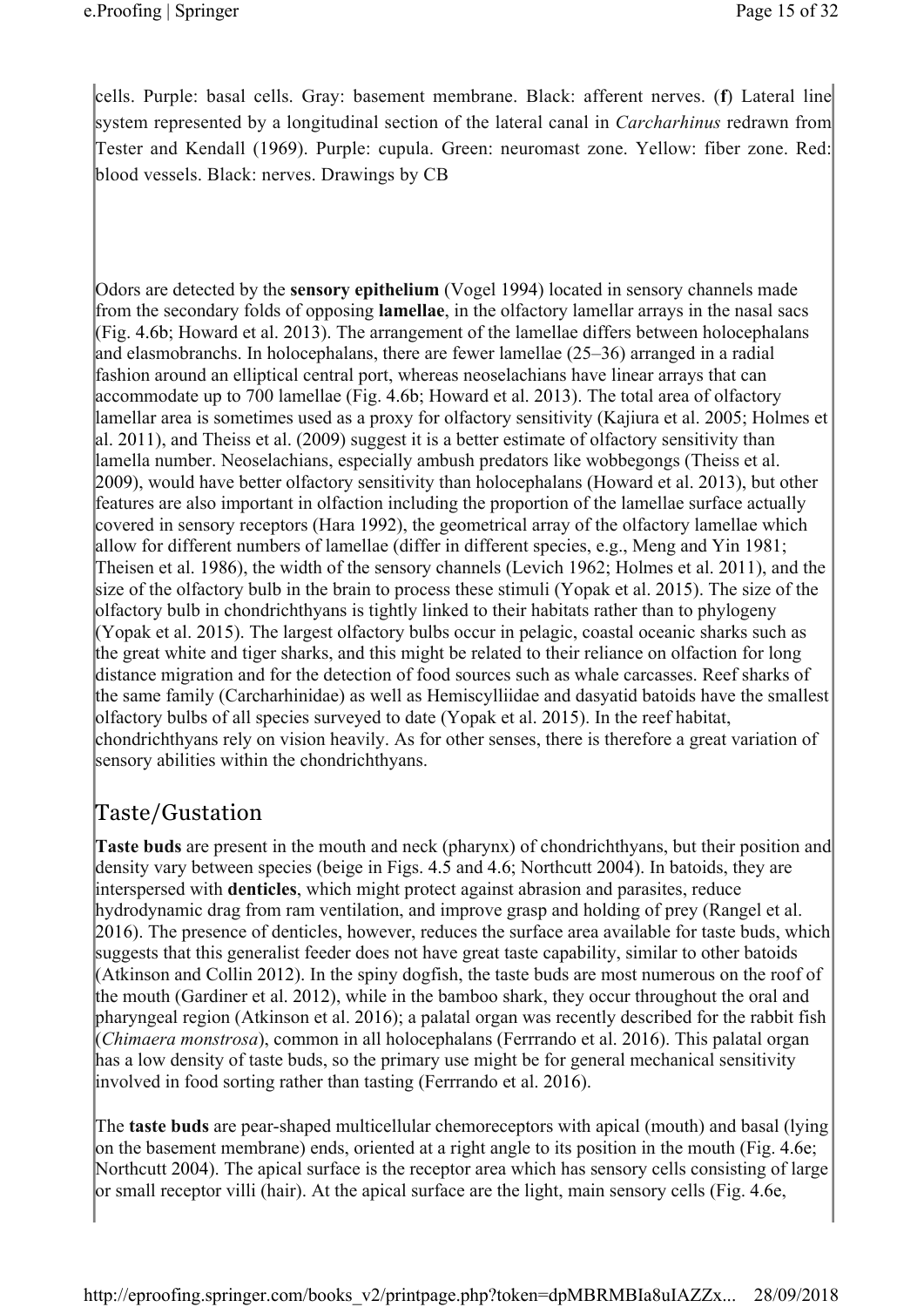cells. Purple: basal cells. Gray: basement membrane. Black: afferent nerves. (**f**) Lateral line system represented by a longitudinal section of the lateral canal in *Carcharhinus* redrawn from Tester and Kendall (1969). Purple: cupula. Green: neuromast zone. Yellow: fiber zone. Red: blood vessels. Black: nerves. Drawings by CB

Odors are detected by the **sensory epithelium** (Vogel 1994) located in sensory channels made from the secondary folds of opposing **lamellae**, in the olfactory lamellar arrays in the nasal sacs (Fig. 4.6b; Howard et al. 2013). The arrangement of the lamellae differs between holocephalans and elasmobranchs. In holocephalans, there are fewer lamellae (25–36) arranged in a radial fashion around an elliptical central port, whereas neoselachians have linear arrays that can accommodate up to 700 lamellae (Fig. 4.6b; Howard et al. 2013). The total area of olfactory lamellar area is sometimes used as a proxy for olfactory sensitivity (Kajiura et al. 2005; Holmes et al. 2011), and Theiss et al. (2009) suggest it is a better estimate of olfactory sensitivity than lamella number. Neoselachians, especially ambush predators like wobbegongs (Theiss et al. 2009), would have better olfactory sensitivity than holocephalans (Howard et al. 2013), but other features are also important in olfaction including the proportion of the lamellae surface actually covered in sensory receptors (Hara 1992), the geometrical array of the olfactory lamellae which allow for different numbers of lamellae (differ in different species, e.g., Meng and Yin 1981; Theisen et al. 1986), the width of the sensory channels (Levich 1962; Holmes et al. 2011), and the size of the olfactory bulb in the brain to process these stimuli (Yopak et al. 2015). The size of the olfactory bulb in chondrichthyans is tightly linked to their habitats rather than to phylogeny (Yopak et al. 2015). The largest olfactory bulbs occur in pelagic, coastal oceanic sharks such as the great white and tiger sharks, and this might be related to their reliance on olfaction for long distance migration and for the detection of food sources such as whale carcasses. Reef sharks of the same family (Carcharhinidae) as well as Hemiscylliidae and dasyatid batoids have the smallest olfactory bulbs of all species surveyed to date (Yopak et al. 2015). In the reef habitat, chondrichthyans rely on vision heavily. As for other senses, there is therefore a great variation of sensory abilities within the chondrichthyans.

### Taste/Gustation

**Taste buds** are present in the mouth and neck (pharynx) of chondrichthyans, but their position and density vary between species (beige in Figs. 4.5 and 4.6; Northcutt 2004). In batoids, they are interspersed with **denticles**, which might protect against abrasion and parasites, reduce hydrodynamic drag from ram ventilation, and improve grasp and holding of prey (Rangel et al. 2016). The presence of denticles, however, reduces the surface area available for taste buds, which suggests that this generalist feeder does not have great taste capability, similar to other batoids (Atkinson and Collin 2012). In the spiny dogfish, the taste buds are most numerous on the roof of the mouth (Gardiner et al. 2012), while in the bamboo shark, they occur throughout the oral and pharyngeal region (Atkinson et al. 2016); a palatal organ was recently described for the rabbit fish (*Chimaera monstrosa*), common in all holocephalans (Ferrrando et al. 2016). This palatal organ has a low density of taste buds, so the primary use might be for general mechanical sensitivity involved in food sorting rather than tasting (Ferrrando et al. 2016).

The **taste buds** are pear-shaped multicellular chemoreceptors with apical (mouth) and basal (lying on the basement membrane) ends, oriented at a right angle to its position in the mouth (Fig. 4.6e; Northcutt 2004). The apical surface is the receptor area which has sensory cells consisting of large or small receptor villi (hair). At the apical surface are the light, main sensory cells (Fig. 4.6e,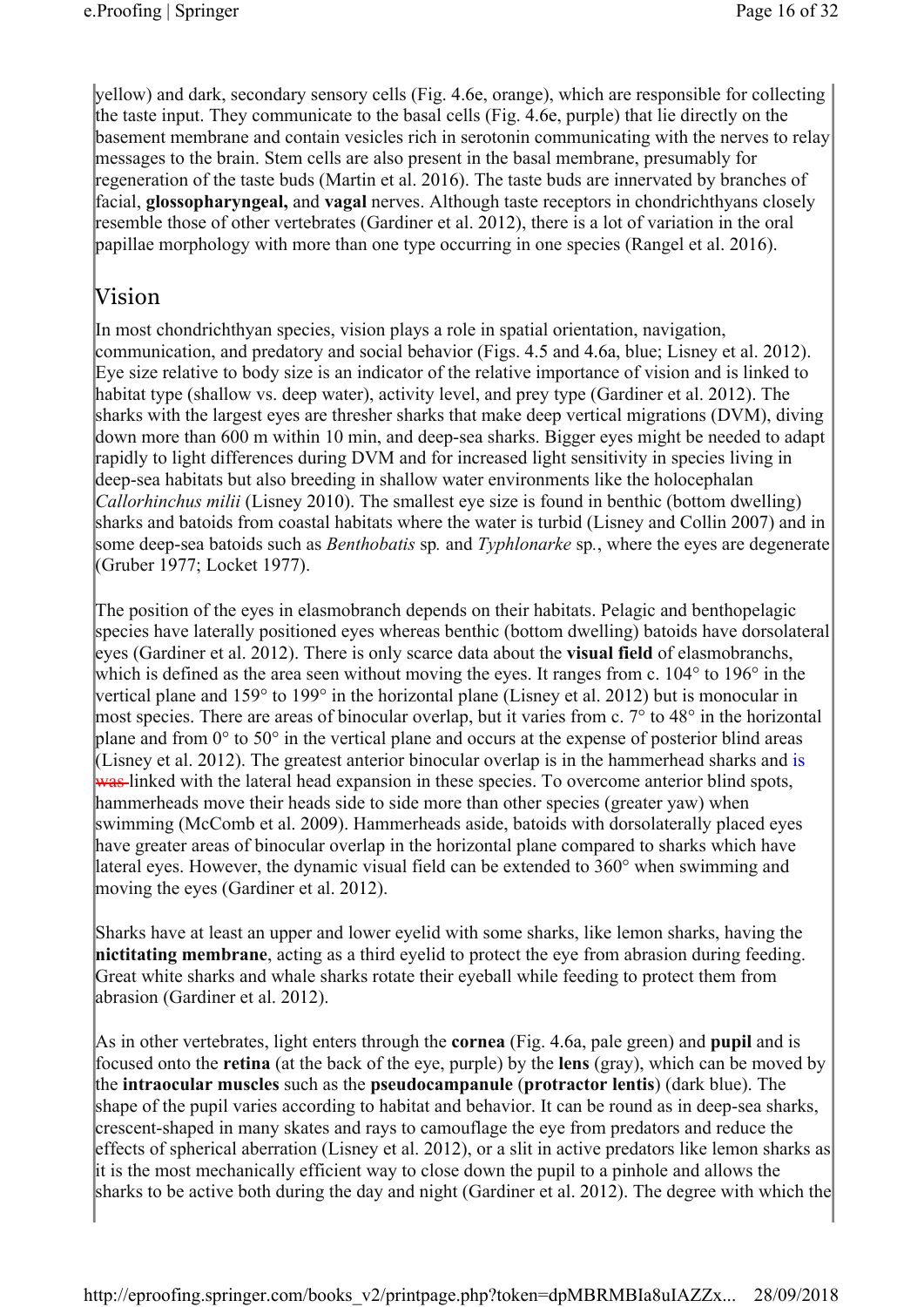yellow) and dark, secondary sensory cells (Fig. 4.6e, orange), which are responsible for collecting the taste input. They communicate to the basal cells (Fig. 4.6e, purple) that lie directly on the basement membrane and contain vesicles rich in serotonin communicating with the nerves to relay messages to the brain. Stem cells are also present in the basal membrane, presumably for regeneration of the taste buds (Martin et al. 2016). The taste buds are innervated by branches of facial, **glossopharyngeal,** and **vagal** nerves. Although taste receptors in chondrichthyans closely resemble those of other vertebrates (Gardiner et al. 2012), there is a lot of variation in the oral papillae morphology with more than one type occurring in one species (Rangel et al. 2016).

#### Vision

In most chondrichthyan species, vision plays a role in spatial orientation, navigation, communication, and predatory and social behavior (Figs. 4.5 and 4.6a, blue; Lisney et al. 2012). Eye size relative to body size is an indicator of the relative importance of vision and is linked to habitat type (shallow vs. deep water), activity level, and prey type (Gardiner et al. 2012). The sharks with the largest eyes are thresher sharks that make deep vertical migrations (DVM), diving down more than 600 m within 10 min, and deep-sea sharks. Bigger eyes might be needed to adapt rapidly to light differences during DVM and for increased light sensitivity in species living in deep-sea habitats but also breeding in shallow water environments like the holocephalan *Callorhinchus milii* (Lisney 2010). The smallest eye size is found in benthic (bottom dwelling) sharks and batoids from coastal habitats where the water is turbid (Lisney and Collin 2007) and in some deep-sea batoids such as *Benthobatis* sp*.* and *Typhlonarke* sp*.*, where the eyes are degenerate (Gruber 1977; Locket 1977).

The position of the eyes in elasmobranch depends on their habitats. Pelagic and benthopelagic species have laterally positioned eyes whereas benthic (bottom dwelling) batoids have dorsolateral eyes (Gardiner et al. 2012). There is only scarce data about the **visual field** of elasmobranchs, which is defined as the area seen without moving the eyes. It ranges from c. 104<sup>o</sup> to 196<sup>o</sup> in the vertical plane and 159° to 199° in the horizontal plane (Lisney et al. 2012) but is monocular in most species. There are areas of binocular overlap, but it varies from c. 7° to 48° in the horizontal plane and from 0° to 50° in the vertical plane and occurs at the expense of posterior blind areas (Lisney et al. 2012). The greatest anterior binocular overlap is in the hammerhead sharks and is was linked with the lateral head expansion in these species. To overcome anterior blind spots, hammerheads move their heads side to side more than other species (greater yaw) when swimming (McComb et al. 2009). Hammerheads aside, batoids with dorsolaterally placed eyes have greater areas of binocular overlap in the horizontal plane compared to sharks which have lateral eyes. However, the dynamic visual field can be extended to 360° when swimming and moving the eyes (Gardiner et al. 2012).

Sharks have at least an upper and lower eyelid with some sharks, like lemon sharks, having the **nictitating membrane**, acting as a third eyelid to protect the eye from abrasion during feeding. Great white sharks and whale sharks rotate their eyeball while feeding to protect them from abrasion (Gardiner et al. 2012).

As in other vertebrates, light enters through the **cornea** (Fig. 4.6a, pale green) and **pupil** and is focused onto the **retina** (at the back of the eye, purple) by the **lens** (gray), which can be moved by the **intraocular muscles** such as the **pseudocampanule** (**protractor lentis**) (dark blue). The shape of the pupil varies according to habitat and behavior. It can be round as in deep-sea sharks, crescent-shaped in many skates and rays to camouflage the eye from predators and reduce the effects of spherical aberration (Lisney et al. 2012), or a slit in active predators like lemon sharks as it is the most mechanically efficient way to close down the pupil to a pinhole and allows the sharks to be active both during the day and night (Gardiner et al. 2012). The degree with which the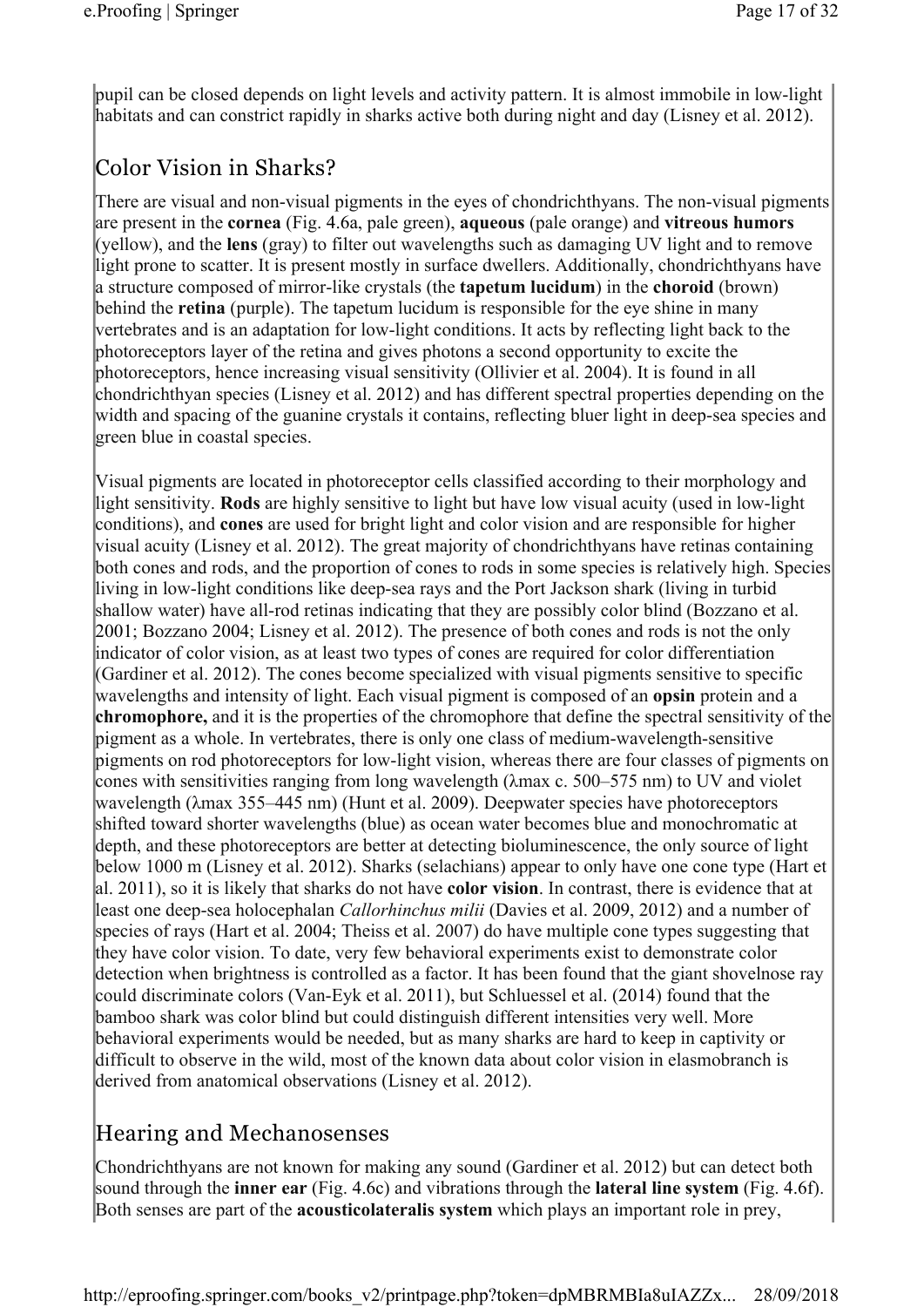pupil can be closed depends on light levels and activity pattern. It is almost immobile in low-light habitats and can constrict rapidly in sharks active both during night and day (Lisney et al. 2012).

### Color Vision in Sharks?

There are visual and non-visual pigments in the eyes of chondrichthyans. The non-visual pigments are present in the **cornea** (Fig. 4.6a, pale green), **aqueous** (pale orange) and **vitreous humors** (yellow), and the **lens** (gray) to filter out wavelengths such as damaging UV light and to remove light prone to scatter. It is present mostly in surface dwellers. Additionally, chondrichthyans have a structure composed of mirror-like crystals (the **tapetum lucidum**) in the **choroid** (brown) behind the **retina** (purple). The tapetum lucidum is responsible for the eye shine in many vertebrates and is an adaptation for low-light conditions. It acts by reflecting light back to the photoreceptors layer of the retina and gives photons a second opportunity to excite the photoreceptors, hence increasing visual sensitivity (Ollivier et al. 2004). It is found in all chondrichthyan species (Lisney et al. 2012) and has different spectral properties depending on the width and spacing of the guanine crystals it contains, reflecting bluer light in deep-sea species and green blue in coastal species.

Visual pigments are located in photoreceptor cells classified according to their morphology and light sensitivity. **Rods** are highly sensitive to light but have low visual acuity (used in low-light conditions), and **cones** are used for bright light and color vision and are responsible for higher visual acuity (Lisney et al. 2012). The great majority of chondrichthyans have retinas containing both cones and rods, and the proportion of cones to rods in some species is relatively high. Species living in low-light conditions like deep-sea rays and the Port Jackson shark (living in turbid shallow water) have all-rod retinas indicating that they are possibly color blind (Bozzano et al. 2001; Bozzano 2004; Lisney et al. 2012). The presence of both cones and rods is not the only indicator of color vision, as at least two types of cones are required for color differentiation (Gardiner et al. 2012). The cones become specialized with visual pigments sensitive to specific wavelengths and intensity of light. Each visual pigment is composed of an **opsin** protein and a **chromophore,** and it is the properties of the chromophore that define the spectral sensitivity of the pigment as a whole. In vertebrates, there is only one class of medium-wavelength-sensitive pigments on rod photoreceptors for low-light vision, whereas there are four classes of pigments on cones with sensitivities ranging from long wavelength (λmax c. 500–575 nm) to UV and violet wavelength (λmax 355–445 nm) (Hunt et al. 2009). Deepwater species have photoreceptors shifted toward shorter wavelengths (blue) as ocean water becomes blue and monochromatic at depth, and these photoreceptors are better at detecting bioluminescence, the only source of light below 1000 m (Lisney et al. 2012). Sharks (selachians) appear to only have one cone type (Hart et al. 2011), so it is likely that sharks do not have **color vision**. In contrast, there is evidence that at least one deep-sea holocephalan *Callorhinchus milii* (Davies et al. 2009, 2012) and a number of species of rays (Hart et al. 2004; Theiss et al. 2007) do have multiple cone types suggesting that they have color vision. To date, very few behavioral experiments exist to demonstrate color detection when brightness is controlled as a factor. It has been found that the giant shovelnose ray could discriminate colors (Van-Eyk et al. 2011), but Schluessel et al. (2014) found that the bamboo shark was color blind but could distinguish different intensities very well. More behavioral experiments would be needed, but as many sharks are hard to keep in captivity or difficult to observe in the wild, most of the known data about color vision in elasmobranch is derived from anatomical observations (Lisney et al. 2012).

#### Hearing and Mechanosenses

Chondrichthyans are not known for making any sound (Gardiner et al. 2012) but can detect both sound through the **inner ear** (Fig. 4.6c) and vibrations through the **lateral line system** (Fig. 4.6f). Both senses are part of the **acousticolateralis system** which plays an important role in prey,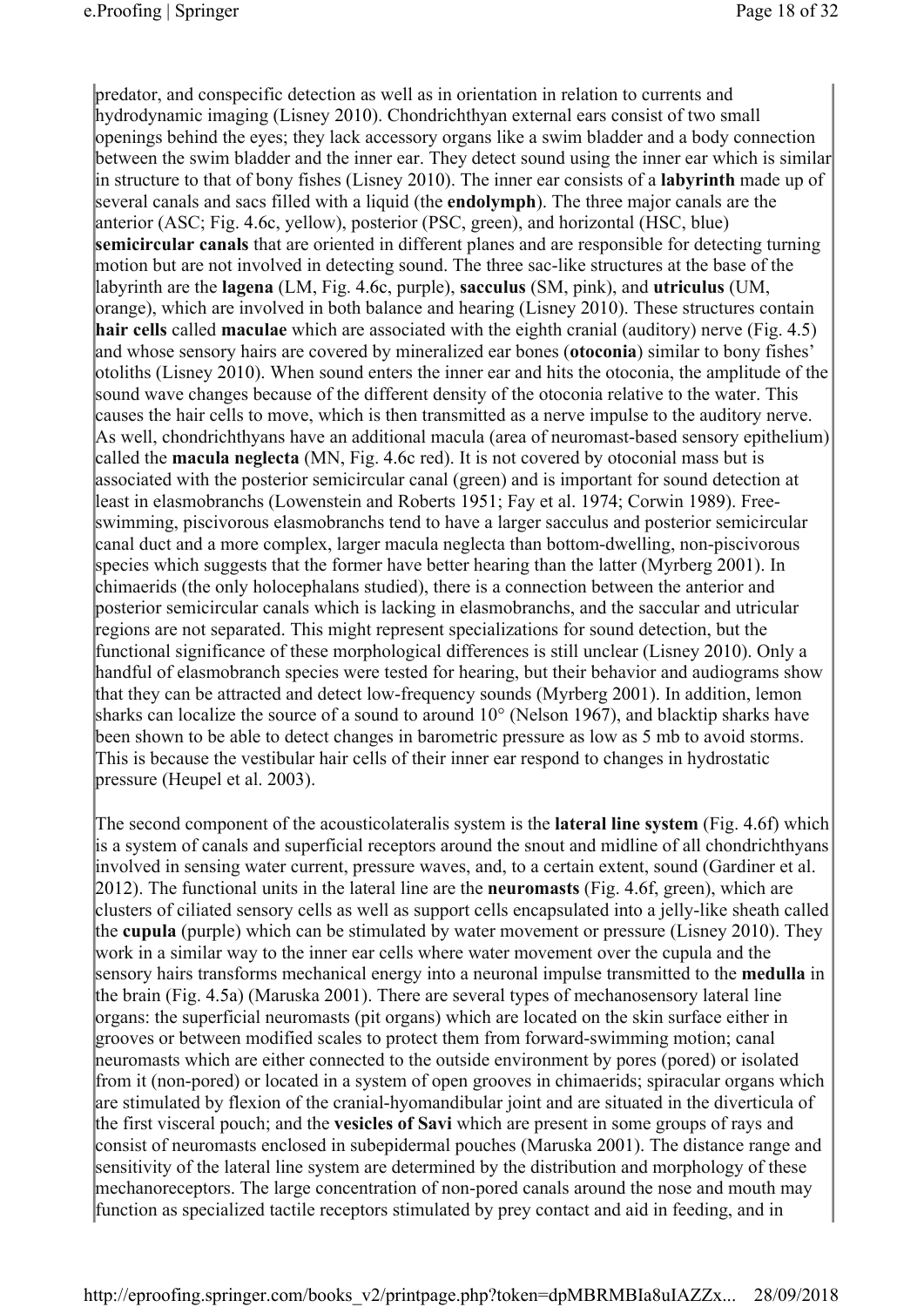predator, and conspecific detection as well as in orientation in relation to currents and hydrodynamic imaging (Lisney 2010). Chondrichthyan external ears consist of two small openings behind the eyes; they lack accessory organs like a swim bladder and a body connection between the swim bladder and the inner ear. They detect sound using the inner ear which is similar in structure to that of bony fishes (Lisney 2010). The inner ear consists of a **labyrinth** made up of several canals and sacs filled with a liquid (the **endolymph**). The three major canals are the anterior (ASC; Fig. 4.6c, yellow), posterior (PSC, green), and horizontal (HSC, blue) **semicircular canals** that are oriented in different planes and are responsible for detecting turning motion but are not involved in detecting sound. The three sac-like structures at the base of the labyrinth are the **lagena** (LM, Fig. 4.6c, purple), **sacculus** (SM, pink), and **utriculus** (UM, orange), which are involved in both balance and hearing (Lisney 2010). These structures contain **hair cells** called **maculae** which are associated with the eighth cranial (auditory) nerve (Fig. 4.5) and whose sensory hairs are covered by mineralized ear bones (**otoconia**) similar to bony fishes' otoliths (Lisney 2010). When sound enters the inner ear and hits the otoconia, the amplitude of the sound wave changes because of the different density of the otoconia relative to the water. This causes the hair cells to move, which is then transmitted as a nerve impulse to the auditory nerve. As well, chondrichthyans have an additional macula (area of neuromast-based sensory epithelium) called the **macula neglecta** (MN, Fig. 4.6c red). It is not covered by otoconial mass but is associated with the posterior semicircular canal (green) and is important for sound detection at least in elasmobranchs (Lowenstein and Roberts 1951; Fay et al. 1974; Corwin 1989). Freeswimming, piscivorous elasmobranchs tend to have a larger sacculus and posterior semicircular canal duct and a more complex, larger macula neglecta than bottom-dwelling, non-piscivorous species which suggests that the former have better hearing than the latter (Myrberg 2001). In chimaerids (the only holocephalans studied), there is a connection between the anterior and posterior semicircular canals which is lacking in elasmobranchs, and the saccular and utricular regions are not separated. This might represent specializations for sound detection, but the functional significance of these morphological differences is still unclear (Lisney 2010). Only a handful of elasmobranch species were tested for hearing, but their behavior and audiograms show that they can be attracted and detect low-frequency sounds (Myrberg 2001). In addition, lemon sharks can localize the source of a sound to around 10° (Nelson 1967), and blacktip sharks have been shown to be able to detect changes in barometric pressure as low as 5 mb to avoid storms. This is because the vestibular hair cells of their inner ear respond to changes in hydrostatic pressure (Heupel et al. 2003).

The second component of the acousticolateralis system is the **lateral line system** (Fig. 4.6f) which is a system of canals and superficial receptors around the snout and midline of all chondrichthyans involved in sensing water current, pressure waves, and, to a certain extent, sound (Gardiner et al. 2012). The functional units in the lateral line are the **neuromasts** (Fig. 4.6f, green), which are clusters of ciliated sensory cells as well as support cells encapsulated into a jelly-like sheath called the **cupula** (purple) which can be stimulated by water movement or pressure (Lisney 2010). They work in a similar way to the inner ear cells where water movement over the cupula and the sensory hairs transforms mechanical energy into a neuronal impulse transmitted to the **medulla** in the brain (Fig. 4.5a) (Maruska 2001). There are several types of mechanosensory lateral line organs: the superficial neuromasts (pit organs) which are located on the skin surface either in grooves or between modified scales to protect them from forward-swimming motion; canal neuromasts which are either connected to the outside environment by pores (pored) or isolated from it (non-pored) or located in a system of open grooves in chimaerids; spiracular organs which are stimulated by flexion of the cranial-hyomandibular joint and are situated in the diverticula of the first visceral pouch; and the **vesicles of Savi** which are present in some groups of rays and consist of neuromasts enclosed in subepidermal pouches (Maruska 2001). The distance range and sensitivity of the lateral line system are determined by the distribution and morphology of these mechanoreceptors. The large concentration of non-pored canals around the nose and mouth may function as specialized tactile receptors stimulated by prey contact and aid in feeding, and in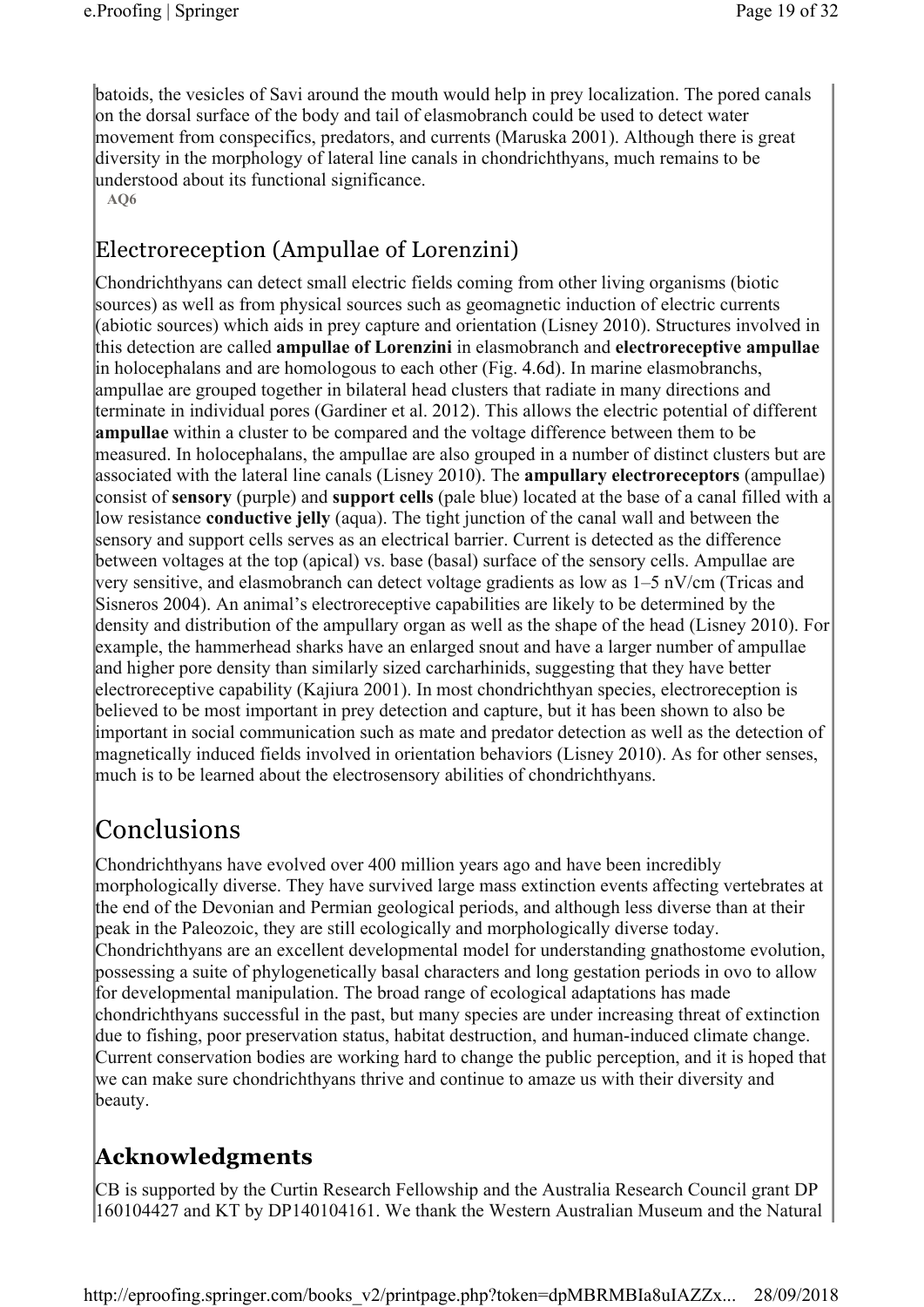batoids, the vesicles of Savi around the mouth would help in prey localization. The pored canals on the dorsal surface of the body and tail of elasmobranch could be used to detect water movement from conspecifics, predators, and currents (Maruska 2001). Although there is great diversity in the morphology of lateral line canals in chondrichthyans, much remains to be understood about its functional significance.

**AQ6**

### Electroreception (Ampullae of Lorenzini)

Chondrichthyans can detect small electric fields coming from other living organisms (biotic sources) as well as from physical sources such as geomagnetic induction of electric currents (abiotic sources) which aids in prey capture and orientation (Lisney 2010). Structures involved in this detection are called **ampullae of Lorenzini** in elasmobranch and **electroreceptive ampullae** in holocephalans and are homologous to each other (Fig. 4.6d). In marine elasmobranchs, ampullae are grouped together in bilateral head clusters that radiate in many directions and terminate in individual pores (Gardiner et al. 2012). This allows the electric potential of different **ampullae** within a cluster to be compared and the voltage difference between them to be measured. In holocephalans, the ampullae are also grouped in a number of distinct clusters but are associated with the lateral line canals (Lisney 2010). The **ampullary electroreceptors** (ampullae) consist of **sensory** (purple) and **support cells** (pale blue) located at the base of a canal filled with a low resistance **conductive jelly** (aqua). The tight junction of the canal wall and between the sensory and support cells serves as an electrical barrier. Current is detected as the difference between voltages at the top (apical) vs. base (basal) surface of the sensory cells. Ampullae are very sensitive, and elasmobranch can detect voltage gradients as low as 1–5 nV/cm (Tricas and Sisneros 2004). An animal's electroreceptive capabilities are likely to be determined by the density and distribution of the ampullary organ as well as the shape of the head (Lisney 2010). For example, the hammerhead sharks have an enlarged snout and have a larger number of ampullae and higher pore density than similarly sized carcharhinids, suggesting that they have better electroreceptive capability (Kajiura 2001). In most chondrichthyan species, electroreception is believed to be most important in prey detection and capture, but it has been shown to also be important in social communication such as mate and predator detection as well as the detection of magnetically induced fields involved in orientation behaviors (Lisney 2010). As for other senses, much is to be learned about the electrosensory abilities of chondrichthyans.

## Conclusions

Chondrichthyans have evolved over 400 million years ago and have been incredibly morphologically diverse. They have survived large mass extinction events affecting vertebrates at the end of the Devonian and Permian geological periods, and although less diverse than at their peak in the Paleozoic, they are still ecologically and morphologically diverse today. Chondrichthyans are an excellent developmental model for understanding gnathostome evolution, possessing a suite of phylogenetically basal characters and long gestation periods in ovo to allow for developmental manipulation. The broad range of ecological adaptations has made chondrichthyans successful in the past, but many species are under increasing threat of extinction due to fishing, poor preservation status, habitat destruction, and human-induced climate change. Current conservation bodies are working hard to change the public perception, and it is hoped that we can make sure chondrichthyans thrive and continue to amaze us with their diversity and beauty.

## **Acknowledgments**

CB is supported by the Curtin Research Fellowship and the Australia Research Council grant DP 160104427 and KT by DP140104161. We thank the Western Australian Museum and the Natural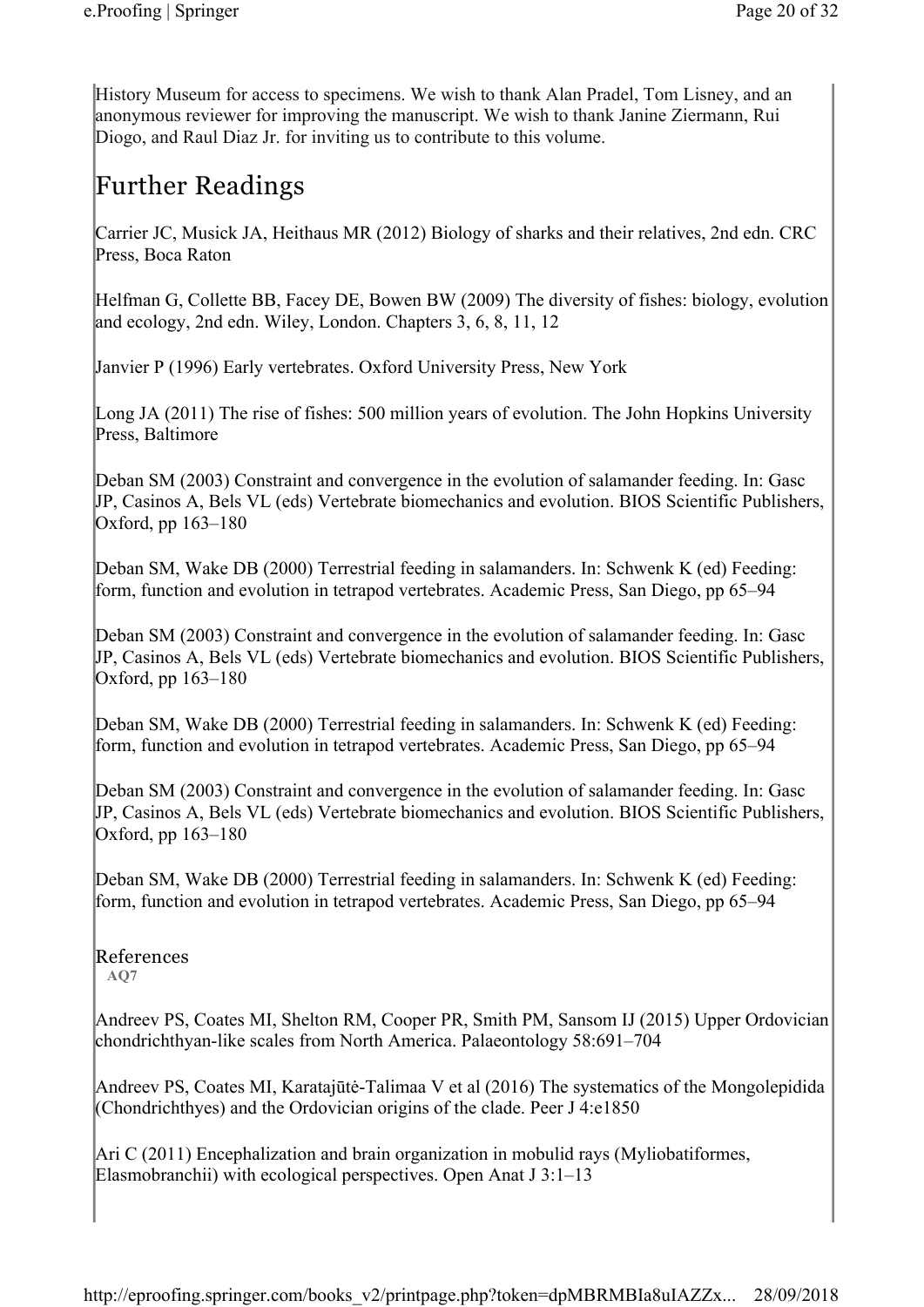History Museum for access to specimens. We wish to thank Alan Pradel, Tom Lisney, and an anonymous reviewer for improving the manuscript. We wish to thank Janine Ziermann, Rui Diogo, and Raul Diaz Jr. for inviting us to contribute to this volume.

## Further Readings

Carrier JC, Musick JA, Heithaus MR (2012) Biology of sharks and their relatives, 2nd edn. CRC Press, Boca Raton

Helfman G, Collette BB, Facey DE, Bowen BW (2009) The diversity of fishes: biology, evolution and ecology, 2nd edn. Wiley, London. Chapters 3, 6, 8, 11, 12

Janvier P (1996) Early vertebrates. Oxford University Press, New York

Long JA (2011) The rise of fishes: 500 million years of evolution. The John Hopkins University Press, Baltimore

Deban SM (2003) Constraint and convergence in the evolution of salamander feeding. In: Gasc JP, Casinos A, Bels VL (eds) Vertebrate biomechanics and evolution. BIOS Scientific Publishers, Oxford, pp 163–180

Deban SM, Wake DB (2000) Terrestrial feeding in salamanders. In: Schwenk K (ed) Feeding: form, function and evolution in tetrapod vertebrates. Academic Press, San Diego, pp 65–94

Deban SM (2003) Constraint and convergence in the evolution of salamander feeding. In: Gasc JP, Casinos A, Bels VL (eds) Vertebrate biomechanics and evolution. BIOS Scientific Publishers, Oxford, pp 163–180

Deban SM, Wake DB (2000) Terrestrial feeding in salamanders. In: Schwenk K (ed) Feeding: form, function and evolution in tetrapod vertebrates. Academic Press, San Diego, pp 65–94

Deban SM (2003) Constraint and convergence in the evolution of salamander feeding. In: Gasc JP, Casinos A, Bels VL (eds) Vertebrate biomechanics and evolution. BIOS Scientific Publishers, Oxford, pp 163–180

Deban SM, Wake DB (2000) Terrestrial feeding in salamanders. In: Schwenk K (ed) Feeding: form, function and evolution in tetrapod vertebrates. Academic Press, San Diego, pp 65–94

References **AQ7**

Andreev PS, Coates MI, Shelton RM, Cooper PR, Smith PM, Sansom IJ (2015) Upper Ordovician chondrichthyan-like scales from North America. Palaeontology 58:691–704

Andreev PS, Coates MI, Karatajūtė-Talimaa V et al (2016) The systematics of the Mongolepidida (Chondrichthyes) and the Ordovician origins of the clade. Peer J 4:e1850

Ari C (2011) Encephalization and brain organization in mobulid rays (Myliobatiformes, Elasmobranchii) with ecological perspectives. Open Anat J 3:1–13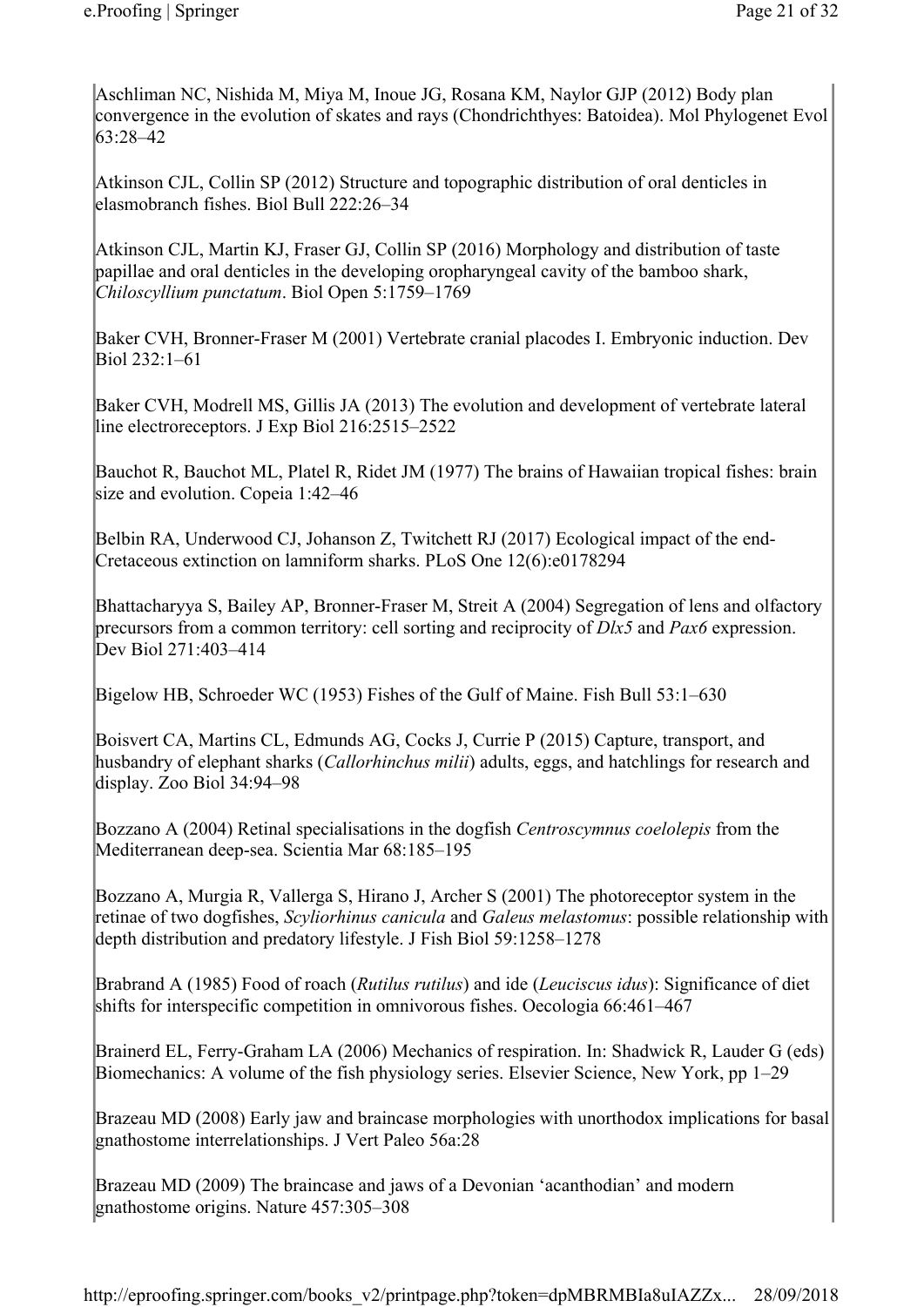Aschliman NC, Nishida M, Miya M, Inoue JG, Rosana KM, Naylor GJP (2012) Body plan convergence in the evolution of skates and rays (Chondrichthyes: Batoidea). Mol Phylogenet Evol  $|63:28-42$ 

Atkinson CJL, Collin SP (2012) Structure and topographic distribution of oral denticles in elasmobranch fishes. Biol Bull 222:26–34

Atkinson CJL, Martin KJ, Fraser GJ, Collin SP (2016) Morphology and distribution of taste papillae and oral denticles in the developing oropharyngeal cavity of the bamboo shark, *Chiloscyllium punctatum*. Biol Open 5:1759–1769

Baker CVH, Bronner-Fraser M (2001) Vertebrate cranial placodes I. Embryonic induction. Dev Biol 232:1–61

Baker CVH, Modrell MS, Gillis JA (2013) The evolution and development of vertebrate lateral line electroreceptors. J Exp Biol 216:2515–2522

Bauchot R, Bauchot ML, Platel R, Ridet JM (1977) The brains of Hawaiian tropical fishes: brain size and evolution. Copeia 1:42–46

Belbin RA, Underwood CJ, Johanson Z, Twitchett RJ (2017) Ecological impact of the end-Cretaceous extinction on lamniform sharks. PLoS One 12(6):e0178294

Bhattacharyya S, Bailey AP, Bronner-Fraser M, Streit A (2004) Segregation of lens and olfactory precursors from a common territory: cell sorting and reciprocity of *Dlx5* and *Pax6* expression. Dev Biol 271:403–414

Bigelow HB, Schroeder WC (1953) Fishes of the Gulf of Maine. Fish Bull 53:1–630

Boisvert CA, Martins CL, Edmunds AG, Cocks J, Currie P (2015) Capture, transport, and husbandry of elephant sharks (*Callorhinchus milii*) adults, eggs, and hatchlings for research and display. Zoo Biol 34:94–98

Bozzano A (2004) Retinal specialisations in the dogfish *Centroscymnus coelolepis* from the Mediterranean deep-sea. Scientia Mar 68:185–195

Bozzano A, Murgia R, Vallerga S, Hirano J, Archer S (2001) The photoreceptor system in the retinae of two dogfishes, *Scyliorhinus canicula* and *Galeus melastomus*: possible relationship with depth distribution and predatory lifestyle. J Fish Biol 59:1258–1278

Brabrand A (1985) Food of roach (*Rutilus rutilus*) and ide (*Leuciscus idus*): Significance of diet shifts for interspecific competition in omnivorous fishes. Oecologia 66:461–467

Brainerd EL, Ferry-Graham LA (2006) Mechanics of respiration. In: Shadwick R, Lauder G (eds) Biomechanics: A volume of the fish physiology series. Elsevier Science, New York, pp 1–29

Brazeau MD (2008) Early jaw and braincase morphologies with unorthodox implications for basal gnathostome interrelationships. J Vert Paleo 56a:28

Brazeau MD (2009) The braincase and jaws of a Devonian 'acanthodian' and modern gnathostome origins. Nature 457:305–308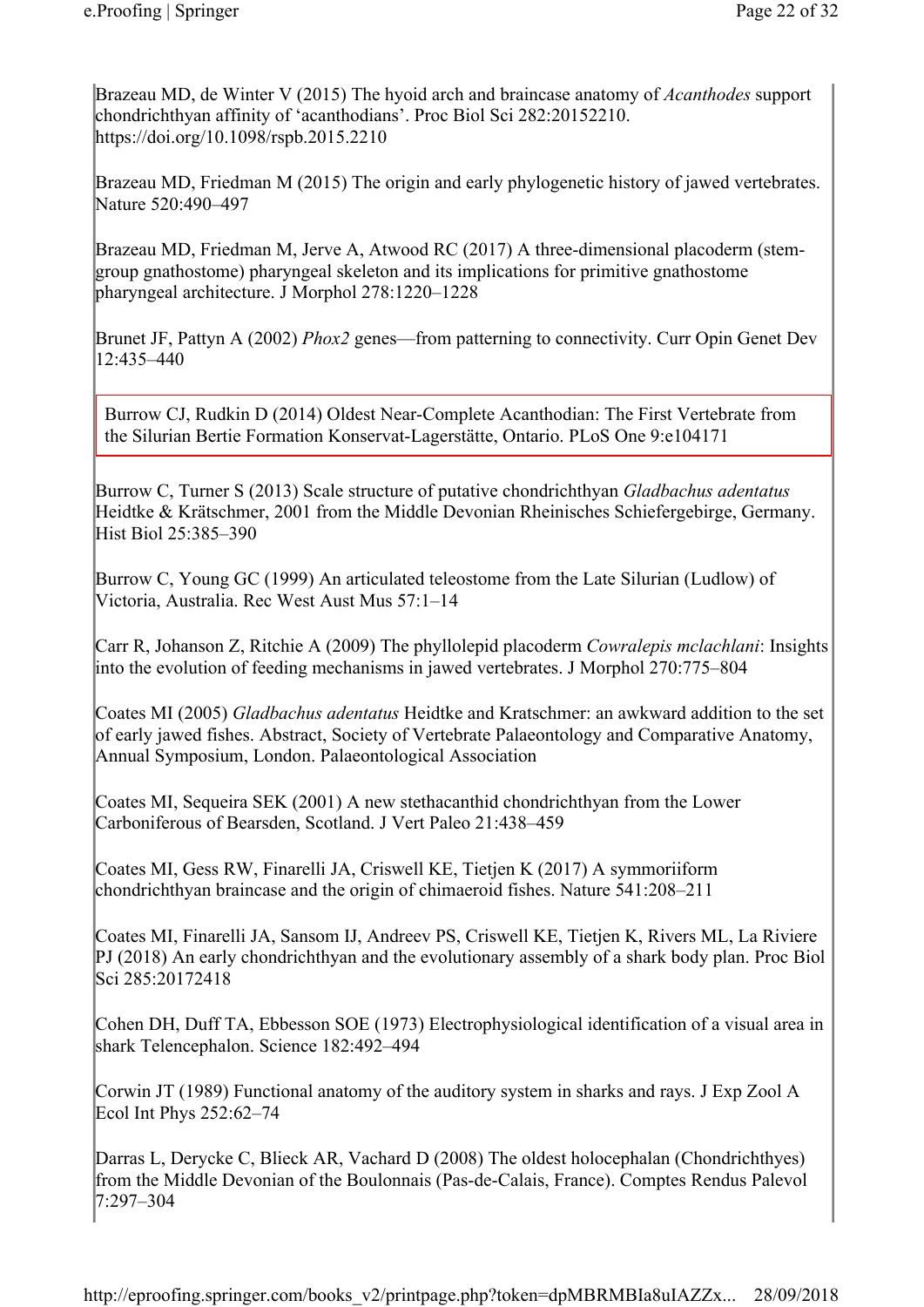Brazeau MD, de Winter V (2015) The hyoid arch and braincase anatomy of *Acanthodes* support chondrichthyan affinity of 'acanthodians'. Proc Biol Sci 282:20152210. https://doi.org/10.1098/rspb.2015.2210

Brazeau MD, Friedman M (2015) The origin and early phylogenetic history of jawed vertebrates. Nature 520:490–497

Brazeau MD, Friedman M, Jerve A, Atwood RC (2017) A three-dimensional placoderm (stemgroup gnathostome) pharyngeal skeleton and its implications for primitive gnathostome pharyngeal architecture. J Morphol 278:1220–1228

Brunet JF, Pattyn A (2002) *Phox2* genes—from patterning to connectivity. Curr Opin Genet Dev 12:435–440

Burrow CJ, Rudkin D (2014) Oldest Near-Complete Acanthodian: The First Vertebrate from the Silurian Bertie Formation Konservat-Lagerstätte, Ontario. PLoS One 9:e104171

Burrow C, Turner S (2013) Scale structure of putative chondrichthyan *Gladbachus adentatus* Heidtke & Krätschmer, 2001 from the Middle Devonian Rheinisches Schiefergebirge, Germany. Hist Biol 25:385–390

Burrow C, Young GC (1999) An articulated teleostome from the Late Silurian (Ludlow) of Victoria, Australia. Rec West Aust Mus 57:1–14

Carr R, Johanson Z, Ritchie A (2009) The phyllolepid placoderm *Cowralepis mclachlani*: Insights into the evolution of feeding mechanisms in jawed vertebrates. J Morphol 270:775–804

Coates MI (2005) *Gladbachus adentatus* Heidtke and Kratschmer: an awkward addition to the set of early jawed fishes. Abstract, Society of Vertebrate Palaeontology and Comparative Anatomy, Annual Symposium, London. Palaeontological Association

Coates MI, Sequeira SEK (2001) A new stethacanthid chondrichthyan from the Lower Carboniferous of Bearsden, Scotland. J Vert Paleo 21:438–459

Coates MI, Gess RW, Finarelli JA, Criswell KE, Tietjen K (2017) A symmoriiform chondrichthyan braincase and the origin of chimaeroid fishes. Nature 541:208–211

Coates MI, Finarelli JA, Sansom IJ, Andreev PS, Criswell KE, Tietjen K, Rivers ML, La Riviere PJ (2018) An early chondrichthyan and the evolutionary assembly of a shark body plan. Proc Biol Sci 285:20172418

Cohen DH, Duff TA, Ebbesson SOE (1973) Electrophysiological identification of a visual area in shark Telencephalon. Science 182:492–494

Corwin JT (1989) Functional anatomy of the auditory system in sharks and rays. J Exp Zool A Ecol Int Phys 252:62–74

Darras L, Derycke C, Blieck AR, Vachard D (2008) The oldest holocephalan (Chondrichthyes) from the Middle Devonian of the Boulonnais (Pas-de-Calais, France). Comptes Rendus Palevol 7:297–304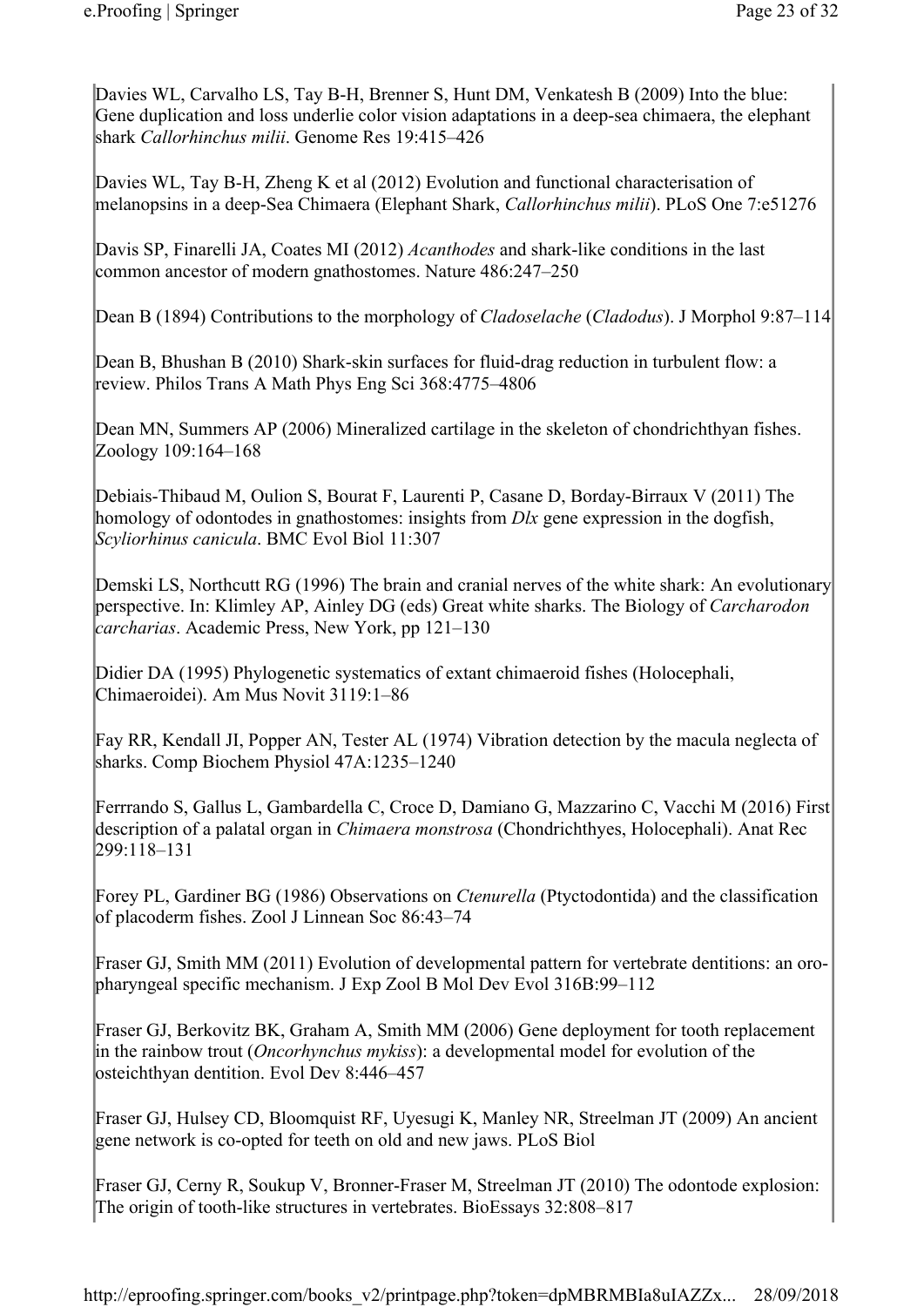Davies WL, Carvalho LS, Tay B-H, Brenner S, Hunt DM, Venkatesh B (2009) Into the blue: Gene duplication and loss underlie color vision adaptations in a deep-sea chimaera, the elephant shark *Callorhinchus milii*. Genome Res 19:415–426

Davies WL, Tay B-H, Zheng K et al (2012) Evolution and functional characterisation of melanopsins in a deep-Sea Chimaera (Elephant Shark, *Callorhinchus milii*). PLoS One 7:e51276

Davis SP, Finarelli JA, Coates MI (2012) *Acanthodes* and shark-like conditions in the last common ancestor of modern gnathostomes. Nature 486:247–250

Dean B (1894) Contributions to the morphology of *Cladoselache* (*Cladodus*). J Morphol 9:87–114

Dean B, Bhushan B (2010) Shark-skin surfaces for fluid-drag reduction in turbulent flow: a review. Philos Trans A Math Phys Eng Sci 368:4775–4806

Dean MN, Summers AP (2006) Mineralized cartilage in the skeleton of chondrichthyan fishes. Zoology 109:164–168

Debiais-Thibaud M, Oulion S, Bourat F, Laurenti P, Casane D, Borday-Birraux V (2011) The homology of odontodes in gnathostomes: insights from *Dlx* gene expression in the dogfish, *Scyliorhinus canicula*. BMC Evol Biol 11:307

Demski LS, Northcutt RG (1996) The brain and cranial nerves of the white shark: An evolutionary perspective. In: Klimley AP, Ainley DG (eds) Great white sharks. The Biology of *Carcharodon carcharias*. Academic Press, New York, pp 121–130

Didier DA (1995) Phylogenetic systematics of extant chimaeroid fishes (Holocephali, Chimaeroidei). Am Mus Novit 3119:1–86

Fay RR, Kendall JI, Popper AN, Tester AL (1974) Vibration detection by the macula neglecta of sharks. Comp Biochem Physiol 47A:1235–1240

Ferrrando S, Gallus L, Gambardella C, Croce D, Damiano G, Mazzarino C, Vacchi M (2016) First description of a palatal organ in *Chimaera monstrosa* (Chondrichthyes, Holocephali). Anat Rec 299:118–131

Forey PL, Gardiner BG (1986) Observations on *Ctenurella* (Ptyctodontida) and the classification of placoderm fishes. Zool J Linnean Soc 86:43–74

Fraser GJ, Smith MM (2011) Evolution of developmental pattern for vertebrate dentitions: an oropharyngeal specific mechanism. J Exp Zool B Mol Dev Evol 316B:99–112

Fraser GJ, Berkovitz BK, Graham A, Smith MM (2006) Gene deployment for tooth replacement in the rainbow trout (*Oncorhynchus mykiss*): a developmental model for evolution of the osteichthyan dentition. Evol Dev 8:446–457

Fraser GJ, Hulsey CD, Bloomquist RF, Uyesugi K, Manley NR, Streelman JT (2009) An ancient gene network is co-opted for teeth on old and new jaws. PLoS Biol

Fraser GJ, Cerny R, Soukup V, Bronner-Fraser M, Streelman JT (2010) The odontode explosion: The origin of tooth-like structures in vertebrates. BioEssays 32:808–817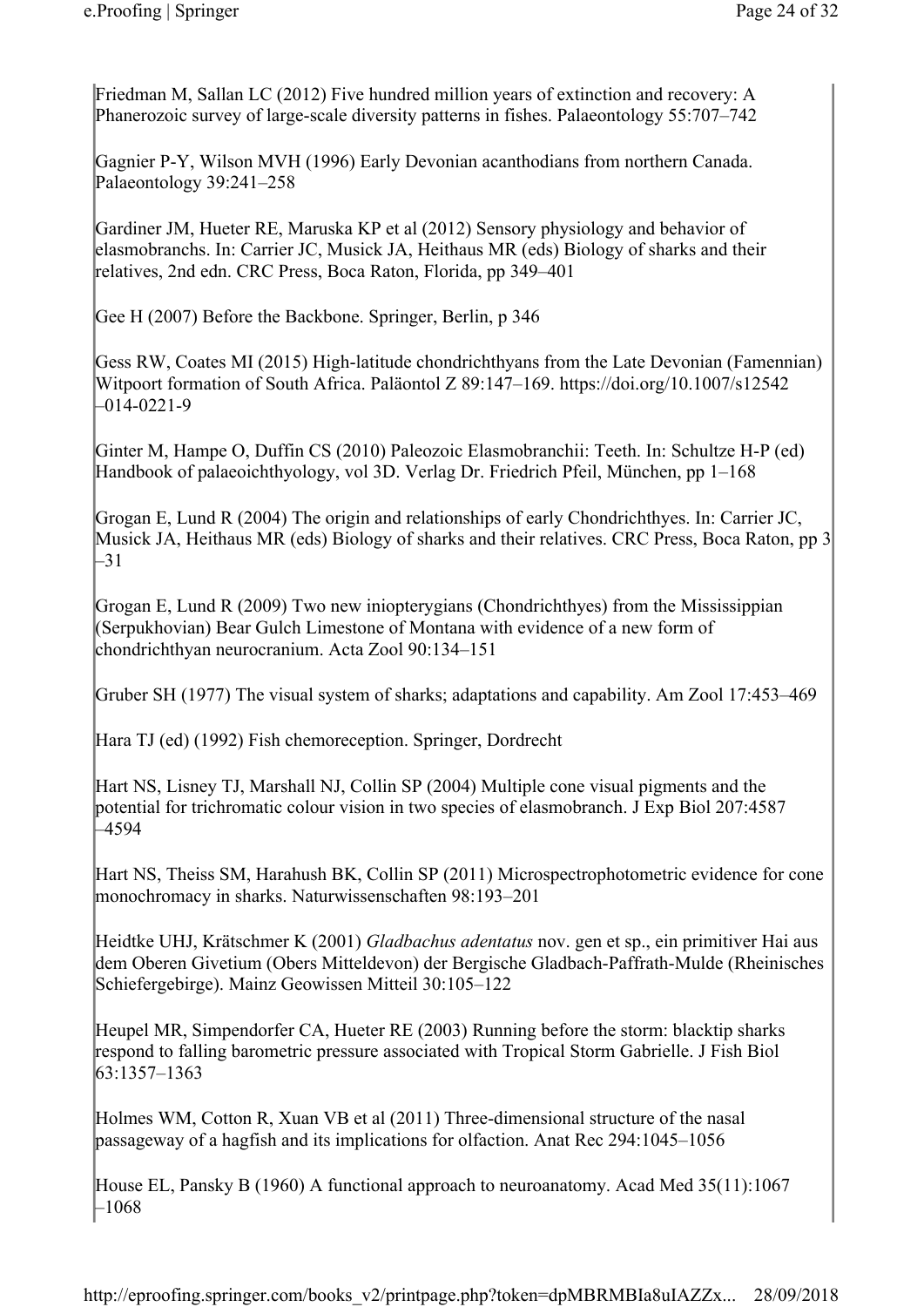Friedman M, Sallan LC (2012) Five hundred million years of extinction and recovery: A Phanerozoic survey of large-scale diversity patterns in fishes. Palaeontology 55:707–742

Gagnier P-Y, Wilson MVH (1996) Early Devonian acanthodians from northern Canada. Palaeontology 39:241–258

Gardiner JM, Hueter RE, Maruska KP et al (2012) Sensory physiology and behavior of elasmobranchs. In: Carrier JC, Musick JA, Heithaus MR (eds) Biology of sharks and their relatives, 2nd edn. CRC Press, Boca Raton, Florida, pp 349–401

Gee H (2007) Before the Backbone. Springer, Berlin, p 346

Gess RW, Coates MI (2015) High-latitude chondrichthyans from the Late Devonian (Famennian) Witpoort formation of South Africa. Paläontol Z 89:147–169. https://doi.org/10.1007/s12542  $-014 - 0221 - 9$ 

Ginter M, Hampe O, Duffin CS (2010) Paleozoic Elasmobranchii: Teeth. In: Schultze H-P (ed) Handbook of palaeoichthyology, vol 3D. Verlag Dr. Friedrich Pfeil, München, pp 1–168

Grogan E, Lund R (2004) The origin and relationships of early Chondrichthyes. In: Carrier JC, Musick JA, Heithaus MR (eds) Biology of sharks and their relatives. CRC Press, Boca Raton, pp 3 –31

Grogan E, Lund R (2009) Two new iniopterygians (Chondrichthyes) from the Mississippian (Serpukhovian) Bear Gulch Limestone of Montana with evidence of a new form of chondrichthyan neurocranium. Acta Zool 90:134–151

Gruber SH (1977) The visual system of sharks; adaptations and capability. Am Zool 17:453–469

Hara TJ (ed) (1992) Fish chemoreception. Springer, Dordrecht

Hart NS, Lisney TJ, Marshall NJ, Collin SP (2004) Multiple cone visual pigments and the potential for trichromatic colour vision in two species of elasmobranch. J Exp Biol 207:4587 –4594

Hart NS, Theiss SM, Harahush BK, Collin SP (2011) Microspectrophotometric evidence for cone monochromacy in sharks. Naturwissenschaften 98:193–201

Heidtke UHJ, Krätschmer K (2001) *Gladbachus adentatus* nov. gen et sp., ein primitiver Hai aus dem Oberen Givetium (Obers Mitteldevon) der Bergische Gladbach-Paffrath-Mulde (Rheinisches Schiefergebirge). Mainz Geowissen Mitteil 30:105–122

Heupel MR, Simpendorfer CA, Hueter RE (2003) Running before the storm: blacktip sharks respond to falling barometric pressure associated with Tropical Storm Gabrielle. J Fish Biol 63:1357–1363

Holmes WM, Cotton R, Xuan VB et al (2011) Three-dimensional structure of the nasal passageway of a hagfish and its implications for olfaction. Anat Rec 294:1045–1056

House EL, Pansky B (1960) A functional approach to neuroanatomy. Acad Med 35(11):1067  $|$ –1068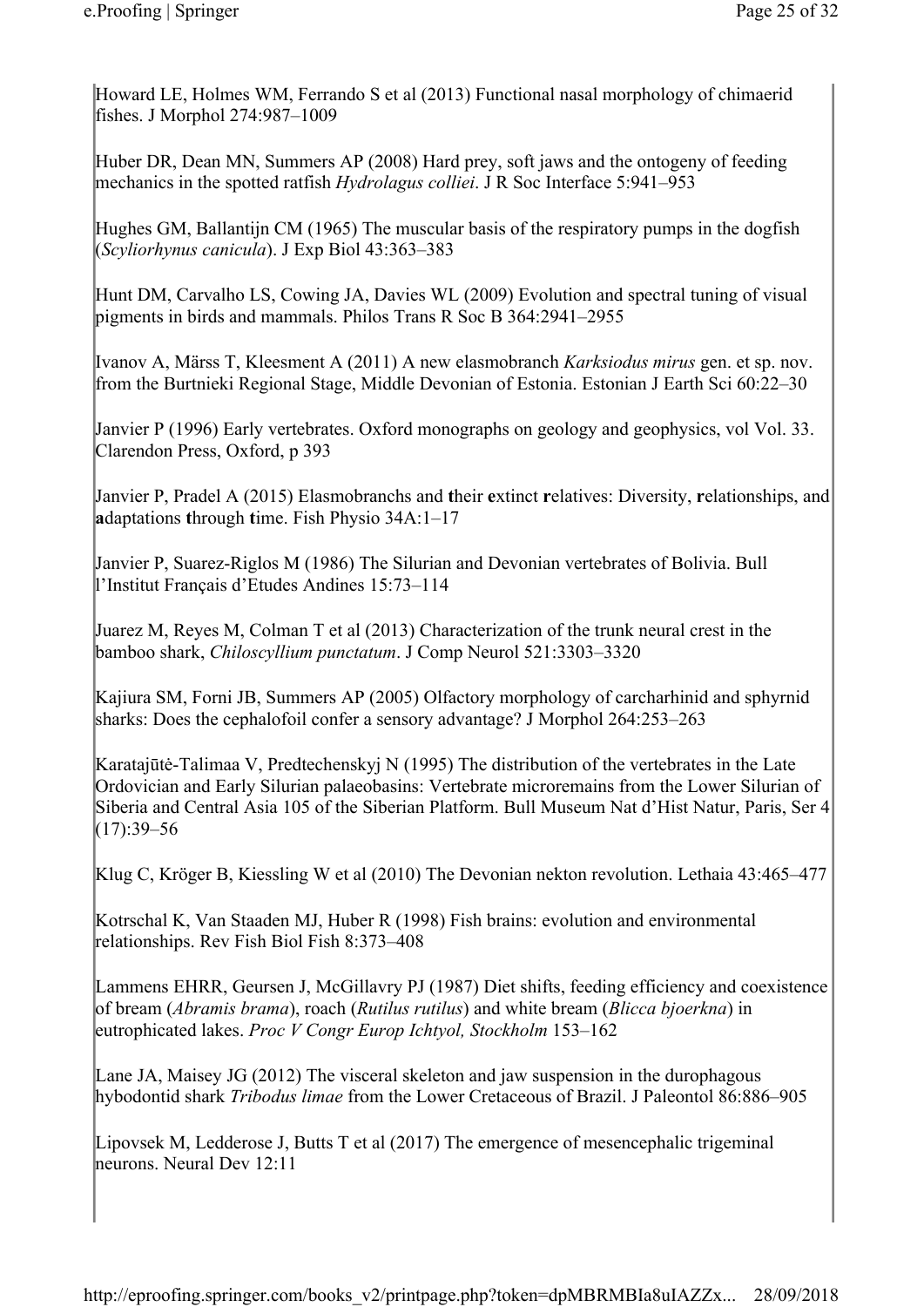Howard LE, Holmes WM, Ferrando S et al (2013) Functional nasal morphology of chimaerid fishes. J Morphol 274:987–1009

Huber DR, Dean MN, Summers AP (2008) Hard prey, soft jaws and the ontogeny of feeding mechanics in the spotted ratfish *Hydrolagus colliei*. J R Soc Interface 5:941–953

Hughes GM, Ballantijn CM (1965) The muscular basis of the respiratory pumps in the dogfish (*Scyliorhynus canicula*). J Exp Biol 43:363–383

Hunt DM, Carvalho LS, Cowing JA, Davies WL (2009) Evolution and spectral tuning of visual pigments in birds and mammals. Philos Trans R Soc B 364:2941–2955

Ivanov A, Märss T, Kleesment A (2011) A new elasmobranch *Karksiodus mirus* gen. et sp. nov. from the Burtnieki Regional Stage, Middle Devonian of Estonia. Estonian J Earth Sci 60:22–30

Janvier P (1996) Early vertebrates. Oxford monographs on geology and geophysics, vol Vol. 33. Clarendon Press, Oxford, p 393

Janvier P, Pradel A (2015) Elasmobranchs and **t**heir **e**xtinct **r**elatives: Diversity, **r**elationships, and **a**daptations **t**hrough **t**ime. Fish Physio 34A:1–17

Janvier P, Suarez-Riglos M (1986) The Silurian and Devonian vertebrates of Bolivia. Bull l'Institut Français d'Etudes Andines 15:73–114

Juarez M, Reyes M, Colman T et al (2013) Characterization of the trunk neural crest in the bamboo shark, *Chiloscyllium punctatum*. J Comp Neurol 521:3303–3320

Kajiura SM, Forni JB, Summers AP (2005) Olfactory morphology of carcharhinid and sphyrnid sharks: Does the cephalofoil confer a sensory advantage? J Morphol 264:253–263

Karatajūtė-Talimaa V, Predtechenskyj N (1995) The distribution of the vertebrates in the Late Ordovician and Early Silurian palaeobasins: Vertebrate microremains from the Lower Silurian of Siberia and Central Asia 105 of the Siberian Platform. Bull Museum Nat d'Hist Natur, Paris, Ser 4  $(17):39-56$ 

Klug C, Kröger B, Kiessling W et al (2010) The Devonian nekton revolution. Lethaia 43:465–477

Kotrschal K, Van Staaden MJ, Huber R (1998) Fish brains: evolution and environmental relationships. Rev Fish Biol Fish 8:373–408

Lammens EHRR, Geursen J, McGillavry PJ (1987) Diet shifts, feeding efficiency and coexistence of bream (*Abramis brama*), roach (*Rutilus rutilus*) and white bream (*Blicca bjoerkna*) in eutrophicated lakes. *Proc V Congr Europ Ichtyol, Stockholm* 153–162

Lane JA, Maisey JG (2012) The visceral skeleton and jaw suspension in the durophagous hybodontid shark *Tribodus limae* from the Lower Cretaceous of Brazil. J Paleontol 86:886–905

Lipovsek M, Ledderose J, Butts T et al (2017) The emergence of mesencephalic trigeminal neurons. Neural Dev 12:11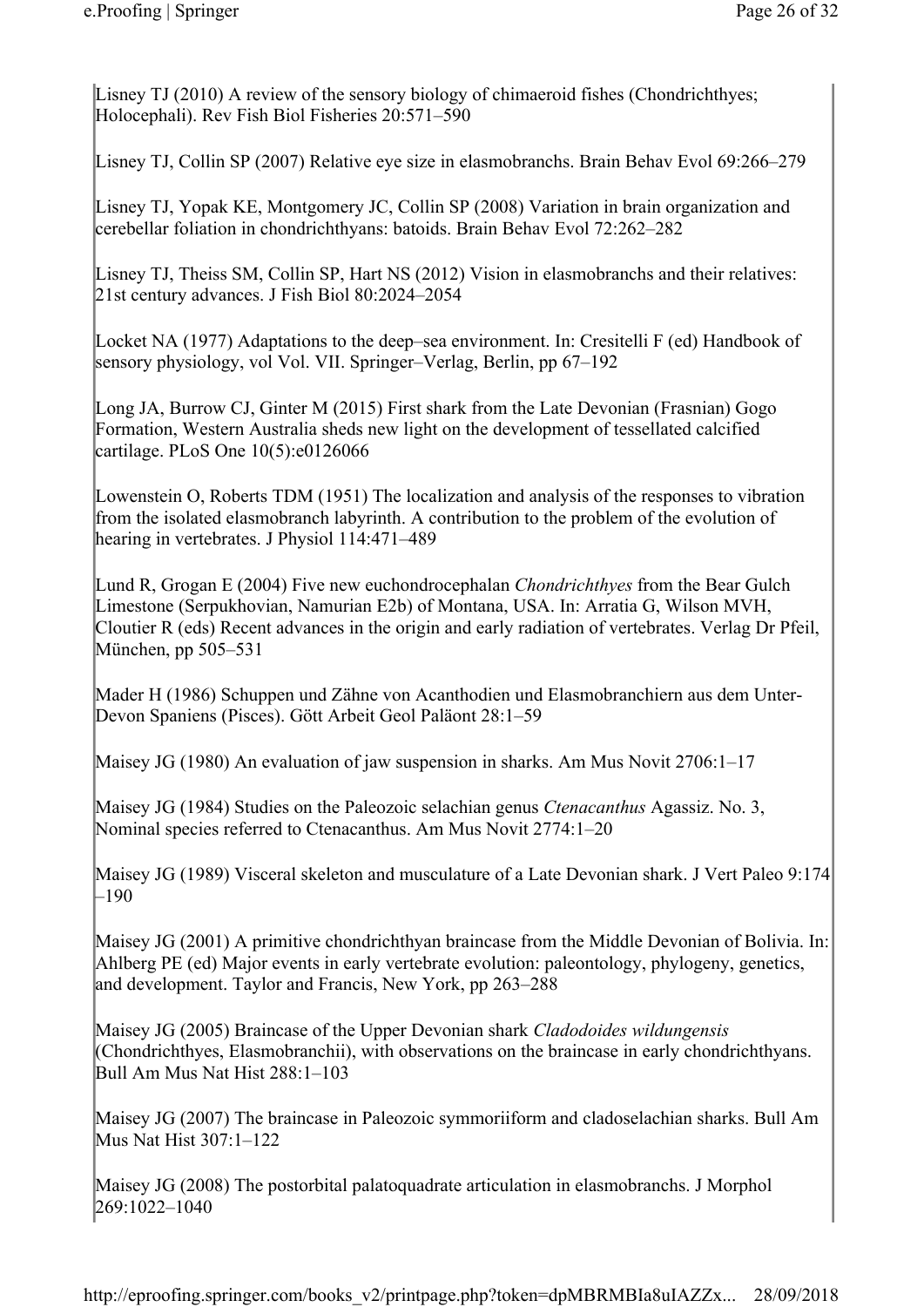Lisney TJ (2010) A review of the sensory biology of chimaeroid fishes (Chondrichthyes; Holocephali). Rev Fish Biol Fisheries 20:571–590

Lisney TJ, Collin SP (2007) Relative eye size in elasmobranchs. Brain Behav Evol 69:266–279

Lisney TJ, Yopak KE, Montgomery JC, Collin SP (2008) Variation in brain organization and cerebellar foliation in chondrichthyans: batoids. Brain Behav Evol 72:262–282

Lisney TJ, Theiss SM, Collin SP, Hart NS (2012) Vision in elasmobranchs and their relatives: 21st century advances. J Fish Biol 80:2024–2054

Locket NA (1977) Adaptations to the deep–sea environment. In: Cresitelli F (ed) Handbook of sensory physiology, vol Vol. VII. Springer–Verlag, Berlin, pp 67–192

Long JA, Burrow CJ, Ginter M (2015) First shark from the Late Devonian (Frasnian) Gogo Formation, Western Australia sheds new light on the development of tessellated calcified cartilage. PLoS One 10(5):e0126066

Lowenstein O, Roberts TDM (1951) The localization and analysis of the responses to vibration from the isolated elasmobranch labyrinth. A contribution to the problem of the evolution of hearing in vertebrates. J Physiol 114:471–489

Lund R, Grogan E (2004) Five new euchondrocephalan *Chondrichthyes* from the Bear Gulch Limestone (Serpukhovian, Namurian E2b) of Montana, USA. In: Arratia G, Wilson MVH, Cloutier R (eds) Recent advances in the origin and early radiation of vertebrates. Verlag Dr Pfeil, München, pp 505–531

Mader H (1986) Schuppen und Zähne von Acanthodien und Elasmobranchiern aus dem Unter-Devon Spaniens (Pisces). Gött Arbeit Geol Paläont 28:1–59

Maisey JG (1980) An evaluation of jaw suspension in sharks. Am Mus Novit 2706:1–17

Maisey JG (1984) Studies on the Paleozoic selachian genus *Ctenacanthus* Agassiz. No. 3, Nominal species referred to Ctenacanthus. Am Mus Novit 2774:1–20

Maisey JG (1989) Visceral skeleton and musculature of a Late Devonian shark. J Vert Paleo 9:174 –190

Maisey JG (2001) A primitive chondrichthyan braincase from the Middle Devonian of Bolivia. In: Ahlberg PE (ed) Major events in early vertebrate evolution: paleontology, phylogeny, genetics, and development. Taylor and Francis, New York, pp 263–288

Maisey JG (2005) Braincase of the Upper Devonian shark *Cladodoides wildungensis* (Chondrichthyes, Elasmobranchii), with observations on the braincase in early chondrichthyans. Bull Am Mus Nat Hist 288:1–103

Maisey JG (2007) The braincase in Paleozoic symmoriiform and cladoselachian sharks. Bull Am Mus Nat Hist 307:1–122

Maisey JG (2008) The postorbital palatoquadrate articulation in elasmobranchs. J Morphol 269:1022–1040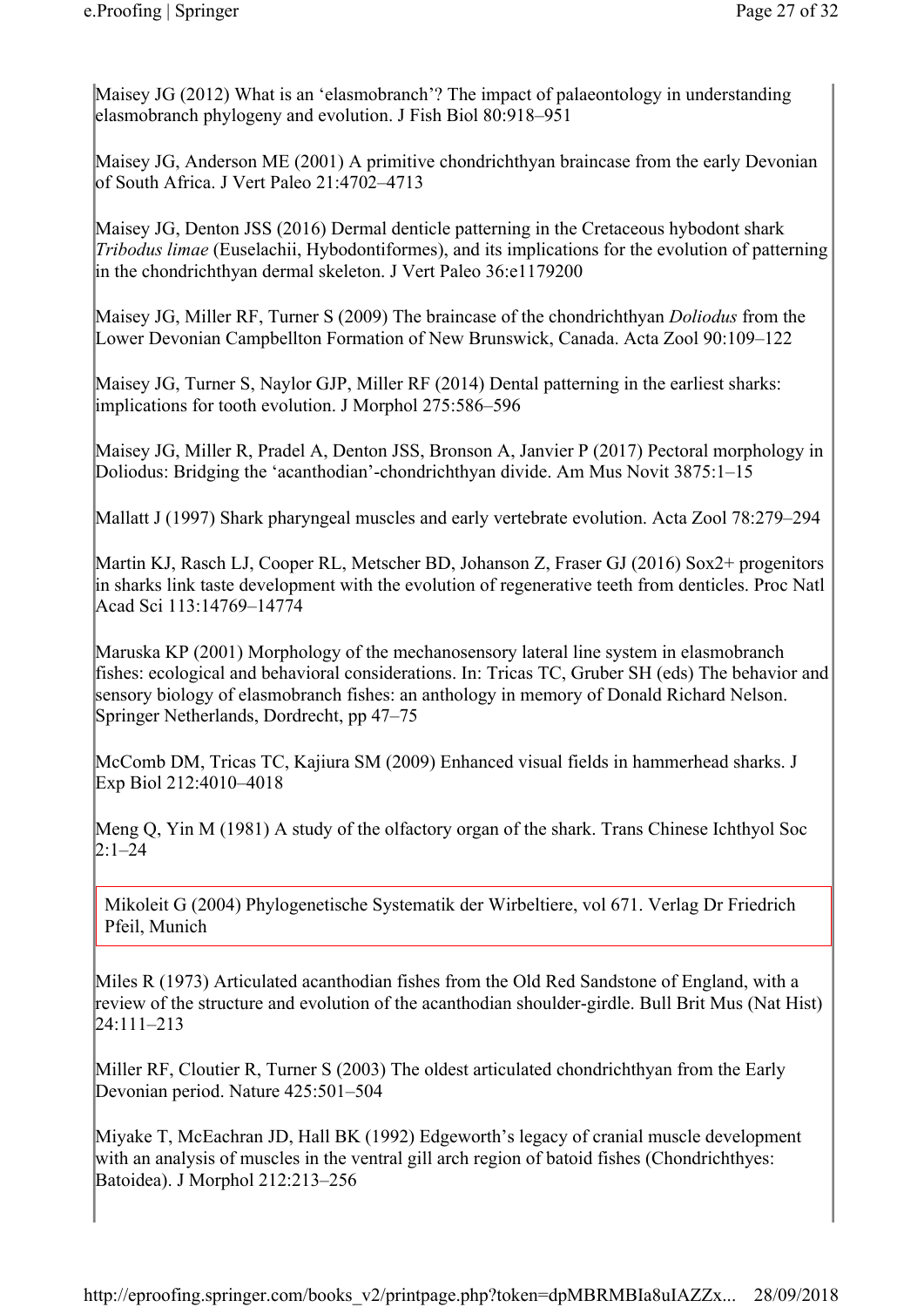Maisey JG (2012) What is an 'elasmobranch'? The impact of palaeontology in understanding elasmobranch phylogeny and evolution. J Fish Biol 80:918–951

Maisey JG, Anderson ME (2001) A primitive chondrichthyan braincase from the early Devonian of South Africa. J Vert Paleo 21:4702–4713

Maisey JG, Denton JSS (2016) Dermal denticle patterning in the Cretaceous hybodont shark *Tribodus limae* (Euselachii, Hybodontiformes), and its implications for the evolution of patterning in the chondrichthyan dermal skeleton. J Vert Paleo 36:e1179200

Maisey JG, Miller RF, Turner S (2009) The braincase of the chondrichthyan *Doliodus* from the Lower Devonian Campbellton Formation of New Brunswick, Canada. Acta Zool 90:109–122

Maisey JG, Turner S, Naylor GJP, Miller RF (2014) Dental patterning in the earliest sharks: implications for tooth evolution. J Morphol 275:586–596

Maisey JG, Miller R, Pradel A, Denton JSS, Bronson A, Janvier P (2017) Pectoral morphology in Doliodus: Bridging the 'acanthodian'-chondrichthyan divide. Am Mus Novit 3875:1–15

Mallatt J (1997) Shark pharyngeal muscles and early vertebrate evolution. Acta Zool 78:279–294

Martin KJ, Rasch LJ, Cooper RL, Metscher BD, Johanson Z, Fraser GJ (2016) Sox2+ progenitors in sharks link taste development with the evolution of regenerative teeth from denticles. Proc Natl Acad Sci 113:14769–14774

Maruska KP (2001) Morphology of the mechanosensory lateral line system in elasmobranch fishes: ecological and behavioral considerations. In: Tricas TC, Gruber SH (eds) The behavior and sensory biology of elasmobranch fishes: an anthology in memory of Donald Richard Nelson. Springer Netherlands, Dordrecht, pp 47–75

McComb DM, Tricas TC, Kajiura SM (2009) Enhanced visual fields in hammerhead sharks. J Exp Biol 212:4010–4018

Meng Q, Yin M (1981) A study of the olfactory organ of the shark. Trans Chinese Ichthyol Soc  $2:1-24$ 

Mikoleit G (2004) Phylogenetische Systematik der Wirbeltiere, vol 671. Verlag Dr Friedrich Pfeil, Munich

Miles R (1973) Articulated acanthodian fishes from the Old Red Sandstone of England, with a review of the structure and evolution of the acanthodian shoulder-girdle. Bull Brit Mus (Nat Hist) 24:111–213

Miller RF, Cloutier R, Turner S (2003) The oldest articulated chondrichthyan from the Early Devonian period. Nature 425:501–504

Miyake T, McEachran JD, Hall BK (1992) Edgeworth's legacy of cranial muscle development with an analysis of muscles in the ventral gill arch region of batoid fishes (Chondrichthyes: Batoidea). J Morphol 212:213–256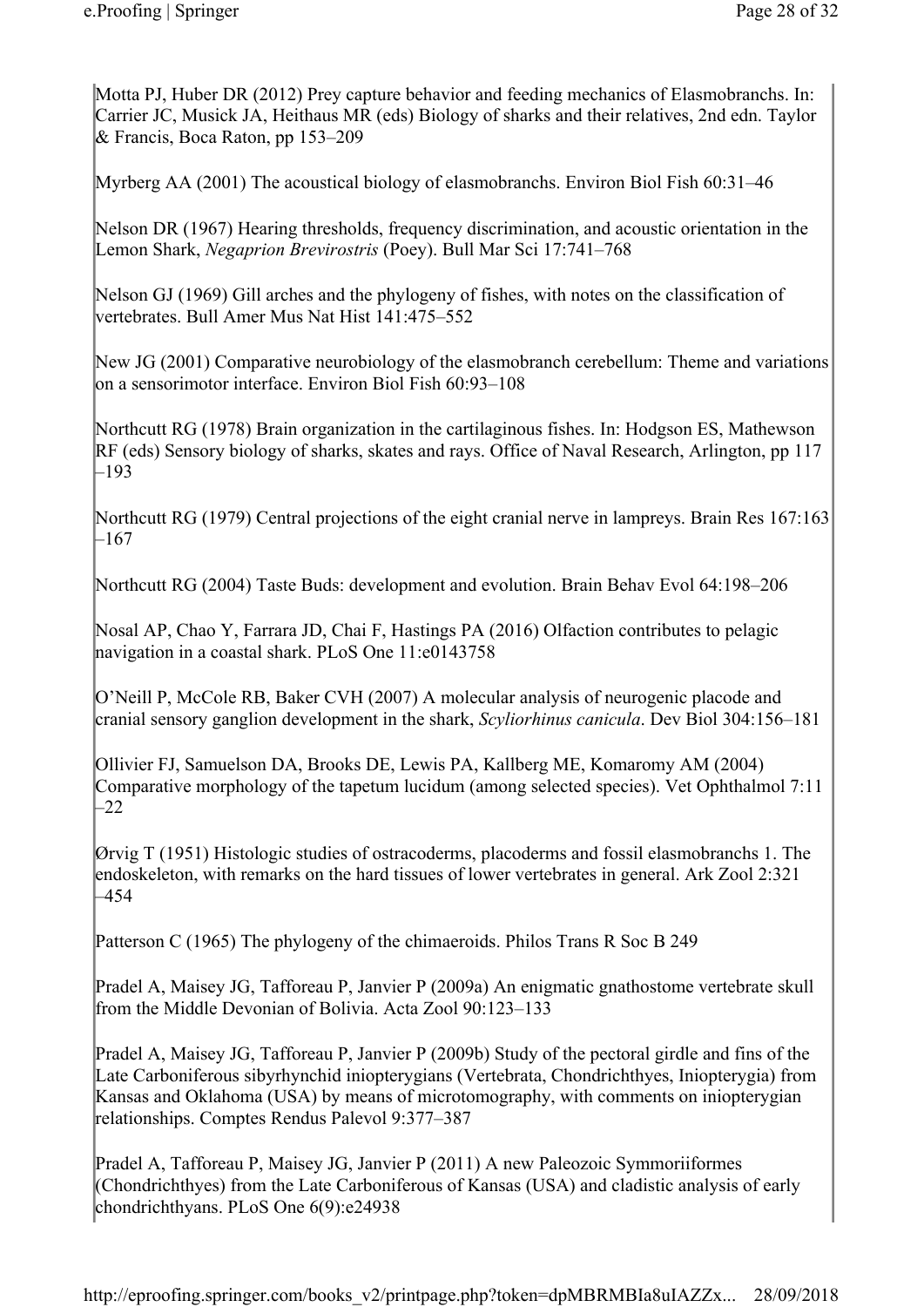Motta PJ, Huber DR (2012) Prey capture behavior and feeding mechanics of Elasmobranchs. In: Carrier JC, Musick JA, Heithaus MR (eds) Biology of sharks and their relatives, 2nd edn. Taylor & Francis, Boca Raton, pp 153–209

Myrberg AA (2001) The acoustical biology of elasmobranchs. Environ Biol Fish 60:31–46

Nelson DR (1967) Hearing thresholds, frequency discrimination, and acoustic orientation in the Lemon Shark, *Negaprion Brevirostris* (Poey). Bull Mar Sci 17:741–768

Nelson GJ (1969) Gill arches and the phylogeny of fishes, with notes on the classification of vertebrates. Bull Amer Mus Nat Hist 141:475–552

New JG (2001) Comparative neurobiology of the elasmobranch cerebellum: Theme and variations on a sensorimotor interface. Environ Biol Fish 60:93–108

Northcutt RG (1978) Brain organization in the cartilaginous fishes. In: Hodgson ES, Mathewson RF (eds) Sensory biology of sharks, skates and rays. Office of Naval Research, Arlington, pp 117 –193

Northcutt RG (1979) Central projections of the eight cranial nerve in lampreys. Brain Res 167:163 –167

Northcutt RG (2004) Taste Buds: development and evolution. Brain Behav Evol 64:198–206

Nosal AP, Chao Y, Farrara JD, Chai F, Hastings PA (2016) Olfaction contributes to pelagic navigation in a coastal shark. PLoS One 11:e0143758

O'Neill P, McCole RB, Baker CVH (2007) A molecular analysis of neurogenic placode and cranial sensory ganglion development in the shark, *Scyliorhinus canicula*. Dev Biol 304:156–181

Ollivier FJ, Samuelson DA, Brooks DE, Lewis PA, Kallberg ME, Komaromy AM (2004) Comparative morphology of the tapetum lucidum (among selected species). Vet Ophthalmol 7:11 –22

Ørvig T (1951) Histologic studies of ostracoderms, placoderms and fossil elasmobranchs 1. The endoskeleton, with remarks on the hard tissues of lower vertebrates in general. Ark Zool 2:321 –454

Patterson C (1965) The phylogeny of the chimaeroids. Philos Trans R Soc B 249

Pradel A, Maisey JG, Tafforeau P, Janvier P (2009a) An enigmatic gnathostome vertebrate skull from the Middle Devonian of Bolivia. Acta Zool 90:123–133

Pradel A, Maisey JG, Tafforeau P, Janvier P (2009b) Study of the pectoral girdle and fins of the Late Carboniferous sibyrhynchid iniopterygians (Vertebrata, Chondrichthyes, Iniopterygia) from Kansas and Oklahoma (USA) by means of microtomography, with comments on iniopterygian relationships. Comptes Rendus Palevol 9:377–387

Pradel A, Tafforeau P, Maisey JG, Janvier P (2011) A new Paleozoic Symmoriiformes (Chondrichthyes) from the Late Carboniferous of Kansas (USA) and cladistic analysis of early chondrichthyans. PLoS One 6(9):e24938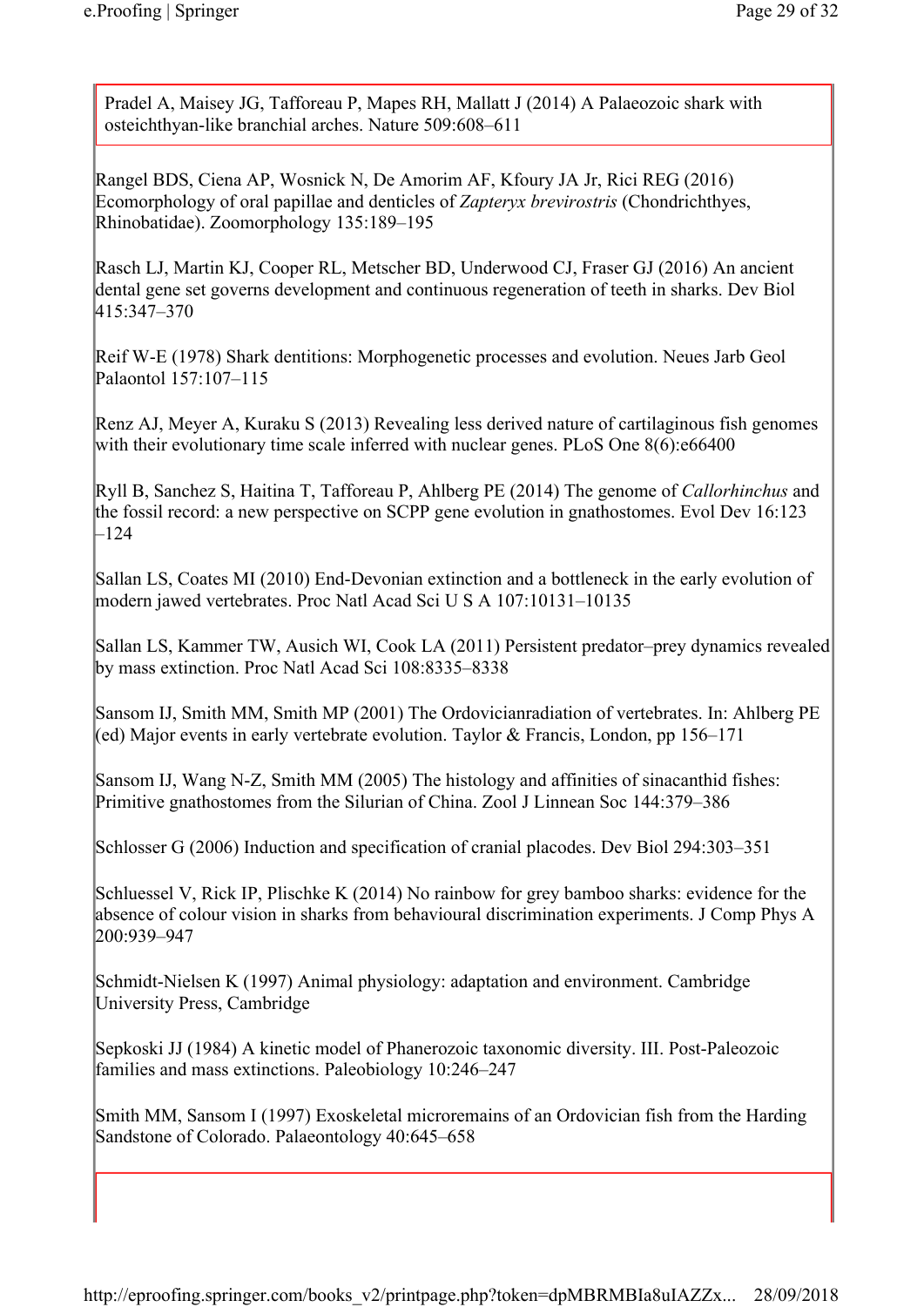Pradel A, Maisey JG, Tafforeau P, Mapes RH, Mallatt J (2014) A Palaeozoic shark with osteichthyan-like branchial arches. Nature 509:608–611

Rangel BDS, Ciena AP, Wosnick N, De Amorim AF, Kfoury JA Jr, Rici REG (2016) Ecomorphology of oral papillae and denticles of *Zapteryx brevirostris* (Chondrichthyes, Rhinobatidae). Zoomorphology 135:189–195

Rasch LJ, Martin KJ, Cooper RL, Metscher BD, Underwood CJ, Fraser GJ (2016) An ancient dental gene set governs development and continuous regeneration of teeth in sharks. Dev Biol 415:347–370

Reif W-E (1978) Shark dentitions: Morphogenetic processes and evolution. Neues Jarb Geol Palaontol 157:107–115

Renz AJ, Meyer A, Kuraku S (2013) Revealing less derived nature of cartilaginous fish genomes with their evolutionary time scale inferred with nuclear genes. PLoS One 8(6):e66400

Ryll B, Sanchez S, Haitina T, Tafforeau P, Ahlberg PE (2014) The genome of *Callorhinchus* and the fossil record: a new perspective on SCPP gene evolution in gnathostomes. Evol Dev 16:123 –124

Sallan LS, Coates MI (2010) End-Devonian extinction and a bottleneck in the early evolution of modern jawed vertebrates. Proc Natl Acad Sci U S A 107:10131–10135

Sallan LS, Kammer TW, Ausich WI, Cook LA (2011) Persistent predator–prey dynamics revealed by mass extinction. Proc Natl Acad Sci 108:8335–8338

Sansom IJ, Smith MM, Smith MP (2001) The Ordovicianradiation of vertebrates. In: Ahlberg PE (ed) Major events in early vertebrate evolution. Taylor & Francis, London, pp 156–171

Sansom IJ, Wang N-Z, Smith MM (2005) The histology and affinities of sinacanthid fishes: Primitive gnathostomes from the Silurian of China. Zool J Linnean Soc 144:379–386

Schlosser G (2006) Induction and specification of cranial placodes. Dev Biol 294:303–351

Schluessel V, Rick IP, Plischke K (2014) No rainbow for grey bamboo sharks: evidence for the absence of colour vision in sharks from behavioural discrimination experiments. J Comp Phys A 200:939–947

Schmidt-Nielsen K (1997) Animal physiology: adaptation and environment. Cambridge University Press, Cambridge

Sepkoski JJ (1984) A kinetic model of Phanerozoic taxonomic diversity. III. Post-Paleozoic families and mass extinctions. Paleobiology 10:246–247

Smith MM, Sansom I (1997) Exoskeletal microremains of an Ordovician fish from the Harding Sandstone of Colorado. Palaeontology 40:645–658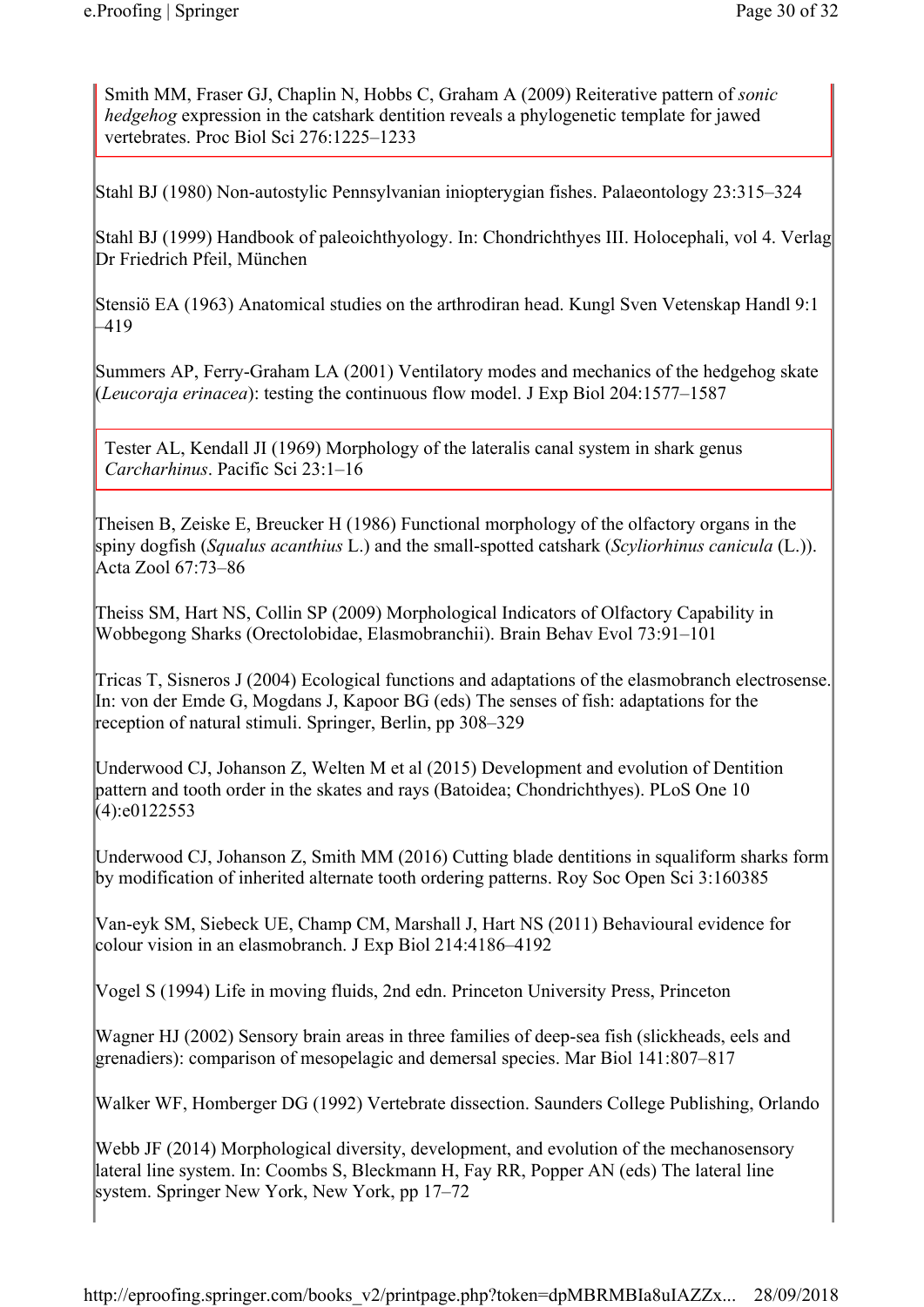Smith MM, Fraser GJ, Chaplin N, Hobbs C, Graham A (2009) Reiterative pattern of *sonic hedgehog* expression in the catshark dentition reveals a phylogenetic template for jawed vertebrates. Proc Biol Sci 276:1225–1233

Stahl BJ (1980) Non-autostylic Pennsylvanian iniopterygian fishes. Palaeontology 23:315–324

Stahl BJ (1999) Handbook of paleoichthyology. In: Chondrichthyes III. Holocephali, vol 4. Verlag Dr Friedrich Pfeil, München

Stensiö EA (1963) Anatomical studies on the arthrodiran head. Kungl Sven Vetenskap Handl 9:1 –419

Summers AP, Ferry-Graham LA (2001) Ventilatory modes and mechanics of the hedgehog skate (*Leucoraja erinacea*): testing the continuous flow model. J Exp Biol 204:1577–1587

Tester AL, Kendall JI (1969) Morphology of the lateralis canal system in shark genus *Carcharhinus*. Pacific Sci 23:1–16

Theisen B, Zeiske E, Breucker H (1986) Functional morphology of the olfactory organs in the spiny dogfish (*Squalus acanthius* L.) and the small-spotted catshark (*Scyliorhinus canicula* (L.)). Acta Zool 67:73–86

Theiss SM, Hart NS, Collin SP (2009) Morphological Indicators of Olfactory Capability in Wobbegong Sharks (Orectolobidae, Elasmobranchii). Brain Behav Evol 73:91–101

Tricas T, Sisneros J (2004) Ecological functions and adaptations of the elasmobranch electrosense. In: von der Emde G, Mogdans J, Kapoor BG (eds) The senses of fish: adaptations for the reception of natural stimuli. Springer, Berlin, pp 308–329

Underwood CJ, Johanson Z, Welten M et al (2015) Development and evolution of Dentition pattern and tooth order in the skates and rays (Batoidea; Chondrichthyes). PLoS One 10 (4):e0122553

Underwood CJ, Johanson Z, Smith MM (2016) Cutting blade dentitions in squaliform sharks form by modification of inherited alternate tooth ordering patterns. Roy Soc Open Sci 3:160385

Van-eyk SM, Siebeck UE, Champ CM, Marshall J, Hart NS (2011) Behavioural evidence for colour vision in an elasmobranch. J Exp Biol 214:4186–4192

Vogel S (1994) Life in moving fluids, 2nd edn. Princeton University Press, Princeton

Wagner HJ (2002) Sensory brain areas in three families of deep-sea fish (slickheads, eels and grenadiers): comparison of mesopelagic and demersal species. Mar Biol 141:807–817

Walker WF, Homberger DG (1992) Vertebrate dissection. Saunders College Publishing, Orlando

Webb JF (2014) Morphological diversity, development, and evolution of the mechanosensory lateral line system. In: Coombs S, Bleckmann H, Fay RR, Popper AN (eds) The lateral line system. Springer New York, New York, pp 17–72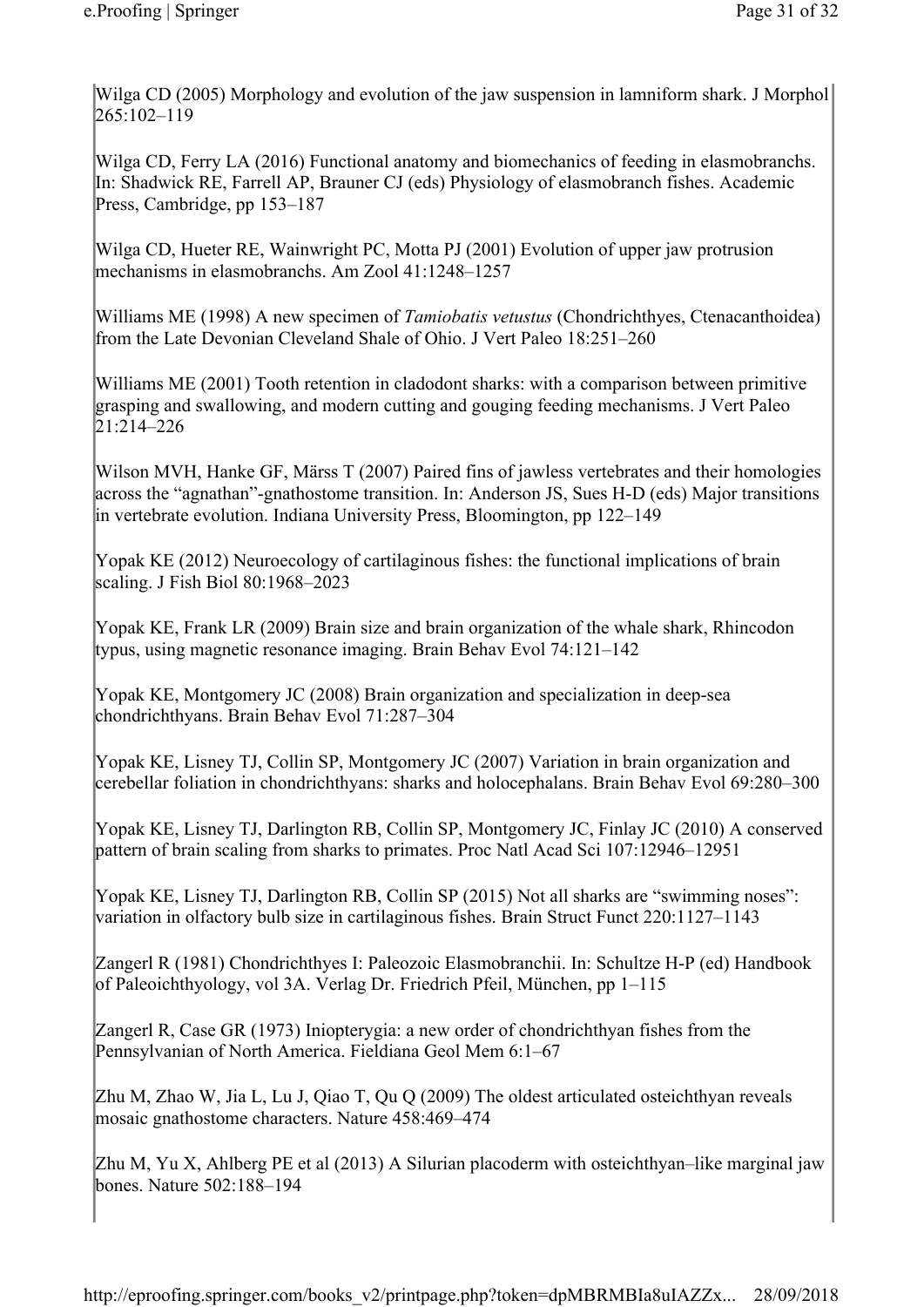Wilga CD (2005) Morphology and evolution of the jaw suspension in lamniform shark. J Morphol 265:102–119

Wilga CD, Ferry LA (2016) Functional anatomy and biomechanics of feeding in elasmobranchs. In: Shadwick RE, Farrell AP, Brauner CJ (eds) Physiology of elasmobranch fishes. Academic Press, Cambridge, pp 153–187

Wilga CD, Hueter RE, Wainwright PC, Motta PJ (2001) Evolution of upper jaw protrusion mechanisms in elasmobranchs. Am Zool 41:1248–1257

Williams ME (1998) A new specimen of *Tamiobatis vetustus* (Chondrichthyes, Ctenacanthoidea) from the Late Devonian Cleveland Shale of Ohio. J Vert Paleo 18:251–260

Williams ME (2001) Tooth retention in cladodont sharks: with a comparison between primitive grasping and swallowing, and modern cutting and gouging feeding mechanisms. J Vert Paleo 21:214–226

Wilson MVH, Hanke GF, Märss T (2007) Paired fins of jawless vertebrates and their homologies across the "agnathan"-gnathostome transition. In: Anderson JS, Sues H-D (eds) Major transitions in vertebrate evolution. Indiana University Press, Bloomington, pp 122–149

Yopak KE (2012) Neuroecology of cartilaginous fishes: the functional implications of brain scaling. J Fish Biol 80:1968–2023

Yopak KE, Frank LR (2009) Brain size and brain organization of the whale shark, Rhincodon typus, using magnetic resonance imaging. Brain Behav Evol 74:121–142

Yopak KE, Montgomery JC (2008) Brain organization and specialization in deep-sea chondrichthyans. Brain Behav Evol 71:287–304

Yopak KE, Lisney TJ, Collin SP, Montgomery JC (2007) Variation in brain organization and cerebellar foliation in chondrichthyans: sharks and holocephalans. Brain Behav Evol 69:280–300

Yopak KE, Lisney TJ, Darlington RB, Collin SP, Montgomery JC, Finlay JC (2010) A conserved pattern of brain scaling from sharks to primates. Proc Natl Acad Sci 107:12946–12951

Yopak KE, Lisney TJ, Darlington RB, Collin SP (2015) Not all sharks are "swimming noses": variation in olfactory bulb size in cartilaginous fishes. Brain Struct Funct 220:1127–1143

Zangerl R (1981) Chondrichthyes I: Paleozoic Elasmobranchii. In: Schultze H-P (ed) Handbook of Paleoichthyology, vol 3A. Verlag Dr. Friedrich Pfeil, München, pp 1–115

Zangerl R, Case GR (1973) Iniopterygia: a new order of chondrichthyan fishes from the Pennsylvanian of North America. Fieldiana Geol Mem 6:1–67

Zhu M, Zhao W, Jia L, Lu J, Qiao T, Qu Q (2009) The oldest articulated osteichthyan reveals mosaic gnathostome characters. Nature 458:469–474

Zhu M, Yu X, Ahlberg PE et al (2013) A Silurian placoderm with osteichthyan–like marginal jaw bones. Nature 502:188–194